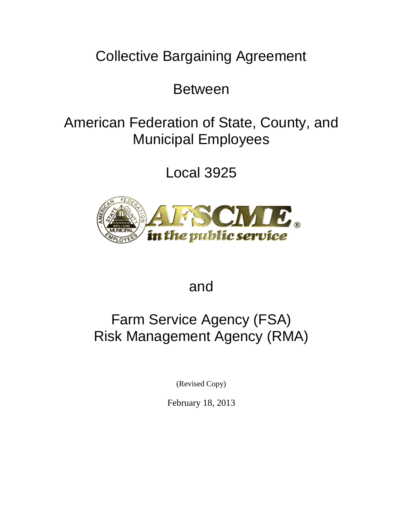Collective Bargaining Agreement

Between

# American Federation of State, County, and Municipal Employees

Local 3925



and

# Farm Service Agency (FSA) Risk Management Agency (RMA)

(Revised Copy)

February 18, 2013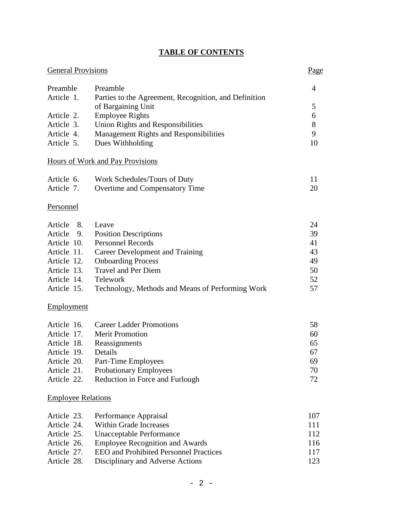| <b>TABLE OF CONTENTS</b> |  |
|--------------------------|--|
|--------------------------|--|

| <b>General Provisions</b><br>Page |                                                       |     |
|-----------------------------------|-------------------------------------------------------|-----|
| Preamble                          | Preamble                                              | 4   |
| Article 1.                        | Parties to the Agreement, Recognition, and Definition |     |
|                                   | of Bargaining Unit                                    | 5   |
| Article 2.                        | <b>Employee Rights</b>                                | 6   |
| Article 3.                        | <b>Union Rights and Responsibilities</b>              | 8   |
| Article 4.                        | Management Rights and Responsibilities                | 9   |
| Article 5.                        | Dues Withholding                                      | 10  |
|                                   | Hours of Work and Pay Provisions                      |     |
| Article 6.                        | Work Schedules/Tours of Duty                          | 11  |
| Article 7.                        | Overtime and Compensatory Time                        | 20  |
| Personnel                         |                                                       |     |
| Article<br>8.                     | Leave                                                 | 24  |
| Article<br>9.                     | <b>Position Descriptions</b>                          | 39  |
| Article 10.                       | <b>Personnel Records</b>                              | 41  |
| Article 11.                       | Career Development and Training                       | 43  |
| Article 12.                       | <b>Onboarding Process</b>                             | 49  |
| Article 13.                       | <b>Travel and Per Diem</b>                            | 50  |
| Article 14.                       | Telework                                              | 52  |
| Article 15.                       | Technology, Methods and Means of Performing Work      | 57  |
| Employment                        |                                                       |     |
| Article 16.                       | <b>Career Ladder Promotions</b>                       | 58  |
| Article 17.                       | <b>Merit Promotion</b>                                | 60  |
| Article 18.                       | Reassignments                                         | 65  |
| Article 19.                       | Details                                               | 67  |
| Article 20.                       | Part-Time Employees                                   | 69  |
| Article 21.                       | <b>Probationary Employees</b>                         | 70  |
| Article 22.                       | Reduction in Force and Furlough                       | 72  |
| <b>Employee Relations</b>         |                                                       |     |
| Article 23.                       | Performance Appraisal                                 | 107 |
| Article 24.                       | <b>Within Grade Increases</b>                         | 111 |
| Article 25.                       | <b>Unacceptable Performance</b>                       | 112 |
| Article 26.                       | <b>Employee Recognition and Awards</b>                | 116 |
| Article 27.                       | <b>EEO</b> and Prohibited Personnel Practices         | 117 |
| Article 28.                       | Disciplinary and Adverse Actions                      | 123 |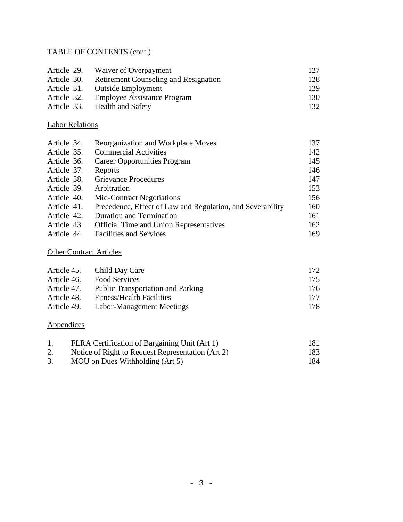## TABLE OF CONTENTS (cont.)

|             | Article 29. Waiver of Overpayment            | 12.7 |
|-------------|----------------------------------------------|------|
| Article 30. | <b>Retirement Counseling and Resignation</b> | 128  |
|             | Article 31. Outside Employment               | 129  |
| Article 32. | Employee Assistance Program                  | 130  |
|             | Article 33. Health and Safety                | 132. |

## Labor Relations

| Article 34. | Reorganization and Workplace Moves                         | 137 |
|-------------|------------------------------------------------------------|-----|
| Article 35. | <b>Commercial Activities</b>                               | 142 |
| Article 36. | Career Opportunities Program                               | 145 |
| Article 37. | Reports                                                    | 146 |
| Article 38. | <b>Grievance Procedures</b>                                | 147 |
| Article 39. | Arbitration                                                | 153 |
| Article 40. | <b>Mid-Contract Negotiations</b>                           | 156 |
| Article 41. | Precedence, Effect of Law and Regulation, and Severability | 160 |
| Article 42. | <b>Duration and Termination</b>                            | 161 |
| Article 43. | <b>Official Time and Union Representatives</b>             | 162 |
| Article 44. | <b>Facilities and Services</b>                             | 169 |

# Other Contract Articles

| Article 45. | Child Day Care                           | 172 |
|-------------|------------------------------------------|-----|
| Article 46. | Food Services                            | 175 |
| Article 47. | <b>Public Transportation and Parking</b> | 176 |
| Article 48. | <b>Fitness/Health Facilities</b>         | 177 |
| Article 49. | Labor-Management Meetings                | 178 |
|             |                                          |     |

# Appendices

| FLRA Certification of Bargaining Unit (Art 1)     | 181  |
|---------------------------------------------------|------|
| Notice of Right to Request Representation (Art 2) | 183. |
| MOU on Dues Withholding (Art 5)                   | 184  |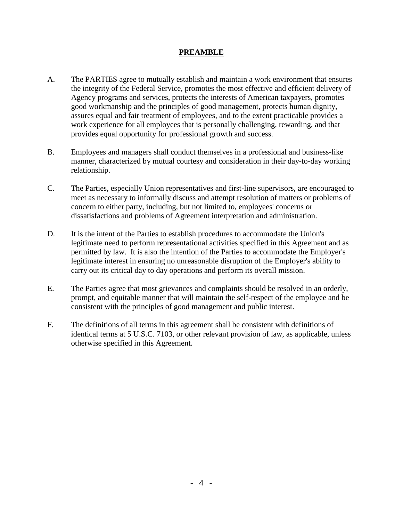## **PREAMBLE**

- A. The PARTIES agree to mutually establish and maintain a work environment that ensures the integrity of the Federal Service, promotes the most effective and efficient delivery of Agency programs and services, protects the interests of American taxpayers, promotes good workmanship and the principles of good management, protects human dignity, assures equal and fair treatment of employees, and to the extent practicable provides a work experience for all employees that is personally challenging, rewarding, and that provides equal opportunity for professional growth and success.
- B. Employees and managers shall conduct themselves in a professional and business-like manner, characterized by mutual courtesy and consideration in their day-to-day working relationship.
- C. The Parties, especially Union representatives and first-line supervisors, are encouraged to meet as necessary to informally discuss and attempt resolution of matters or problems of concern to either party, including, but not limited to, employees' concerns or dissatisfactions and problems of Agreement interpretation and administration.
- D. It is the intent of the Parties to establish procedures to accommodate the Union's legitimate need to perform representational activities specified in this Agreement and as permitted by law. It is also the intention of the Parties to accommodate the Employer's legitimate interest in ensuring no unreasonable disruption of the Employer's ability to carry out its critical day to day operations and perform its overall mission.
- E. The Parties agree that most grievances and complaints should be resolved in an orderly, prompt, and equitable manner that will maintain the self-respect of the employee and be consistent with the principles of good management and public interest.
- F. The definitions of all terms in this agreement shall be consistent with definitions of identical terms at 5 U.S.C. 7103, or other relevant provision of law, as applicable, unless otherwise specified in this Agreement.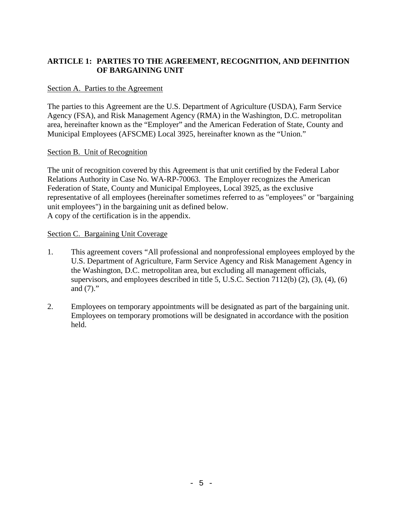## **ARTICLE 1: PARTIES TO THE AGREEMENT, RECOGNITION, AND DEFINITION OF BARGAINING UNIT**

### Section A. Parties to the Agreement

The parties to this Agreement are the U.S. Department of Agriculture (USDA), Farm Service Agency (FSA), and Risk Management Agency (RMA) in the Washington, D.C. metropolitan area, hereinafter known as the "Employer" and the American Federation of State, County and Municipal Employees (AFSCME) Local 3925, hereinafter known as the "Union."

#### Section B. Unit of Recognition

The unit of recognition covered by this Agreement is that unit certified by the Federal Labor Relations Authority in Case No. WA-RP-70063. The Employer recognizes the American Federation of State, County and Municipal Employees, Local 3925, as the exclusive representative of all employees (hereinafter sometimes referred to as "employees" or "bargaining unit employees") in the bargaining unit as defined below. A copy of the certification is in the appendix.

#### Section C. Bargaining Unit Coverage

- 1. This agreement covers "All professional and nonprofessional employees employed by the U.S. Department of Agriculture, Farm Service Agency and Risk Management Agency in the Washington, D.C. metropolitan area, but excluding all management officials, supervisors, and employees described in title 5, U.S.C. Section  $7112(b)$  (2), (3), (4), (6) and (7)."
- 2. Employees on temporary appointments will be designated as part of the bargaining unit. Employees on temporary promotions will be designated in accordance with the position held.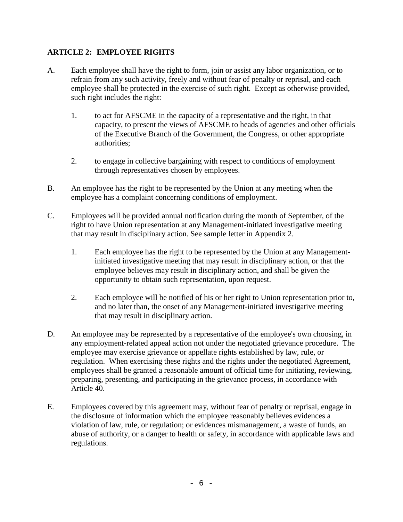## **ARTICLE 2: EMPLOYEE RIGHTS**

- A. Each employee shall have the right to form, join or assist any labor organization, or to refrain from any such activity, freely and without fear of penalty or reprisal, and each employee shall be protected in the exercise of such right. Except as otherwise provided, such right includes the right:
	- 1. to act for AFSCME in the capacity of a representative and the right, in that capacity, to present the views of AFSCME to heads of agencies and other officials of the Executive Branch of the Government, the Congress, or other appropriate authorities;
	- 2. to engage in collective bargaining with respect to conditions of employment through representatives chosen by employees.
- B. An employee has the right to be represented by the Union at any meeting when the employee has a complaint concerning conditions of employment.
- C. Employees will be provided annual notification during the month of September, of the right to have Union representation at any Management-initiated investigative meeting that may result in disciplinary action. See sample letter in Appendix 2.
	- 1. Each employee has the right to be represented by the Union at any Managementinitiated investigative meeting that may result in disciplinary action, or that the employee believes may result in disciplinary action, and shall be given the opportunity to obtain such representation, upon request.
	- 2. Each employee will be notified of his or her right to Union representation prior to, and no later than, the onset of any Management-initiated investigative meeting that may result in disciplinary action.
- D. An employee may be represented by a representative of the employee's own choosing, in any employment-related appeal action not under the negotiated grievance procedure. The employee may exercise grievance or appellate rights established by law, rule, or regulation. When exercising these rights and the rights under the negotiated Agreement, employees shall be granted a reasonable amount of official time for initiating, reviewing, preparing, presenting, and participating in the grievance process, in accordance with Article 40.
- E. Employees covered by this agreement may, without fear of penalty or reprisal, engage in the disclosure of information which the employee reasonably believes evidences a violation of law, rule, or regulation; or evidences mismanagement, a waste of funds, an abuse of authority, or a danger to health or safety, in accordance with applicable laws and regulations.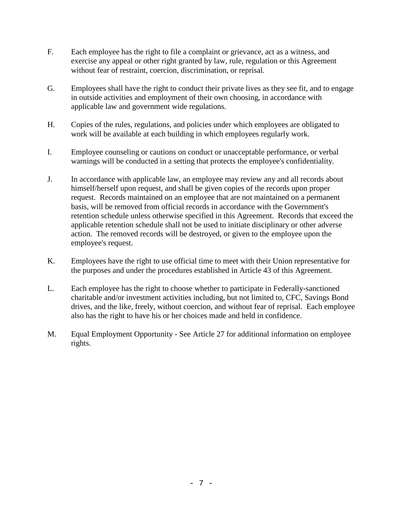- F. Each employee has the right to file a complaint or grievance, act as a witness, and exercise any appeal or other right granted by law, rule, regulation or this Agreement without fear of restraint, coercion, discrimination, or reprisal.
- G. Employees shall have the right to conduct their private lives as they see fit, and to engage in outside activities and employment of their own choosing, in accordance with applicable law and government wide regulations.
- H. Copies of the rules, regulations, and policies under which employees are obligated to work will be available at each building in which employees regularly work.
- I. Employee counseling or cautions on conduct or unacceptable performance, or verbal warnings will be conducted in a setting that protects the employee's confidentiality.
- J. In accordance with applicable law, an employee may review any and all records about himself/herself upon request, and shall be given copies of the records upon proper request. Records maintained on an employee that are not maintained on a permanent basis, will be removed from official records in accordance with the Government's retention schedule unless otherwise specified in this Agreement. Records that exceed the applicable retention schedule shall not be used to initiate disciplinary or other adverse action. The removed records will be destroyed, or given to the employee upon the employee's request.
- K. Employees have the right to use official time to meet with their Union representative for the purposes and under the procedures established in Article 43 of this Agreement.
- L. Each employee has the right to choose whether to participate in Federally-sanctioned charitable and/or investment activities including, but not limited to, CFC, Savings Bond drives, and the like, freely, without coercion, and without fear of reprisal. Each employee also has the right to have his or her choices made and held in confidence.
- M. Equal Employment Opportunity See Article 27 for additional information on employee rights.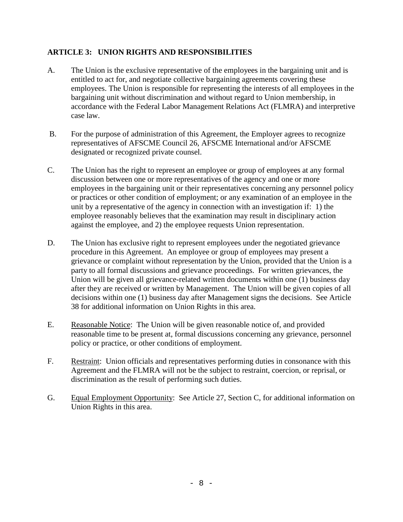## **ARTICLE 3: UNION RIGHTS AND RESPONSIBILITIES**

- A. The Union is the exclusive representative of the employees in the bargaining unit and is entitled to act for, and negotiate collective bargaining agreements covering these employees. The Union is responsible for representing the interests of all employees in the bargaining unit without discrimination and without regard to Union membership, in accordance with the Federal Labor Management Relations Act (FLMRA) and interpretive case law.
- B. For the purpose of administration of this Agreement, the Employer agrees to recognize representatives of AFSCME Council 26, AFSCME International and/or AFSCME designated or recognized private counsel.
- C. The Union has the right to represent an employee or group of employees at any formal discussion between one or more representatives of the agency and one or more employees in the bargaining unit or their representatives concerning any personnel policy or practices or other condition of employment; or any examination of an employee in the unit by a representative of the agency in connection with an investigation if: 1) the employee reasonably believes that the examination may result in disciplinary action against the employee, and 2) the employee requests Union representation.
- D. The Union has exclusive right to represent employees under the negotiated grievance procedure in this Agreement. An employee or group of employees may present a grievance or complaint without representation by the Union, provided that the Union is a party to all formal discussions and grievance proceedings. For written grievances, the Union will be given all grievance-related written documents within one (1) business day after they are received or written by Management. The Union will be given copies of all decisions within one (1) business day after Management signs the decisions. See Article 38 for additional information on Union Rights in this area.
- E. Reasonable Notice: The Union will be given reasonable notice of, and provided reasonable time to be present at, formal discussions concerning any grievance, personnel policy or practice, or other conditions of employment.
- F. Restraint: Union officials and representatives performing duties in consonance with this Agreement and the FLMRA will not be the subject to restraint, coercion, or reprisal, or discrimination as the result of performing such duties.
- G. Equal Employment Opportunity: See Article 27, Section C, for additional information on Union Rights in this area.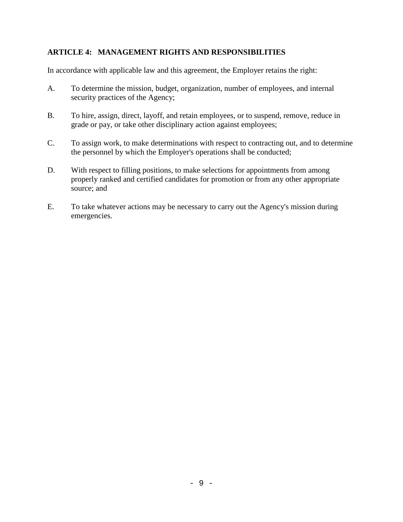## **ARTICLE 4: MANAGEMENT RIGHTS AND RESPONSIBILITIES**

In accordance with applicable law and this agreement, the Employer retains the right:

- A. To determine the mission, budget, organization, number of employees, and internal security practices of the Agency;
- B. To hire, assign, direct, layoff, and retain employees, or to suspend, remove, reduce in grade or pay, or take other disciplinary action against employees;
- C. To assign work, to make determinations with respect to contracting out, and to determine the personnel by which the Employer's operations shall be conducted;
- D. With respect to filling positions, to make selections for appointments from among properly ranked and certified candidates for promotion or from any other appropriate source; and
- E. To take whatever actions may be necessary to carry out the Agency's mission during emergencies.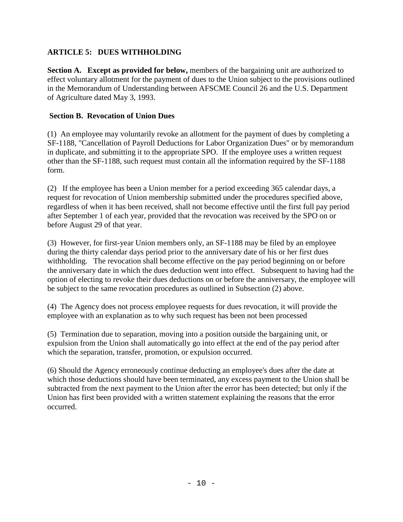## **ARTICLE 5: DUES WITHHOLDING**

**Section A. Except as provided for below,** members of the bargaining unit are authorized to effect voluntary allotment for the payment of dues to the Union subject to the provisions outlined in the Memorandum of Understanding between AFSCME Council 26 and the U.S. Department of Agriculture dated May 3, 1993.

## **Section B. Revocation of Union Dues**

(1) An employee may voluntarily revoke an allotment for the payment of dues by completing a SF-1188, "Cancellation of Payroll Deductions for Labor Organization Dues" or by memorandum in duplicate, and submitting it to the appropriate SPO. If the employee uses a written request other than the SF-1188, such request must contain all the information required by the SF-1188 form.

(2) If the employee has been a Union member for a period exceeding 365 calendar days, a request for revocation of Union membership submitted under the procedures specified above, regardless of when it has been received, shall not become effective until the first full pay period after September 1 of each year, provided that the revocation was received by the SPO on or before August 29 of that year.

(3) However, for first-year Union members only, an SF-1188 may be filed by an employee during the thirty calendar days period prior to the anniversary date of his or her first dues withholding. The revocation shall become effective on the pay period beginning on or before the anniversary date in which the dues deduction went into effect. Subsequent to having had the option of electing to revoke their dues deductions on or before the anniversary, the employee will be subject to the same revocation procedures as outlined in Subsection (2) above.

(4) The Agency does not process employee requests for dues revocation, it will provide the employee with an explanation as to why such request has been not been processed

(5) Termination due to separation, moving into a position outside the bargaining unit, or expulsion from the Union shall automatically go into effect at the end of the pay period after which the separation, transfer, promotion, or expulsion occurred.

(6) Should the Agency erroneously continue deducting an employee's dues after the date at which those deductions should have been terminated, any excess payment to the Union shall be subtracted from the next payment to the Union after the error has been detected; but only if the Union has first been provided with a written statement explaining the reasons that the error occurred.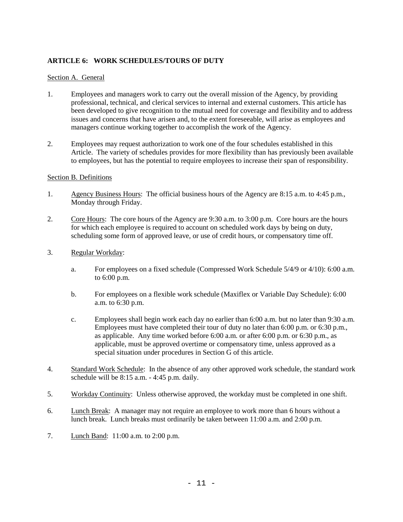#### **ARTICLE 6: WORK SCHEDULES/TOURS OF DUTY**

#### Section A. General

- 1. Employees and managers work to carry out the overall mission of the Agency, by providing professional, technical, and clerical services to internal and external customers. This article has been developed to give recognition to the mutual need for coverage and flexibility and to address issues and concerns that have arisen and, to the extent foreseeable, will arise as employees and managers continue working together to accomplish the work of the Agency.
- 2. Employees may request authorization to work one of the four schedules established in this Article. The variety of schedules provides for more flexibility than has previously been available to employees, but has the potential to require employees to increase their span of responsibility.

#### Section B. Definitions

- 1. Agency Business Hours: The official business hours of the Agency are 8:15 a.m. to 4:45 p.m., Monday through Friday.
- 2. Core Hours: The core hours of the Agency are 9:30 a.m. to 3:00 p.m. Core hours are the hours for which each employee is required to account on scheduled work days by being on duty, scheduling some form of approved leave, or use of credit hours, or compensatory time off.
- 3. Regular Workday:
	- a. For employees on a fixed schedule (Compressed Work Schedule 5/4/9 or 4/10): 6:00 a.m. to 6:00 p.m.
	- b. For employees on a flexible work schedule (Maxiflex or Variable Day Schedule): 6:00 a.m. to 6:30 p.m.
	- c. Employees shall begin work each day no earlier than 6:00 a.m. but no later than 9:30 a.m. Employees must have completed their tour of duty no later than 6:00 p.m. or 6:30 p.m., as applicable. Any time worked before 6:00 a.m. or after 6:00 p.m. or 6:30 p.m., as applicable, must be approved overtime or compensatory time, unless approved as a special situation under procedures in Section G of this article.
- 4. Standard Work Schedule: In the absence of any other approved work schedule, the standard work schedule will be 8:15 a.m. - 4:45 p.m. daily.
- 5. Workday Continuity: Unless otherwise approved, the workday must be completed in one shift.
- 6. Lunch Break: A manager may not require an employee to work more than 6 hours without a lunch break. Lunch breaks must ordinarily be taken between 11:00 a.m. and 2:00 p.m.
- 7. Lunch Band: 11:00 a.m. to 2:00 p.m.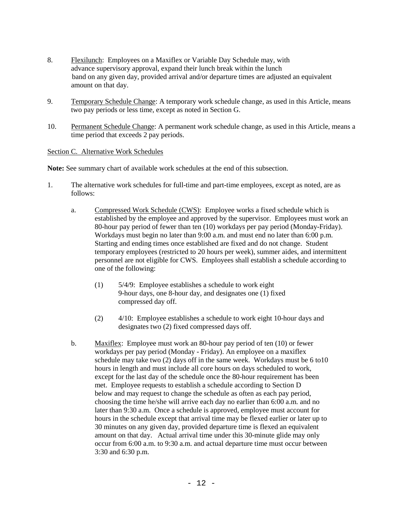- 8. Flexilunch: Employees on a Maxiflex or Variable Day Schedule may, with advance supervisory approval, expand their lunch break within the lunch band on any given day, provided arrival and/or departure times are adjusted an equivalent amount on that day.
- 9. Temporary Schedule Change: A temporary work schedule change, as used in this Article, means two pay periods or less time, except as noted in Section G.
- 10. Permanent Schedule Change: A permanent work schedule change, as used in this Article, means a time period that exceeds 2 pay periods.

#### Section C. Alternative Work Schedules

**Note:** See summary chart of available work schedules at the end of this subsection.

- 1. The alternative work schedules for full-time and part-time employees, except as noted, are as follows:
	- a. Compressed Work Schedule (CWS): Employee works a fixed schedule which is established by the employee and approved by the supervisor. Employees must work an 80-hour pay period of fewer than ten (10) workdays per pay period (Monday-Friday). Workdays must begin no later than 9:00 a.m. and must end no later than 6:00 p.m. Starting and ending times once established are fixed and do not change. Student temporary employees (restricted to 20 hours per week), summer aides, and intermittent personnel are not eligible for CWS. Employees shall establish a schedule according to one of the following:
		- (1) 5/4/9: Employee establishes a schedule to work eight 9-hour days, one 8-hour day, and designates one (1) fixed compressed day off.
		- (2) 4/10: Employee establishes a schedule to work eight 10-hour days and designates two (2) fixed compressed days off.
	- b. Maxiflex: Employee must work an 80-hour pay period of ten (10) or fewer workdays per pay period (Monday - Friday). An employee on a maxiflex schedule may take two (2) days off in the same week. Workdays must be 6 to10 hours in length and must include all core hours on days scheduled to work, except for the last day of the schedule once the 80-hour requirement has been met. Employee requests to establish a schedule according to Section D below and may request to change the schedule as often as each pay period, choosing the time he/she will arrive each day no earlier than 6:00 a.m. and no later than 9:30 a.m. Once a schedule is approved, employee must account for hours in the schedule except that arrival time may be flexed earlier or later up to 30 minutes on any given day, provided departure time is flexed an equivalent amount on that day. Actual arrival time under this 30-minute glide may only occur from 6:00 a.m. to 9:30 a.m. and actual departure time must occur between 3:30 and 6:30 p.m.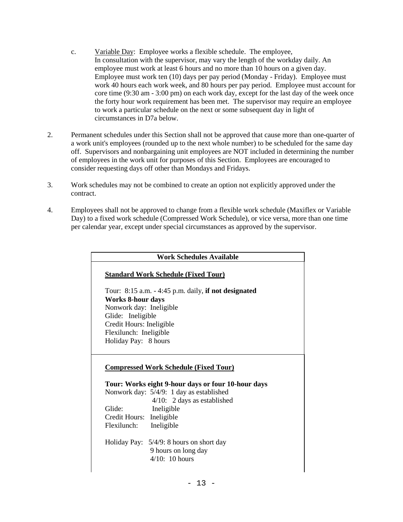- c. Variable Day: Employee works a flexible schedule. The employee, In consultation with the supervisor, may vary the length of the workday daily. An employee must work at least 6 hours and no more than 10 hours on a given day. Employee must work ten (10) days per pay period (Monday - Friday). Employee must work 40 hours each work week, and 80 hours per pay period. Employee must account for core time (9:30 am - 3:00 pm) on each work day, except for the last day of the week once the forty hour work requirement has been met. The supervisor may require an employee to work a particular schedule on the next or some subsequent day in light of circumstances in D7a below.
- 2. Permanent schedules under this Section shall not be approved that cause more than one-quarter of a work unit's employees (rounded up to the next whole number) to be scheduled for the same day off. Supervisors and nonbargaining unit employees are NOT included in determining the number of employees in the work unit for purposes of this Section. Employees are encouraged to consider requesting days off other than Mondays and Fridays.
- 3. Work schedules may not be combined to create an option not explicitly approved under the contract.
- 4. Employees shall not be approved to change from a flexible work schedule (Maxiflex or Variable Day) to a fixed work schedule (Compressed Work Schedule), or vice versa, more than one time per calendar year, except under special circumstances as approved by the supervisor.

| <b>Work Schedules Available</b>                         |  |
|---------------------------------------------------------|--|
| <b>Standard Work Schedule (Fixed Tour)</b>              |  |
| Tour: $8:15$ a.m. $-4:45$ p.m. daily, if not designated |  |
| <b>Works 8-hour days</b>                                |  |
| Nonwork day: Ineligible                                 |  |
| Glide: Ineligible                                       |  |
| Credit Hours: Ineligible                                |  |
| Flexilunch: Ineligible                                  |  |
| Holiday Pay: 8 hours                                    |  |
|                                                         |  |
| <b>Compressed Work Schedule (Fixed Tour)</b>            |  |
| Tour: Works eight 9-hour days or four 10-hour days      |  |
| Nonwork day: 5/4/9: 1 day as established                |  |
| $4/10$ : 2 days as established                          |  |
| Glide:<br>Ineligible                                    |  |
| Ineligible<br>Credit Hours:                             |  |
| Flexilunch:<br>Ineligible                               |  |
|                                                         |  |
| Holiday Pay: $5/4/9$ : 8 hours on short day             |  |
| 9 hours on long day                                     |  |
| $4/10$ : 10 hours                                       |  |
|                                                         |  |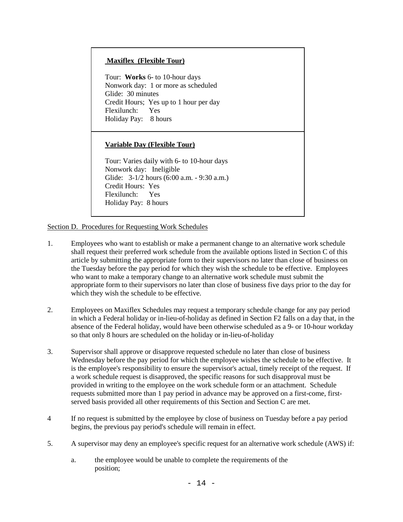#### **Maxiflex (Flexible Tour)**

Tour: **Works** 6- to 10-hour days Nonwork day: 1 or more as scheduled Glide: 30 minutes Credit Hours; Yes up to 1 hour per day Flexilunch: Yes Holiday Pay: 8 hours

#### **Variable Day (Flexible Tour)**

Tour: Varies daily with 6- to 10-hour days Nonwork day: Ineligible Glide: 3-1/2 hours (6:00 a.m. - 9:30 a.m.) Credit Hours: Yes Flexilunch: Yes Holiday Pay: 8 hours

Section D. Procedures for Requesting Work Schedules

- 1. Employees who want to establish or make a permanent change to an alternative work schedule shall request their preferred work schedule from the available options listed in Section C of this article by submitting the appropriate form to their supervisors no later than close of business on the Tuesday before the pay period for which they wish the schedule to be effective. Employees who want to make a temporary change to an alternative work schedule must submit the appropriate form to their supervisors no later than close of business five days prior to the day for which they wish the schedule to be effective.
- 2. Employees on Maxiflex Schedules may request a temporary schedule change for any pay period in which a Federal holiday or in-lieu-of-holiday as defined in Section F2 falls on a day that, in the absence of the Federal holiday, would have been otherwise scheduled as a 9- or 10-hour workday so that only 8 hours are scheduled on the holiday or in-lieu-of-holiday
- 3. Supervisor shall approve or disapprove requested schedule no later than close of business Wednesday before the pay period for which the employee wishes the schedule to be effective. It is the employee's responsibility to ensure the supervisor's actual, timely receipt of the request. If a work schedule request is disapproved, the specific reasons for such disapproval must be provided in writing to the employee on the work schedule form or an attachment. Schedule requests submitted more than 1 pay period in advance may be approved on a first-come, firstserved basis provided all other requirements of this Section and Section C are met.
- 4 If no request is submitted by the employee by close of business on Tuesday before a pay period begins, the previous pay period's schedule will remain in effect.
- 5. A supervisor may deny an employee's specific request for an alternative work schedule (AWS) if:
	- a. the employee would be unable to complete the requirements of the position;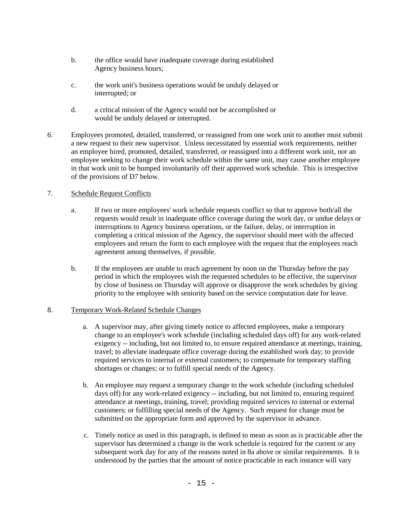- b. the office would have inadequate coverage during established Agency business hours;
- c. the work unit's business operations would be unduly delayed or interrupted; or
- d. a critical mission of the Agency would not be accomplished or would be unduly delayed or interrupted.
- 6. Employees promoted, detailed, transferred, or reassigned from one work unit to another must submit a new request to their new supervisor. Unless necessitated by essential work requirements, neither an employee hired, promoted, detailed, transferred, or reassigned into a different work unit, nor an employee seeking to change their work schedule within the same unit, may cause another employee in that work unit to be bumped involuntarily off their approved work schedule. This is irrespective of the provisions of D7 below.

#### 7. Schedule Request Conflicts

- a. If two or more employees' work schedule requests conflict so that to approve both/all the requests would result in inadequate office coverage during the work day, or undue delays or interruptions to Agency business operations, or the failure, delay, or interruption in completing a critical mission of the Agency, the supervisor should meet with the affected employees and return the form to each employee with the request that the employees reach agreement among themselves, if possible.
- b. If the employees are unable to reach agreement by noon on the Thursday before the pay period in which the employees wish the requested schedules to be effective, the supervisor by close of business on Thursday will approve or disapprove the work schedules by giving priority to the employee with seniority based on the service computation date for leave.

#### 8. Temporary Work-Related Schedule Changes

- a. A supervisor may, after giving timely notice to affected employees, make a temporary change to an employee's work schedule (including scheduled days off) for any work-related exigency -- including, but not limited to, to ensure required attendance at meetings, training, travel; to alleviate inadequate office coverage during the established work day; to provide required services to internal or external customers; to compensate for temporary staffing shortages or changes; or to fulfill special needs of the Agency.
- b. An employee may request a temporary change to the work schedule (including scheduled days off) for any work-related exigency -- including, but not limited to, ensuring required attendance at meetings, training, travel; providing required services to internal or external customers; or fulfilling special needs of the Agency. Such request for change must be submitted on the appropriate form and approved by the supervisor in advance.
- c. Timely notice as used in this paragraph, is defined to mean as soon as is practicable after the supervisor has determined a change in the work schedule is required for the current or any subsequent work day for any of the reasons noted in 8a above or similar requirements. It is understood by the parties that the amount of notice practicable in each instance will vary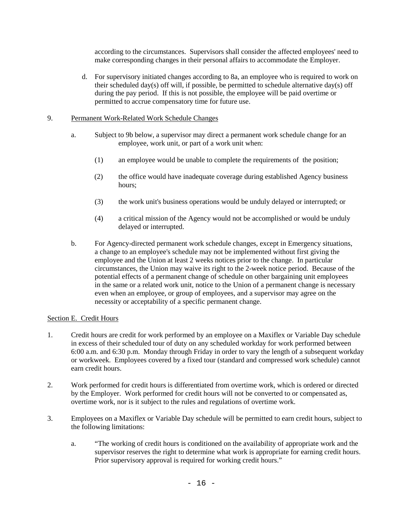according to the circumstances. Supervisors shall consider the affected employees' need to make corresponding changes in their personal affairs to accommodate the Employer.

 d. For supervisory initiated changes according to 8a, an employee who is required to work on their scheduled day(s) off will, if possible, be permitted to schedule alternative day(s) off during the pay period. If this is not possible, the employee will be paid overtime or permitted to accrue compensatory time for future use.

#### 9. Permanent Work-Related Work Schedule Changes

- a. Subject to 9b below, a supervisor may direct a permanent work schedule change for an employee, work unit, or part of a work unit when:
	- (1) an employee would be unable to complete the requirements of the position;
	- (2) the office would have inadequate coverage during established Agency business hours;
	- (3) the work unit's business operations would be unduly delayed or interrupted; or
	- (4) a critical mission of the Agency would not be accomplished or would be unduly delayed or interrupted.
- b. For Agency-directed permanent work schedule changes, except in Emergency situations, a change to an employee's schedule may not be implemented without first giving the employee and the Union at least 2 weeks notices prior to the change. In particular circumstances, the Union may waive its right to the 2-week notice period. Because of the potential effects of a permanent change of schedule on other bargaining unit employees in the same or a related work unit, notice to the Union of a permanent change is necessary even when an employee, or group of employees, and a supervisor may agree on the necessity or acceptability of a specific permanent change.

#### Section E. Credit Hours

- 1. Credit hours are credit for work performed by an employee on a Maxiflex or Variable Day schedule in excess of their scheduled tour of duty on any scheduled workday for work performed between 6:00 a.m. and 6:30 p.m. Monday through Friday in order to vary the length of a subsequent workday or workweek. Employees covered by a fixed tour (standard and compressed work schedule) cannot earn credit hours.
- 2. Work performed for credit hours is differentiated from overtime work, which is ordered or directed by the Employer. Work performed for credit hours will not be converted to or compensated as, overtime work, nor is it subject to the rules and regulations of overtime work.
- 3. Employees on a Maxiflex or Variable Day schedule will be permitted to earn credit hours, subject to the following limitations:
	- a. "The working of credit hours is conditioned on the availability of appropriate work and the supervisor reserves the right to determine what work is appropriate for earning credit hours. Prior supervisory approval is required for working credit hours."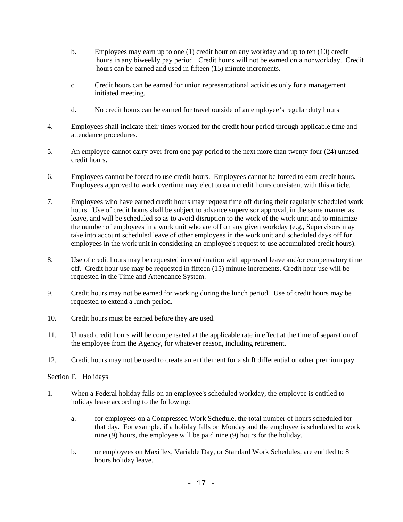- b. Employees may earn up to one (1) credit hour on any workday and up to ten (10) credit hours in any biweekly pay period. Credit hours will not be earned on a nonworkday. Credit hours can be earned and used in fifteen (15) minute increments.
- c. Credit hours can be earned for union representational activities only for a management initiated meeting.
- d. No credit hours can be earned for travel outside of an employee's regular duty hours
- 4. Employees shall indicate their times worked for the credit hour period through applicable time and attendance procedures.
- 5. An employee cannot carry over from one pay period to the next more than twenty-four (24) unused credit hours.
- 6. Employees cannot be forced to use credit hours. Employees cannot be forced to earn credit hours. Employees approved to work overtime may elect to earn credit hours consistent with this article.
- 7. Employees who have earned credit hours may request time off during their regularly scheduled work hours. Use of credit hours shall be subject to advance supervisor approval, in the same manner as leave, and will be scheduled so as to avoid disruption to the work of the work unit and to minimize the number of employees in a work unit who are off on any given workday (e.g., Supervisors may take into account scheduled leave of other employees in the work unit and scheduled days off for employees in the work unit in considering an employee's request to use accumulated credit hours).
- 8. Use of credit hours may be requested in combination with approved leave and/or compensatory time off. Credit hour use may be requested in fifteen (15) minute increments. Credit hour use will be requested in the Time and Attendance System.
- 9. Credit hours may not be earned for working during the lunch period. Use of credit hours may be requested to extend a lunch period.
- 10. Credit hours must be earned before they are used.
- 11. Unused credit hours will be compensated at the applicable rate in effect at the time of separation of the employee from the Agency, for whatever reason, including retirement.
- 12. Credit hours may not be used to create an entitlement for a shift differential or other premium pay.

#### Section F. Holidays

- 1. When a Federal holiday falls on an employee's scheduled workday, the employee is entitled to holiday leave according to the following:
	- a. for employees on a Compressed Work Schedule, the total number of hours scheduled for that day. For example, if a holiday falls on Monday and the employee is scheduled to work nine (9) hours, the employee will be paid nine (9) hours for the holiday.
	- b. or employees on Maxiflex, Variable Day, or Standard Work Schedules, are entitled to 8 hours holiday leave.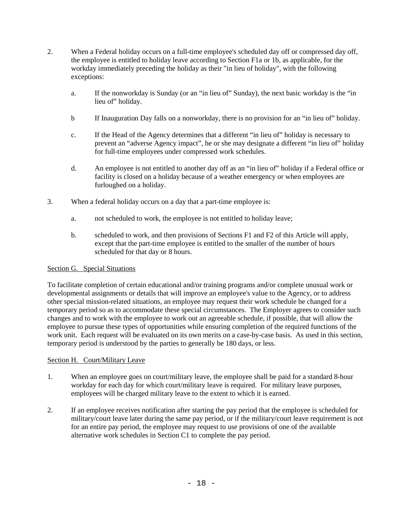- 2. When a Federal holiday occurs on a full-time employee's scheduled day off or compressed day off, the employee is entitled to holiday leave according to Section F1a or 1b, as applicable, for the workday immediately preceding the holiday as their "in lieu of holiday", with the following exceptions:
	- a. If the nonworkday is Sunday (or an "in lieu of" Sunday), the next basic workday is the "in lieu of" holiday.
	- b If Inauguration Day falls on a nonworkday, there is no provision for an "in lieu of" holiday.
	- c. If the Head of the Agency determines that a different "in lieu of" holiday is necessary to prevent an "adverse Agency impact", he or she may designate a different "in lieu of" holiday for full-time employees under compressed work schedules.
	- d. An employee is not entitled to another day off as an "in lieu of" holiday if a Federal office or facility is closed on a holiday because of a weather emergency or when employees are furloughed on a holiday.
- 3. When a federal holiday occurs on a day that a part-time employee is:
	- a. not scheduled to work, the employee is not entitled to holiday leave;
	- b. scheduled to work, and then provisions of Sections F1 and F2 of this Article will apply, except that the part-time employee is entitled to the smaller of the number of hours scheduled for that day or 8 hours.

#### Section G. Special Situations

To facilitate completion of certain educational and/or training programs and/or complete unusual work or developmental assignments or details that will improve an employee's value to the Agency, or to address other special mission-related situations, an employee may request their work schedule be changed for a temporary period so as to accommodate these special circumstances. The Employer agrees to consider such changes and to work with the employee to work out an agreeable schedule, if possible, that will allow the employee to pursue these types of opportunities while ensuring completion of the required functions of the work unit. Each request will be evaluated on its own merits on a case-by-case basis. As used in this section, temporary period is understood by the parties to generally be 180 days, or less.

#### Section H. Court/Military Leave

- 1. When an employee goes on court/military leave, the employee shall be paid for a standard 8-hour workday for each day for which court/military leave is required. For military leave purposes, employees will be charged military leave to the extent to which it is earned.
- 2. If an employee receives notification after starting the pay period that the employee is scheduled for military/court leave later during the same pay period, or if the military/court leave requirement is not for an entire pay period, the employee may request to use provisions of one of the available alternative work schedules in Section C1 to complete the pay period.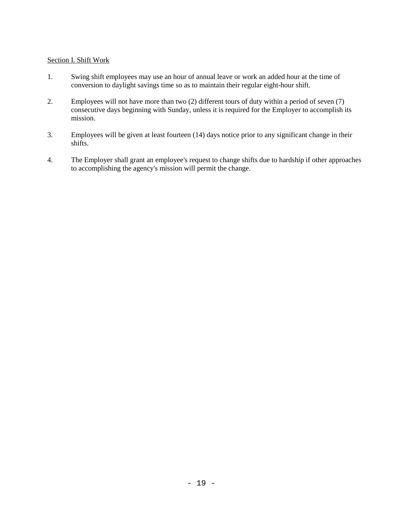#### Section I. Shift Work

- 1. Swing shift employees may use an hour of annual leave or work an added hour at the time of conversion to daylight savings time so as to maintain their regular eight-hour shift.
- 2. Employees will not have more than two (2) different tours of duty within a period of seven (7) consecutive days beginning with Sunday, unless it is required for the Employer to accomplish its mission.
- 3. Employees will be given at least fourteen (14) days notice prior to any significant change in their shifts.
- 4. The Employer shall grant an employee's request to change shifts due to hardship if other approaches to accomplishing the agency's mission will permit the change.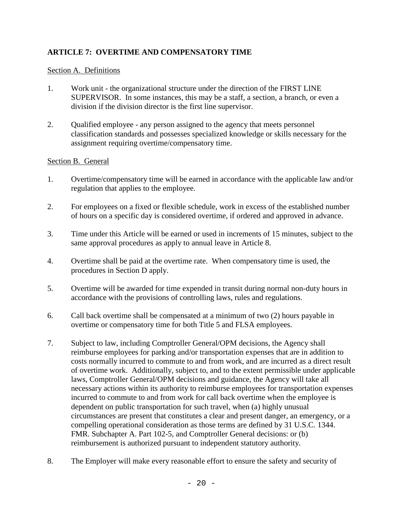## **ARTICLE 7: OVERTIME AND COMPENSATORY TIME**

### Section A. Definitions

- 1. Work unit the organizational structure under the direction of the FIRST LINE SUPERVISOR. In some instances, this may be a staff, a section, a branch, or even a division if the division director is the first line supervisor.
- 2. Qualified employee any person assigned to the agency that meets personnel classification standards and possesses specialized knowledge or skills necessary for the assignment requiring overtime/compensatory time.

#### Section B. General

- 1. Overtime/compensatory time will be earned in accordance with the applicable law and/or regulation that applies to the employee.
- 2. For employees on a fixed or flexible schedule, work in excess of the established number of hours on a specific day is considered overtime, if ordered and approved in advance.
- 3. Time under this Article will be earned or used in increments of 15 minutes, subject to the same approval procedures as apply to annual leave in Article 8.
- 4. Overtime shall be paid at the overtime rate. When compensatory time is used, the procedures in Section D apply.
- 5. Overtime will be awarded for time expended in transit during normal non-duty hours in accordance with the provisions of controlling laws, rules and regulations.
- 6. Call back overtime shall be compensated at a minimum of two (2) hours payable in overtime or compensatory time for both Title 5 and FLSA employees.
- 7. Subject to law, including Comptroller General/OPM decisions, the Agency shall reimburse employees for parking and/or transportation expenses that are in addition to costs normally incurred to commute to and from work, and are incurred as a direct result of overtime work. Additionally, subject to, and to the extent permissible under applicable laws, Comptroller General/OPM decisions and guidance, the Agency will take all necessary actions within its authority to reimburse employees for transportation expenses incurred to commute to and from work for call back overtime when the employee is dependent on public transportation for such travel, when (a) highly unusual circumstances are present that constitutes a clear and present danger, an emergency, or a compelling operational consideration as those terms are defined by 31 U.S.C. 1344. FMR. Subchapter A. Part 102-5, and Comptroller General decisions: or (b) reimbursement is authorized pursuant to independent statutory authority.
- 8. The Employer will make every reasonable effort to ensure the safety and security of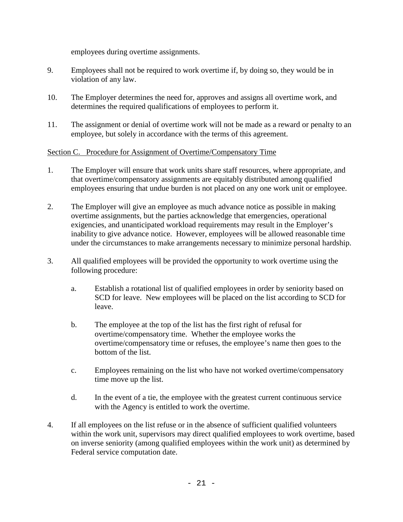employees during overtime assignments.

- 9. Employees shall not be required to work overtime if, by doing so, they would be in violation of any law.
- 10. The Employer determines the need for, approves and assigns all overtime work, and determines the required qualifications of employees to perform it.
- 11. The assignment or denial of overtime work will not be made as a reward or penalty to an employee, but solely in accordance with the terms of this agreement.

#### Section C. Procedure for Assignment of Overtime/Compensatory Time

- 1. The Employer will ensure that work units share staff resources, where appropriate, and that overtime/compensatory assignments are equitably distributed among qualified employees ensuring that undue burden is not placed on any one work unit or employee.
- 2. The Employer will give an employee as much advance notice as possible in making overtime assignments, but the parties acknowledge that emergencies, operational exigencies, and unanticipated workload requirements may result in the Employer's inability to give advance notice. However, employees will be allowed reasonable time under the circumstances to make arrangements necessary to minimize personal hardship.
- 3. All qualified employees will be provided the opportunity to work overtime using the following procedure:
	- a. Establish a rotational list of qualified employees in order by seniority based on SCD for leave. New employees will be placed on the list according to SCD for leave.
	- b. The employee at the top of the list has the first right of refusal for overtime/compensatory time. Whether the employee works the overtime/compensatory time or refuses, the employee's name then goes to the bottom of the list.
	- c. Employees remaining on the list who have not worked overtime/compensatory time move up the list.
	- d. In the event of a tie, the employee with the greatest current continuous service with the Agency is entitled to work the overtime.
- 4. If all employees on the list refuse or in the absence of sufficient qualified volunteers within the work unit, supervisors may direct qualified employees to work overtime, based on inverse seniority (among qualified employees within the work unit) as determined by Federal service computation date.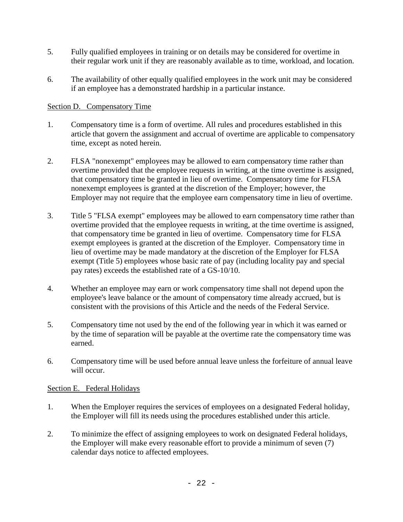- 5. Fully qualified employees in training or on details may be considered for overtime in their regular work unit if they are reasonably available as to time, workload, and location.
- 6. The availability of other equally qualified employees in the work unit may be considered if an employee has a demonstrated hardship in a particular instance.

## Section D. Compensatory Time

- 1. Compensatory time is a form of overtime. All rules and procedures established in this article that govern the assignment and accrual of overtime are applicable to compensatory time, except as noted herein.
- 2. FLSA "nonexempt" employees may be allowed to earn compensatory time rather than overtime provided that the employee requests in writing, at the time overtime is assigned, that compensatory time be granted in lieu of overtime. Compensatory time for FLSA nonexempt employees is granted at the discretion of the Employer; however, the Employer may not require that the employee earn compensatory time in lieu of overtime.
- 3. Title 5 "FLSA exempt" employees may be allowed to earn compensatory time rather than overtime provided that the employee requests in writing, at the time overtime is assigned, that compensatory time be granted in lieu of overtime. Compensatory time for FLSA exempt employees is granted at the discretion of the Employer. Compensatory time in lieu of overtime may be made mandatory at the discretion of the Employer for FLSA exempt (Title 5) employees whose basic rate of pay (including locality pay and special pay rates) exceeds the established rate of a GS-10/10.
- 4. Whether an employee may earn or work compensatory time shall not depend upon the employee's leave balance or the amount of compensatory time already accrued, but is consistent with the provisions of this Article and the needs of the Federal Service.
- 5. Compensatory time not used by the end of the following year in which it was earned or by the time of separation will be payable at the overtime rate the compensatory time was earned.
- 6. Compensatory time will be used before annual leave unless the forfeiture of annual leave will occur.

## Section E. Federal Holidays

- 1. When the Employer requires the services of employees on a designated Federal holiday, the Employer will fill its needs using the procedures established under this article.
- 2. To minimize the effect of assigning employees to work on designated Federal holidays, the Employer will make every reasonable effort to provide a minimum of seven (7) calendar days notice to affected employees.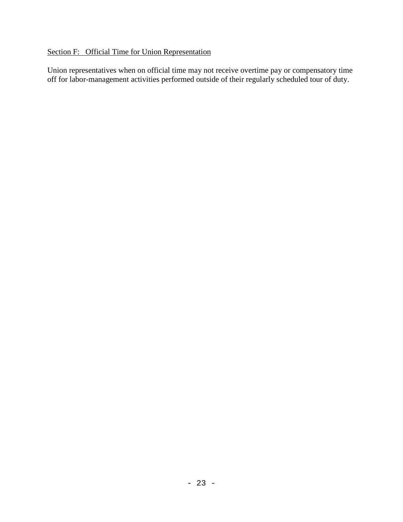## Section F: Official Time for Union Representation

Union representatives when on official time may not receive overtime pay or compensatory time off for labor-management activities performed outside of their regularly scheduled tour of duty.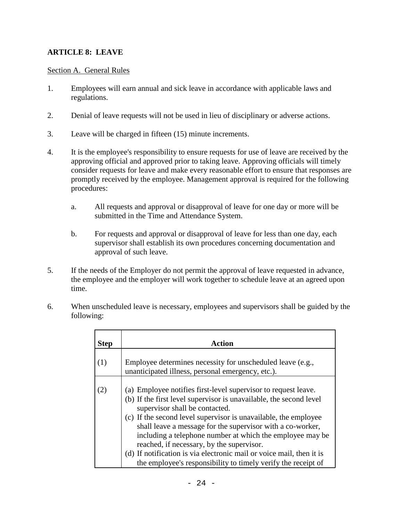## **ARTICLE 8: LEAVE**

#### Section A. General Rules

- 1. Employees will earn annual and sick leave in accordance with applicable laws and regulations.
- 2. Denial of leave requests will not be used in lieu of disciplinary or adverse actions.
- 3. Leave will be charged in fifteen (15) minute increments.
- 4. It is the employee's responsibility to ensure requests for use of leave are received by the approving official and approved prior to taking leave. Approving officials will timely consider requests for leave and make every reasonable effort to ensure that responses are promptly received by the employee. Management approval is required for the following procedures:
	- a. All requests and approval or disapproval of leave for one day or more will be submitted in the Time and Attendance System.
	- b. For requests and approval or disapproval of leave for less than one day, each supervisor shall establish its own procedures concerning documentation and approval of such leave.
- 5. If the needs of the Employer do not permit the approval of leave requested in advance, the employee and the employer will work together to schedule leave at an agreed upon time.
- 6. When unscheduled leave is necessary, employees and supervisors shall be guided by the following:

| <b>Step</b> | Action                                                                                                                                                                                                                                                                                                                                                                                                                                                                                                                                                     |
|-------------|------------------------------------------------------------------------------------------------------------------------------------------------------------------------------------------------------------------------------------------------------------------------------------------------------------------------------------------------------------------------------------------------------------------------------------------------------------------------------------------------------------------------------------------------------------|
| (1)         | Employee determines necessity for unscheduled leave (e.g.,<br>unanticipated illness, personal emergency, etc.).                                                                                                                                                                                                                                                                                                                                                                                                                                            |
| (2)         | (a) Employee notifies first-level supervisor to request leave.<br>(b) If the first level supervisor is unavailable, the second level<br>supervisor shall be contacted.<br>(c) If the second level supervisor is unavailable, the employee<br>shall leave a message for the supervisor with a co-worker,<br>including a telephone number at which the employee may be<br>reached, if necessary, by the supervisor.<br>(d) If notification is via electronic mail or voice mail, then it is<br>the employee's responsibility to timely verify the receipt of |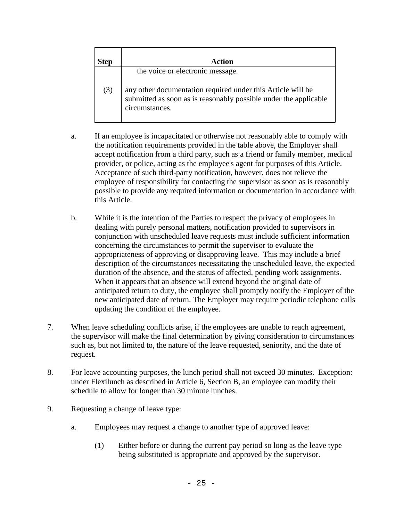| <b>Step</b> | Action                                                                                                                                            |
|-------------|---------------------------------------------------------------------------------------------------------------------------------------------------|
|             | the voice or electronic message.                                                                                                                  |
| (3)         | any other documentation required under this Article will be<br>submitted as soon as is reasonably possible under the applicable<br>circumstances. |

- a. If an employee is incapacitated or otherwise not reasonably able to comply with the notification requirements provided in the table above, the Employer shall accept notification from a third party, such as a friend or family member, medical provider, or police, acting as the employee's agent for purposes of this Article. Acceptance of such third-party notification, however, does not relieve the employee of responsibility for contacting the supervisor as soon as is reasonably possible to provide any required information or documentation in accordance with this Article.
- b. While it is the intention of the Parties to respect the privacy of employees in dealing with purely personal matters, notification provided to supervisors in conjunction with unscheduled leave requests must include sufficient information concerning the circumstances to permit the supervisor to evaluate the appropriateness of approving or disapproving leave. This may include a brief description of the circumstances necessitating the unscheduled leave, the expected duration of the absence, and the status of affected, pending work assignments. When it appears that an absence will extend beyond the original date of anticipated return to duty, the employee shall promptly notify the Employer of the new anticipated date of return. The Employer may require periodic telephone calls updating the condition of the employee.
- 7. When leave scheduling conflicts arise, if the employees are unable to reach agreement, the supervisor will make the final determination by giving consideration to circumstances such as, but not limited to, the nature of the leave requested, seniority, and the date of request.
- 8. For leave accounting purposes, the lunch period shall not exceed 30 minutes. Exception: under Flexilunch as described in Article 6, Section B, an employee can modify their schedule to allow for longer than 30 minute lunches.
- 9. Requesting a change of leave type:
	- a. Employees may request a change to another type of approved leave:
		- (1) Either before or during the current pay period so long as the leave type being substituted is appropriate and approved by the supervisor.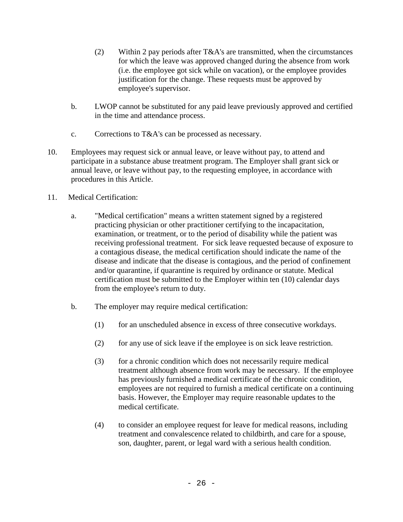- (2) Within 2 pay periods after T&A's are transmitted, when the circumstances for which the leave was approved changed during the absence from work (i.e. the employee got sick while on vacation), or the employee provides justification for the change. These requests must be approved by employee's supervisor.
- b. LWOP cannot be substituted for any paid leave previously approved and certified in the time and attendance process.
- c. Corrections to T&A's can be processed as necessary.
- 10. Employees may request sick or annual leave, or leave without pay, to attend and participate in a substance abuse treatment program. The Employer shall grant sick or annual leave, or leave without pay, to the requesting employee, in accordance with procedures in this Article.
- 11. Medical Certification:
	- a. "Medical certification" means a written statement signed by a registered practicing physician or other practitioner certifying to the incapacitation, examination, or treatment, or to the period of disability while the patient was receiving professional treatment. For sick leave requested because of exposure to a contagious disease, the medical certification should indicate the name of the disease and indicate that the disease is contagious, and the period of confinement and/or quarantine, if quarantine is required by ordinance or statute. Medical certification must be submitted to the Employer within ten (10) calendar days from the employee's return to duty.
	- b. The employer may require medical certification:
		- (1) for an unscheduled absence in excess of three consecutive workdays.
		- (2) for any use of sick leave if the employee is on sick leave restriction.
		- (3) for a chronic condition which does not necessarily require medical treatment although absence from work may be necessary. If the employee has previously furnished a medical certificate of the chronic condition, employees are not required to furnish a medical certificate on a continuing basis. However, the Employer may require reasonable updates to the medical certificate.
		- (4) to consider an employee request for leave for medical reasons, including treatment and convalescence related to childbirth, and care for a spouse, son, daughter, parent, or legal ward with a serious health condition.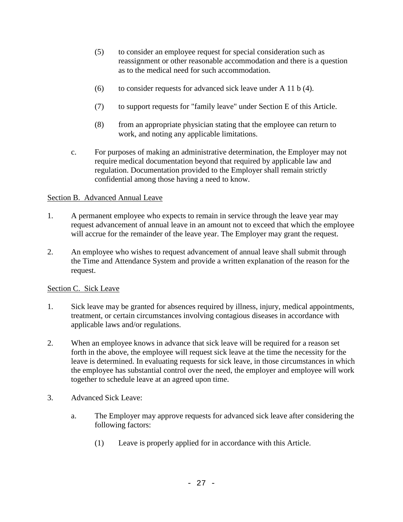- (5) to consider an employee request for special consideration such as reassignment or other reasonable accommodation and there is a question as to the medical need for such accommodation.
- (6) to consider requests for advanced sick leave under A 11 b (4).
- (7) to support requests for "family leave" under Section E of this Article.
- (8) from an appropriate physician stating that the employee can return to work, and noting any applicable limitations.
- c. For purposes of making an administrative determination, the Employer may not require medical documentation beyond that required by applicable law and regulation. Documentation provided to the Employer shall remain strictly confidential among those having a need to know.

## Section B. Advanced Annual Leave

- 1. A permanent employee who expects to remain in service through the leave year may request advancement of annual leave in an amount not to exceed that which the employee will accrue for the remainder of the leave year. The Employer may grant the request.
- 2. An employee who wishes to request advancement of annual leave shall submit through the Time and Attendance System and provide a written explanation of the reason for the request.

## Section C. Sick Leave

- 1. Sick leave may be granted for absences required by illness, injury, medical appointments, treatment, or certain circumstances involving contagious diseases in accordance with applicable laws and/or regulations.
- 2. When an employee knows in advance that sick leave will be required for a reason set forth in the above, the employee will request sick leave at the time the necessity for the leave is determined. In evaluating requests for sick leave, in those circumstances in which the employee has substantial control over the need, the employer and employee will work together to schedule leave at an agreed upon time.
- 3. Advanced Sick Leave:
	- a. The Employer may approve requests for advanced sick leave after considering the following factors:
		- (1) Leave is properly applied for in accordance with this Article.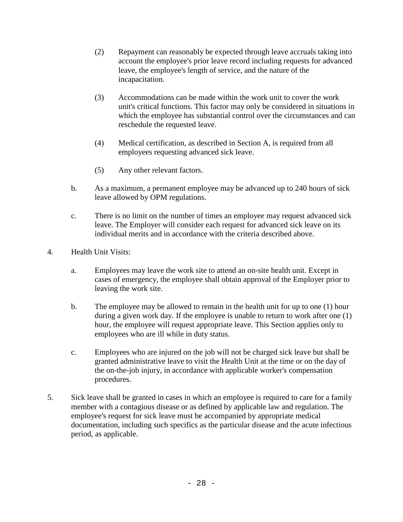- (2) Repayment can reasonably be expected through leave accruals taking into account the employee's prior leave record including requests for advanced leave, the employee's length of service, and the nature of the incapacitation.
- (3) Accommodations can be made within the work unit to cover the work unit's critical functions. This factor may only be considered in situations in which the employee has substantial control over the circumstances and can reschedule the requested leave.
- (4) Medical certification, as described in Section A, is required from all employees requesting advanced sick leave.
- (5) Any other relevant factors.
- b. As a maximum, a permanent employee may be advanced up to 240 hours of sick leave allowed by OPM regulations.
- c. There is no limit on the number of times an employee may request advanced sick leave. The Employer will consider each request for advanced sick leave on its individual merits and in accordance with the criteria described above.
- 4. Health Unit Visits:
	- a. Employees may leave the work site to attend an on-site health unit. Except in cases of emergency, the employee shall obtain approval of the Employer prior to leaving the work site.
	- b. The employee may be allowed to remain in the health unit for up to one (1) hour during a given work day. If the employee is unable to return to work after one (1) hour, the employee will request appropriate leave. This Section applies only to employees who are ill while in duty status.
	- c. Employees who are injured on the job will not be charged sick leave but shall be granted administrative leave to visit the Health Unit at the time or on the day of the on-the-job injury, in accordance with applicable worker's compensation procedures.
- 5. Sick leave shall be granted in cases in which an employee is required to care for a family member with a contagious disease or as defined by applicable law and regulation. The employee's request for sick leave must be accompanied by appropriate medical documentation, including such specifics as the particular disease and the acute infectious period, as applicable.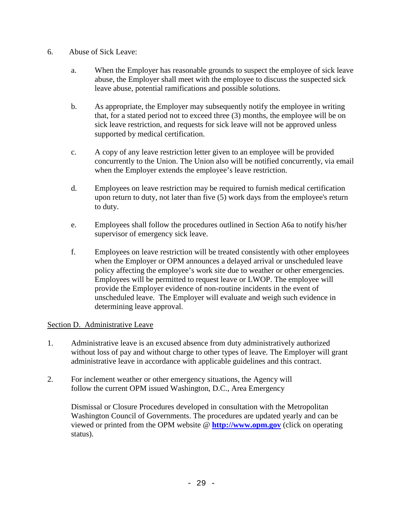- 6. Abuse of Sick Leave:
	- a. When the Employer has reasonable grounds to suspect the employee of sick leave abuse, the Employer shall meet with the employee to discuss the suspected sick leave abuse, potential ramifications and possible solutions.
	- b. As appropriate, the Employer may subsequently notify the employee in writing that, for a stated period not to exceed three (3) months, the employee will be on sick leave restriction, and requests for sick leave will not be approved unless supported by medical certification.
	- c. A copy of any leave restriction letter given to an employee will be provided concurrently to the Union. The Union also will be notified concurrently, via email when the Employer extends the employee's leave restriction.
	- d. Employees on leave restriction may be required to furnish medical certification upon return to duty, not later than five (5) work days from the employee's return to duty.
	- e. Employees shall follow the procedures outlined in Section A6a to notify his/her supervisor of emergency sick leave.
	- f. Employees on leave restriction will be treated consistently with other employees when the Employer or OPM announces a delayed arrival or unscheduled leave policy affecting the employee's work site due to weather or other emergencies. Employees will be permitted to request leave or LWOP. The employee will provide the Employer evidence of non-routine incidents in the event of unscheduled leave. The Employer will evaluate and weigh such evidence in determining leave approval.

## Section D. Administrative Leave

- 1. Administrative leave is an excused absence from duty administratively authorized without loss of pay and without charge to other types of leave. The Employer will grant administrative leave in accordance with applicable guidelines and this contract.
- 2. For inclement weather or other emergency situations, the Agency will follow the current OPM issued Washington, D.C., Area Emergency

Dismissal or Closure Procedures developed in consultation with the Metropolitan Washington Council of Governments. The procedures are updated yearly and can be viewed or printed from the OPM website @ **http://www.opm.gov** (click on operating status).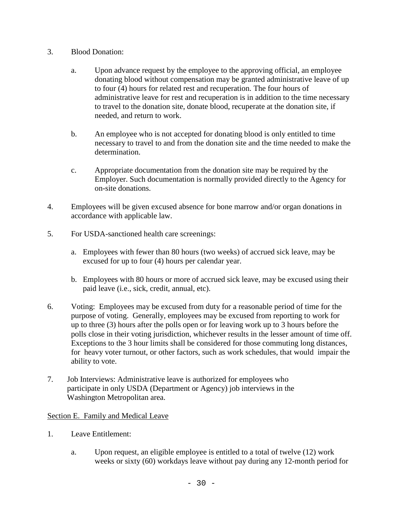- 3. Blood Donation:
	- a. Upon advance request by the employee to the approving official, an employee donating blood without compensation may be granted administrative leave of up to four (4) hours for related rest and recuperation. The four hours of administrative leave for rest and recuperation is in addition to the time necessary to travel to the donation site, donate blood, recuperate at the donation site, if needed, and return to work.
	- b. An employee who is not accepted for donating blood is only entitled to time necessary to travel to and from the donation site and the time needed to make the determination.
	- c. Appropriate documentation from the donation site may be required by the Employer. Such documentation is normally provided directly to the Agency for on-site donations.
- 4. Employees will be given excused absence for bone marrow and/or organ donations in accordance with applicable law.
- 5. For USDA-sanctioned health care screenings:
	- a. Employees with fewer than 80 hours (two weeks) of accrued sick leave, may be excused for up to four (4) hours per calendar year.
	- b. Employees with 80 hours or more of accrued sick leave, may be excused using their paid leave (i.e., sick, credit, annual, etc).
- 6. Voting: Employees may be excused from duty for a reasonable period of time for the purpose of voting.Generally, employees may be excused from reporting to work for up to three (3) hours after the polls open or for leaving work up to 3 hours before the polls close in their voting jurisdiction, whichever results in the lesser amount of time off. Exceptions to the 3 hour limits shall be considered for those commuting long distances, for heavy voter turnout, or other factors, such as work schedules, that would impair the ability to vote.
- 7. Job Interviews: Administrative leave is authorized for employees who participate in only USDA (Department or Agency) job interviews in the Washington Metropolitan area.

## Section E. Family and Medical Leave

- 1. Leave Entitlement:
	- a. Upon request, an eligible employee is entitled to a total of twelve (12) work weeks or sixty (60) workdays leave without pay during any 12-month period for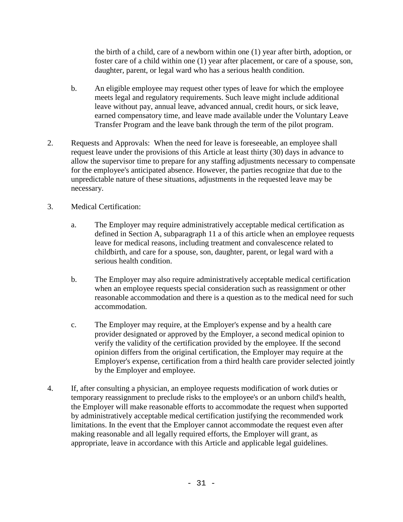the birth of a child, care of a newborn within one (1) year after birth, adoption, or foster care of a child within one (1) year after placement, or care of a spouse, son, daughter, parent, or legal ward who has a serious health condition.

- b. An eligible employee may request other types of leave for which the employee meets legal and regulatory requirements. Such leave might include additional leave without pay, annual leave, advanced annual, credit hours, or sick leave, earned compensatory time, and leave made available under the Voluntary Leave Transfer Program and the leave bank through the term of the pilot program.
- 2. Requests and Approvals: When the need for leave is foreseeable, an employee shall request leave under the provisions of this Article at least thirty (30) days in advance to allow the supervisor time to prepare for any staffing adjustments necessary to compensate for the employee's anticipated absence. However, the parties recognize that due to the unpredictable nature of these situations, adjustments in the requested leave may be necessary.
- 3. Medical Certification:
	- a. The Employer may require administratively acceptable medical certification as defined in Section A, subparagraph 11 a of this article when an employee requests leave for medical reasons, including treatment and convalescence related to childbirth, and care for a spouse, son, daughter, parent, or legal ward with a serious health condition.
	- b. The Employer may also require administratively acceptable medical certification when an employee requests special consideration such as reassignment or other reasonable accommodation and there is a question as to the medical need for such accommodation.
	- c. The Employer may require, at the Employer's expense and by a health care provider designated or approved by the Employer, a second medical opinion to verify the validity of the certification provided by the employee. If the second opinion differs from the original certification, the Employer may require at the Employer's expense, certification from a third health care provider selected jointly by the Employer and employee.
- 4. If, after consulting a physician, an employee requests modification of work duties or temporary reassignment to preclude risks to the employee's or an unborn child's health, the Employer will make reasonable efforts to accommodate the request when supported by administratively acceptable medical certification justifying the recommended work limitations. In the event that the Employer cannot accommodate the request even after making reasonable and all legally required efforts, the Employer will grant, as appropriate, leave in accordance with this Article and applicable legal guidelines.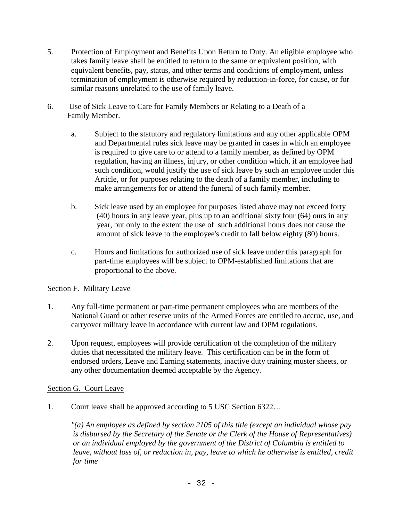- 5. Protection of Employment and Benefits Upon Return to Duty. An eligible employee who takes family leave shall be entitled to return to the same or equivalent position, with equivalent benefits, pay, status, and other terms and conditions of employment, unless termination of employment is otherwise required by reduction-in-force, for cause, or for similar reasons unrelated to the use of family leave.
- 6. Use of Sick Leave to Care for Family Members or Relating to a Death of a Family Member.
	- a. Subject to the statutory and regulatory limitations and any other applicable OPM and Departmental rules sick leave may be granted in cases in which an employee is required to give care to or attend to a family member, as defined by OPM regulation, having an illness, injury, or other condition which, if an employee had such condition, would justify the use of sick leave by such an employee under this Article, or for purposes relating to the death of a family member, including to make arrangements for or attend the funeral of such family member.
	- b. Sick leave used by an employee for purposes listed above may not exceed forty (40) hours in any leave year, plus up to an additional sixty four (64) ours in any year, but only to the extent the use of such additional hours does not cause the amount of sick leave to the employee's credit to fall below eighty (80) hours.
	- c. Hours and limitations for authorized use of sick leave under this paragraph for part-time employees will be subject to OPM-established limitations that are proportional to the above.

## Section F. Military Leave

- 1. Any full-time permanent or part-time permanent employees who are members of the National Guard or other reserve units of the Armed Forces are entitled to accrue, use, and carryover military leave in accordance with current law and OPM regulations.
- 2. Upon request, employees will provide certification of the completion of the military duties that necessitated the military leave. This certification can be in the form of endorsed orders, Leave and Earning statements, inactive duty training muster sheets, or any other documentation deemed acceptable by the Agency.

## Section G. Court Leave

1. Court leave shall be approved according to 5 USC Section 6322…

*"(a) An employee as defined by section 2105 of this title (except an individual whose pay is disbursed by the Secretary of the Senate or the Clerk of the House of Representatives) or an individual employed by the government of the District of Columbia is entitled to leave, without loss of, or reduction in, pay, leave to which he otherwise is entitled, credit for time*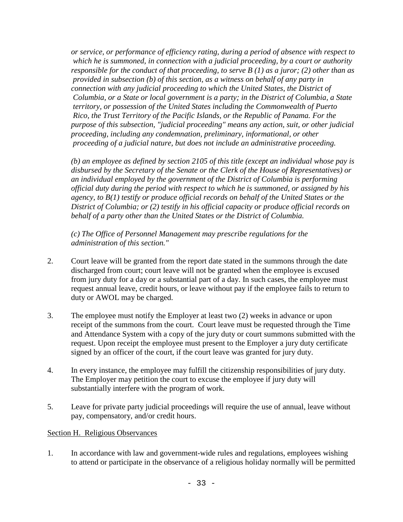*or service, or performance of efficiency rating, during a period of absence with respect to which he is summoned, in connection with a judicial proceeding, by a court or authority responsible for the conduct of that proceeding, to serve B (1) as a juror; (2) other than as provided in subsection (b) of this section, as a witness on behalf of any party in connection with any judicial proceeding to which the United States, the District of Columbia, or a State or local government is a party; in the District of Columbia, a State territory, or possession of the United States including the Commonwealth of Puerto Rico, the Trust Territory of the Pacific Islands, or the Republic of Panama. For the purpose of this subsection, "judicial proceeding" means any action, suit, or other judicial proceeding, including any condemnation, preliminary, informational, or other proceeding of a judicial nature, but does not include an administrative proceeding.*

*(b) an employee as defined by section 2105 of this title (except an individual whose pay is disbursed by the Secretary of the Senate or the Clerk of the House of Representatives) or an individual employed by the government of the District of Columbia is performing official duty during the period with respect to which he is summoned, or assigned by his agency, to B(1) testify or produce official records on behalf of the United States or the District of Columbia; or (2) testify in his official capacity or produce official records on behalf of a party other than the United States or the District of Columbia.*

*(c) The Office of Personnel Management may prescribe regulations for the administration of this section."*

- 2. Court leave will be granted from the report date stated in the summons through the date discharged from court; court leave will not be granted when the employee is excused from jury duty for a day or a substantial part of a day. In such cases, the employee must request annual leave, credit hours, or leave without pay if the employee fails to return to duty or AWOL may be charged.
- 3. The employee must notify the Employer at least two (2) weeks in advance or upon receipt of the summons from the court. Court leave must be requested through the Time and Attendance System with a copy of the jury duty or court summons submitted with the request. Upon receipt the employee must present to the Employer a jury duty certificate signed by an officer of the court, if the court leave was granted for jury duty.
- 4. In every instance, the employee may fulfill the citizenship responsibilities of jury duty. The Employer may petition the court to excuse the employee if jury duty will substantially interfere with the program of work.
- 5. Leave for private party judicial proceedings will require the use of annual, leave without pay, compensatory, and/or credit hours.

## Section H. Religious Observances

1. In accordance with law and government-wide rules and regulations, employees wishing to attend or participate in the observance of a religious holiday normally will be permitted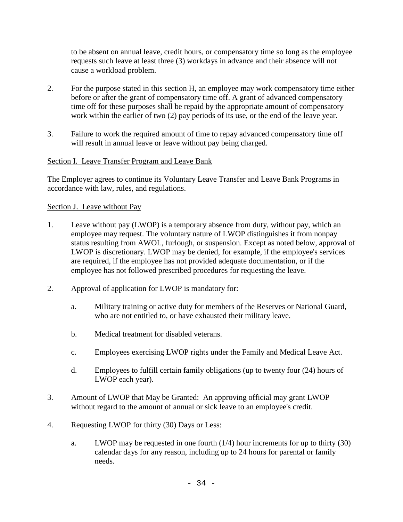to be absent on annual leave, credit hours, or compensatory time so long as the employee requests such leave at least three (3) workdays in advance and their absence will not cause a workload problem.

- 2. For the purpose stated in this section H, an employee may work compensatory time either before or after the grant of compensatory time off. A grant of advanced compensatory time off for these purposes shall be repaid by the appropriate amount of compensatory work within the earlier of two (2) pay periods of its use, or the end of the leave year.
- 3. Failure to work the required amount of time to repay advanced compensatory time off will result in annual leave or leave without pay being charged.

## Section I. Leave Transfer Program and Leave Bank

The Employer agrees to continue its Voluntary Leave Transfer and Leave Bank Programs in accordance with law, rules, and regulations.

#### Section J. Leave without Pay

- 1. Leave without pay (LWOP) is a temporary absence from duty, without pay, which an employee may request. The voluntary nature of LWOP distinguishes it from nonpay status resulting from AWOL, furlough, or suspension. Except as noted below, approval of LWOP is discretionary. LWOP may be denied, for example, if the employee's services are required, if the employee has not provided adequate documentation, or if the employee has not followed prescribed procedures for requesting the leave.
- 2. Approval of application for LWOP is mandatory for:
	- a. Military training or active duty for members of the Reserves or National Guard, who are not entitled to, or have exhausted their military leave.
	- b. Medical treatment for disabled veterans.
	- c. Employees exercising LWOP rights under the Family and Medical Leave Act.
	- d. Employees to fulfill certain family obligations (up to twenty four (24) hours of LWOP each year).
- 3. Amount of LWOP that May be Granted: An approving official may grant LWOP without regard to the amount of annual or sick leave to an employee's credit.
- 4. Requesting LWOP for thirty (30) Days or Less:
	- a. LWOP may be requested in one fourth  $(1/4)$  hour increments for up to thirty  $(30)$ calendar days for any reason, including up to 24 hours for parental or family needs.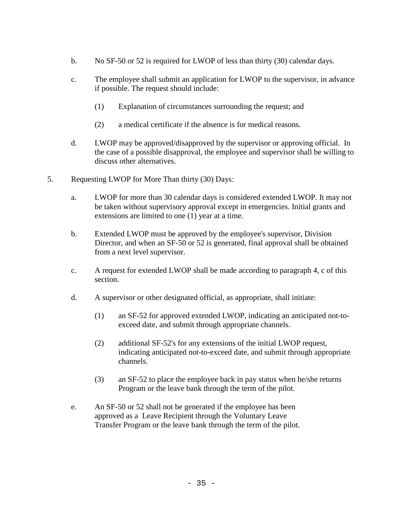- b. No SF-50 or 52 is required for LWOP of less than thirty (30) calendar days.
- c. The employee shall submit an application for LWOP to the supervisor, in advance if possible. The request should include:
	- (1) Explanation of circumstances surrounding the request; and
	- (2) a medical certificate if the absence is for medical reasons.
- d. LWOP may be approved/disapproved by the supervisor or approving official. In the case of a possible disapproval, the employee and supervisor shall be willing to discuss other alternatives.
- 5. Requesting LWOP for More Than thirty (30) Days:
	- a. LWOP for more than 30 calendar days is considered extended LWOP. It may not be taken without supervisory approval except in emergencies. Initial grants and extensions are limited to one (1) year at a time.
	- b. Extended LWOP must be approved by the employee's supervisor, Division Director, and when an SF-50 or 52 is generated, final approval shall be obtained from a next level supervisor.
	- c. A request for extended LWOP shall be made according to paragraph 4, c of this section.
	- d. A supervisor or other designated official, as appropriate, shall initiate:
		- (1) an SF-52 for approved extended LWOP, indicating an anticipated not-toexceed date, and submit through appropriate channels.
		- (2) additional SF-52's for any extensions of the initial LWOP request, indicating anticipated not-to-exceed date, and submit through appropriate channels.
		- (3) an SF-52 to place the employee back in pay status when he/she returns Program or the leave bank through the term of the pilot.
	- e. An SF-50 or 52 shall not be generated if the employee has been approved as a Leave Recipient through the Voluntary Leave Transfer Program or the leave bank through the term of the pilot.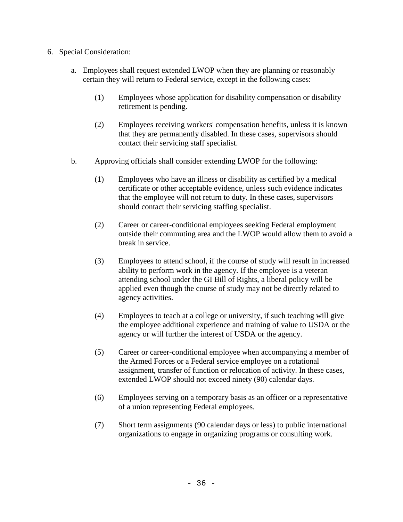- 6. Special Consideration:
	- a. Employees shall request extended LWOP when they are planning or reasonably certain they will return to Federal service, except in the following cases:
		- (1) Employees whose application for disability compensation or disability retirement is pending.
		- (2) Employees receiving workers' compensation benefits, unless it is known that they are permanently disabled. In these cases, supervisors should contact their servicing staff specialist.
	- b. Approving officials shall consider extending LWOP for the following:
		- (1) Employees who have an illness or disability as certified by a medical certificate or other acceptable evidence, unless such evidence indicates that the employee will not return to duty. In these cases, supervisors should contact their servicing staffing specialist.
		- (2) Career or career-conditional employees seeking Federal employment outside their commuting area and the LWOP would allow them to avoid a break in service.
		- (3) Employees to attend school, if the course of study will result in increased ability to perform work in the agency. If the employee is a veteran attending school under the GI Bill of Rights, a liberal policy will be applied even though the course of study may not be directly related to agency activities.
		- (4) Employees to teach at a college or university, if such teaching will give the employee additional experience and training of value to USDA or the agency or will further the interest of USDA or the agency.
		- (5) Career or career-conditional employee when accompanying a member of the Armed Forces or a Federal service employee on a rotational assignment, transfer of function or relocation of activity. In these cases, extended LWOP should not exceed ninety (90) calendar days.
		- (6) Employees serving on a temporary basis as an officer or a representative of a union representing Federal employees.
		- (7) Short term assignments (90 calendar days or less) to public international organizations to engage in organizing programs or consulting work.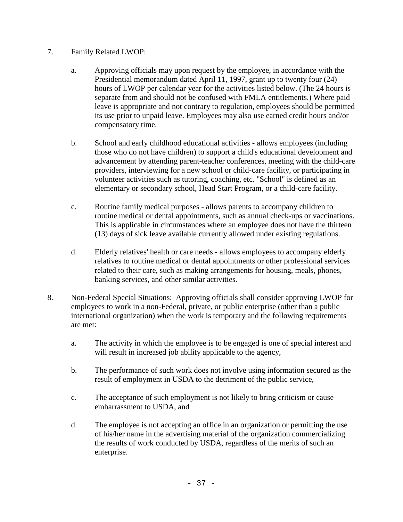- 7. Family Related LWOP:
	- a. Approving officials may upon request by the employee, in accordance with the Presidential memorandum dated April 11, 1997, grant up to twenty four (24) hours of LWOP per calendar year for the activities listed below. (The 24 hours is separate from and should not be confused with FMLA entitlements.) Where paid leave is appropriate and not contrary to regulation, employees should be permitted its use prior to unpaid leave. Employees may also use earned credit hours and/or compensatory time.
	- b. School and early childhood educational activities allows employees (including those who do not have children) to support a child's educational development and advancement by attending parent-teacher conferences, meeting with the child-care providers, interviewing for a new school or child-care facility, or participating in volunteer activities such as tutoring, coaching, etc. "School" is defined as an elementary or secondary school, Head Start Program, or a child-care facility.
	- c. Routine family medical purposes allows parents to accompany children to routine medical or dental appointments, such as annual check-ups or vaccinations. This is applicable in circumstances where an employee does not have the thirteen (13) days of sick leave available currently allowed under existing regulations.
	- d. Elderly relatives' health or care needs allows employees to accompany elderly relatives to routine medical or dental appointments or other professional services related to their care, such as making arrangements for housing, meals, phones, banking services, and other similar activities.
- 8. Non-Federal Special Situations: Approving officials shall consider approving LWOP for employees to work in a non-Federal, private, or public enterprise (other than a public international organization) when the work is temporary and the following requirements are met:
	- a. The activity in which the employee is to be engaged is one of special interest and will result in increased job ability applicable to the agency,
	- b. The performance of such work does not involve using information secured as the result of employment in USDA to the detriment of the public service,
	- c. The acceptance of such employment is not likely to bring criticism or cause embarrassment to USDA, and
	- d. The employee is not accepting an office in an organization or permitting the use of his/her name in the advertising material of the organization commercializing the results of work conducted by USDA, regardless of the merits of such an enterprise.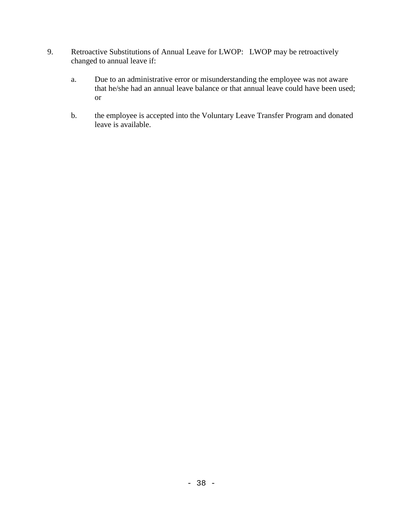- 9. Retroactive Substitutions of Annual Leave for LWOP: LWOP may be retroactively changed to annual leave if:
	- a. Due to an administrative error or misunderstanding the employee was not aware that he/she had an annual leave balance or that annual leave could have been used; or
	- b. the employee is accepted into the Voluntary Leave Transfer Program and donated leave is available.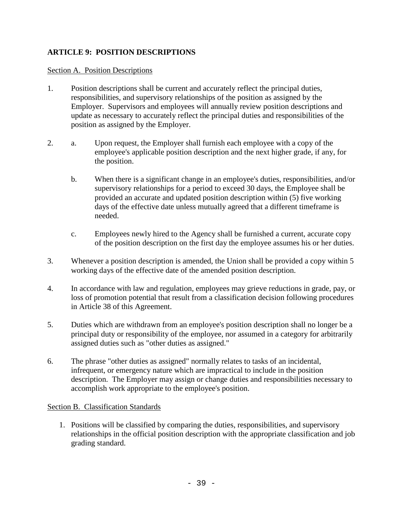## **ARTICLE 9: POSITION DESCRIPTIONS**

### Section A. Position Descriptions

- 1. Position descriptions shall be current and accurately reflect the principal duties, responsibilities, and supervisory relationships of the position as assigned by the Employer. Supervisors and employees will annually review position descriptions and update as necessary to accurately reflect the principal duties and responsibilities of the position as assigned by the Employer.
- 2. a. Upon request, the Employer shall furnish each employee with a copy of the employee's applicable position description and the next higher grade, if any, for the position.
	- b. When there is a significant change in an employee's duties, responsibilities, and/or supervisory relationships for a period to exceed 30 days, the Employee shall be provided an accurate and updated position description within (5) five working days of the effective date unless mutually agreed that a different timeframe is needed.
	- c. Employees newly hired to the Agency shall be furnished a current, accurate copy of the position description on the first day the employee assumes his or her duties.
- 3. Whenever a position description is amended, the Union shall be provided a copy within 5 working days of the effective date of the amended position description.
- 4. In accordance with law and regulation, employees may grieve reductions in grade, pay, or loss of promotion potential that result from a classification decision following procedures in Article 38 of this Agreement.
- 5. Duties which are withdrawn from an employee's position description shall no longer be a principal duty or responsibility of the employee, nor assumed in a category for arbitrarily assigned duties such as "other duties as assigned."
- 6. The phrase "other duties as assigned" normally relates to tasks of an incidental, infrequent, or emergency nature which are impractical to include in the position description. The Employer may assign or change duties and responsibilities necessary to accomplish work appropriate to the employee's position.

## Section B. Classification Standards

1. Positions will be classified by comparing the duties, responsibilities, and supervisory relationships in the official position description with the appropriate classification and job grading standard.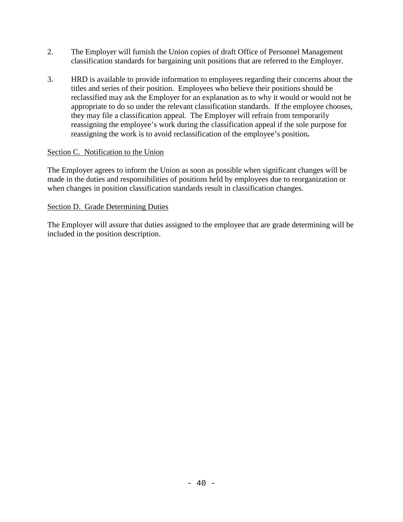- 2. The Employer will furnish the Union copies of draft Office of Personnel Management classification standards for bargaining unit positions that are referred to the Employer.
- 3. HRD is available to provide information to employees regarding their concerns about the titles and series of their position. Employees who believe their positions should be reclassified may ask the Employer for an explanation as to why it would or would not be appropriate to do so under the relevant classification standards. If the employee chooses, they may file a classification appeal. The Employer will refrain from temporarily reassigning the employee's work during the classification appeal if the sole purpose for reassigning the work is to avoid reclassification of the employee's position**.**

## Section C. Notification to the Union

The Employer agrees to inform the Union as soon as possible when significant changes will be made in the duties and responsibilities of positions held by employees due to reorganization or when changes in position classification standards result in classification changes.

## Section D. Grade Determining Duties

The Employer will assure that duties assigned to the employee that are grade determining will be included in the position description.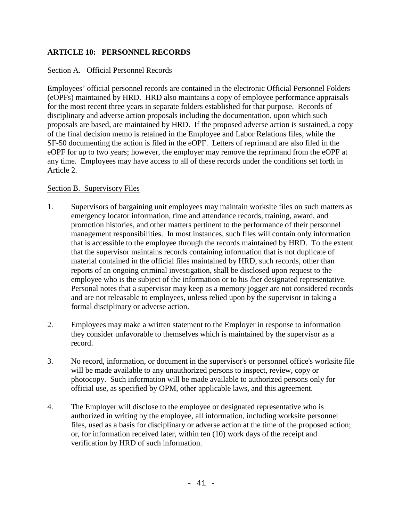## **ARTICLE 10: PERSONNEL RECORDS**

### Section A. Official Personnel Records

Employees' official personnel records are contained in the electronic Official Personnel Folders (eOPFs) maintained by HRD. HRD also maintains a copy of employee performance appraisals for the most recent three years in separate folders established for that purpose. Records of disciplinary and adverse action proposals including the documentation, upon which such proposals are based, are maintained by HRD. If the proposed adverse action is sustained, a copy of the final decision memo is retained in the Employee and Labor Relations files, while the SF-50 documenting the action is filed in the eOPF. Letters of reprimand are also filed in the eOPF for up to two years; however, the employer may remove the reprimand from the eOPF at any time. Employees may have access to all of these records under the conditions set forth in Article 2.

### Section B. Supervisory Files

- 1. Supervisors of bargaining unit employees may maintain worksite files on such matters as emergency locator information, time and attendance records, training, award, and promotion histories, and other matters pertinent to the performance of their personnel management responsibilities. In most instances, such files will contain only information that is accessible to the employee through the records maintained by HRD. To the extent that the supervisor maintains records containing information that is not duplicate of material contained in the official files maintained by HRD, such records, other than reports of an ongoing criminal investigation, shall be disclosed upon request to the employee who is the subject of the information or to his /her designated representative. Personal notes that a supervisor may keep as a memory jogger are not considered records and are not releasable to employees, unless relied upon by the supervisor in taking a formal disciplinary or adverse action.
- 2. Employees may make a written statement to the Employer in response to information they consider unfavorable to themselves which is maintained by the supervisor as a record.
- 3. No record, information, or document in the supervisor's or personnel office's worksite file will be made available to any unauthorized persons to inspect, review, copy or photocopy. Such information will be made available to authorized persons only for official use, as specified by OPM, other applicable laws, and this agreement.
- 4. The Employer will disclose to the employee or designated representative who is authorized in writing by the employee, all information, including worksite personnel files, used as a basis for disciplinary or adverse action at the time of the proposed action; or, for information received later, within ten (10) work days of the receipt and verification by HRD of such information.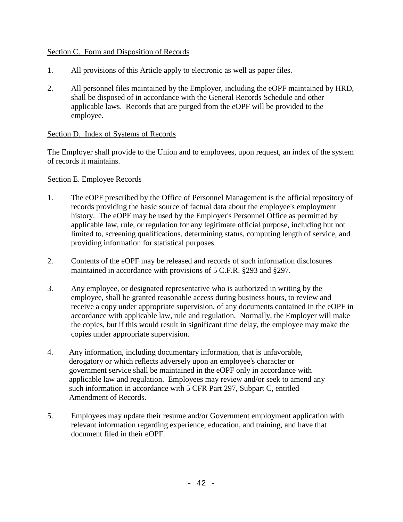### Section C. Form and Disposition of Records

- 1. All provisions of this Article apply to electronic as well as paper files.
- 2. All personnel files maintained by the Employer, including the eOPF maintained by HRD, shall be disposed of in accordance with the General Records Schedule and other applicable laws. Records that are purged from the eOPF will be provided to the employee.

### Section D. Index of Systems of Records

The Employer shall provide to the Union and to employees, upon request, an index of the system of records it maintains.

### Section E. Employee Records

- 1. The eOPF prescribed by the Office of Personnel Management is the official repository of records providing the basic source of factual data about the employee's employment history. The eOPF may be used by the Employer's Personnel Office as permitted by applicable law, rule, or regulation for any legitimate official purpose, including but not limited to, screening qualifications, determining status, computing length of service, and providing information for statistical purposes.
- 2. Contents of the eOPF may be released and records of such information disclosures maintained in accordance with provisions of 5 C.F.R. §293 and §297.
- 3. Any employee, or designated representative who is authorized in writing by the employee, shall be granted reasonable access during business hours, to review and receive a copy under appropriate supervision, of any documents contained in the eOPF in accordance with applicable law, rule and regulation. Normally, the Employer will make the copies, but if this would result in significant time delay, the employee may make the copies under appropriate supervision.
- 4. Any information, including documentary information, that is unfavorable, derogatory or which reflects adversely upon an employee's character or government service shall be maintained in the eOPF only in accordance with applicable law and regulation. Employees may review and/or seek to amend any such information in accordance with 5 CFR Part 297, Subpart C, entitled Amendment of Records.
- 5. Employees may update their resume and/or Government employment application with relevant information regarding experience, education, and training, and have that document filed in their eOPF.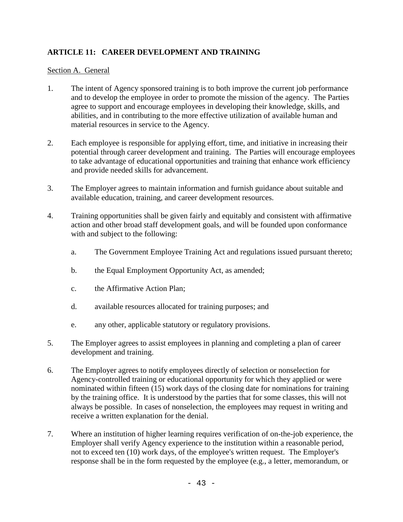## **ARTICLE 11: CAREER DEVELOPMENT AND TRAINING**

### Section A. General

- 1. The intent of Agency sponsored training is to both improve the current job performance and to develop the employee in order to promote the mission of the agency. The Parties agree to support and encourage employees in developing their knowledge, skills, and abilities, and in contributing to the more effective utilization of available human and material resources in service to the Agency.
- 2. Each employee is responsible for applying effort, time, and initiative in increasing their potential through career development and training. The Parties will encourage employees to take advantage of educational opportunities and training that enhance work efficiency and provide needed skills for advancement.
- 3. The Employer agrees to maintain information and furnish guidance about suitable and available education, training, and career development resources.
- 4. Training opportunities shall be given fairly and equitably and consistent with affirmative action and other broad staff development goals, and will be founded upon conformance with and subject to the following:
	- a. The Government Employee Training Act and regulations issued pursuant thereto;
	- b. the Equal Employment Opportunity Act, as amended;
	- c. the Affirmative Action Plan;
	- d. available resources allocated for training purposes; and
	- e. any other, applicable statutory or regulatory provisions.
- 5. The Employer agrees to assist employees in planning and completing a plan of career development and training.
- 6. The Employer agrees to notify employees directly of selection or nonselection for Agency-controlled training or educational opportunity for which they applied or were nominated within fifteen (15) work days of the closing date for nominations for training by the training office. It is understood by the parties that for some classes, this will not always be possible. In cases of nonselection, the employees may request in writing and receive a written explanation for the denial.
- 7. Where an institution of higher learning requires verification of on-the-job experience, the Employer shall verify Agency experience to the institution within a reasonable period, not to exceed ten (10) work days, of the employee's written request. The Employer's response shall be in the form requested by the employee (e.g., a letter, memorandum, or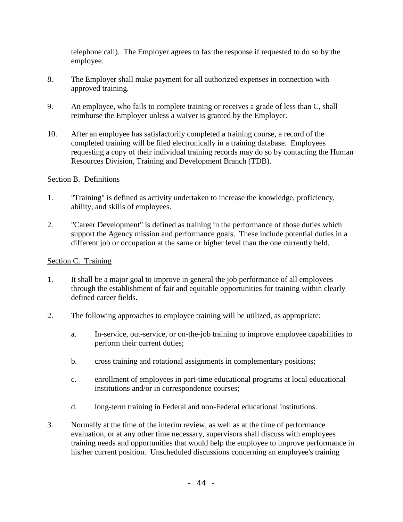telephone call). The Employer agrees to fax the response if requested to do so by the employee.

- 8. The Employer shall make payment for all authorized expenses in connection with approved training.
- 9. An employee, who fails to complete training or receives a grade of less than C, shall reimburse the Employer unless a waiver is granted by the Employer.
- 10. After an employee has satisfactorily completed a training course, a record of the completed training will be filed electronically in a training database. Employees requesting a copy of their individual training records may do so by contacting the Human Resources Division, Training and Development Branch (TDB).

### Section B. Definitions

- 1. "Training" is defined as activity undertaken to increase the knowledge, proficiency, ability, and skills of employees.
- 2. "Career Development" is defined as training in the performance of those duties which support the Agency mission and performance goals. These include potential duties in a different job or occupation at the same or higher level than the one currently held.

### Section C. Training

- 1. It shall be a major goal to improve in general the job performance of all employees through the establishment of fair and equitable opportunities for training within clearly defined career fields.
- 2. The following approaches to employee training will be utilized, as appropriate:
	- a. In-service, out-service, or on-the-job training to improve employee capabilities to perform their current duties;
	- b. cross training and rotational assignments in complementary positions;
	- c. enrollment of employees in part-time educational programs at local educational institutions and/or in correspondence courses;
	- d. long-term training in Federal and non-Federal educational institutions.
- 3. Normally at the time of the interim review, as well as at the time of performance evaluation, or at any other time necessary, supervisors shall discuss with employees training needs and opportunities that would help the employee to improve performance in his/her current position. Unscheduled discussions concerning an employee's training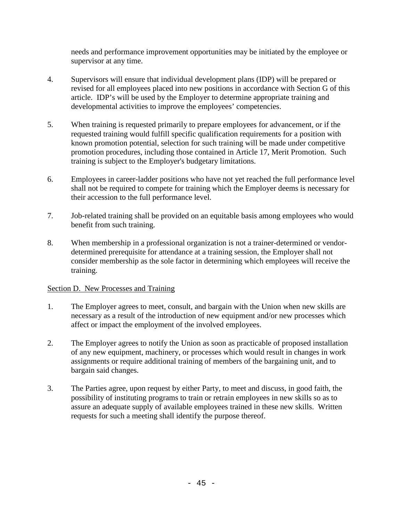needs and performance improvement opportunities may be initiated by the employee or supervisor at any time.

- 4. Supervisors will ensure that individual development plans (IDP) will be prepared or revised for all employees placed into new positions in accordance with Section G of this article. IDP's will be used by the Employer to determine appropriate training and developmental activities to improve the employees' competencies.
- 5. When training is requested primarily to prepare employees for advancement, or if the requested training would fulfill specific qualification requirements for a position with known promotion potential, selection for such training will be made under competitive promotion procedures, including those contained in Article 17, Merit Promotion. Such training is subject to the Employer's budgetary limitations.
- 6. Employees in career-ladder positions who have not yet reached the full performance level shall not be required to compete for training which the Employer deems is necessary for their accession to the full performance level.
- 7. Job-related training shall be provided on an equitable basis among employees who would benefit from such training.
- 8. When membership in a professional organization is not a trainer-determined or vendordetermined prerequisite for attendance at a training session, the Employer shall not consider membership as the sole factor in determining which employees will receive the training.

## Section D. New Processes and Training

- 1. The Employer agrees to meet, consult, and bargain with the Union when new skills are necessary as a result of the introduction of new equipment and/or new processes which affect or impact the employment of the involved employees.
- 2. The Employer agrees to notify the Union as soon as practicable of proposed installation of any new equipment, machinery, or processes which would result in changes in work assignments or require additional training of members of the bargaining unit, and to bargain said changes.
- 3. The Parties agree, upon request by either Party, to meet and discuss, in good faith, the possibility of instituting programs to train or retrain employees in new skills so as to assure an adequate supply of available employees trained in these new skills. Written requests for such a meeting shall identify the purpose thereof.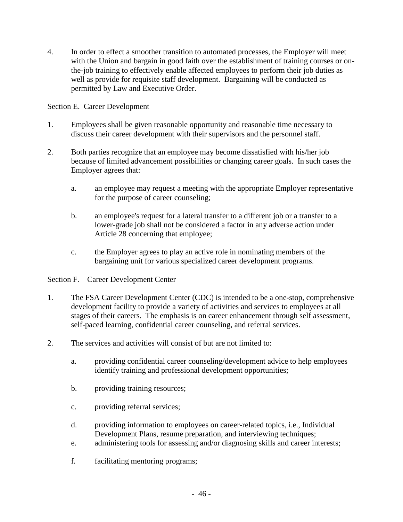4. In order to effect a smoother transition to automated processes, the Employer will meet with the Union and bargain in good faith over the establishment of training courses or onthe-job training to effectively enable affected employees to perform their job duties as well as provide for requisite staff development. Bargaining will be conducted as permitted by Law and Executive Order.

## Section E. Career Development

- 1. Employees shall be given reasonable opportunity and reasonable time necessary to discuss their career development with their supervisors and the personnel staff.
- 2. Both parties recognize that an employee may become dissatisfied with his/her job because of limited advancement possibilities or changing career goals. In such cases the Employer agrees that:
	- a. an employee may request a meeting with the appropriate Employer representative for the purpose of career counseling;
	- b. an employee's request for a lateral transfer to a different job or a transfer to a lower-grade job shall not be considered a factor in any adverse action under Article 28 concerning that employee;
	- c. the Employer agrees to play an active role in nominating members of the bargaining unit for various specialized career development programs.

## Section F. Career Development Center

- 1. The FSA Career Development Center (CDC) is intended to be a one-stop, comprehensive development facility to provide a variety of activities and services to employees at all stages of their careers. The emphasis is on career enhancement through self assessment, self-paced learning, confidential career counseling, and referral services.
- 2. The services and activities will consist of but are not limited to:
	- a. providing confidential career counseling/development advice to help employees identify training and professional development opportunities;
	- b. providing training resources;
	- c. providing referral services;
	- d. providing information to employees on career-related topics, i.e., Individual Development Plans, resume preparation, and interviewing techniques;
	- e. administering tools for assessing and/or diagnosing skills and career interests;
	- f. facilitating mentoring programs;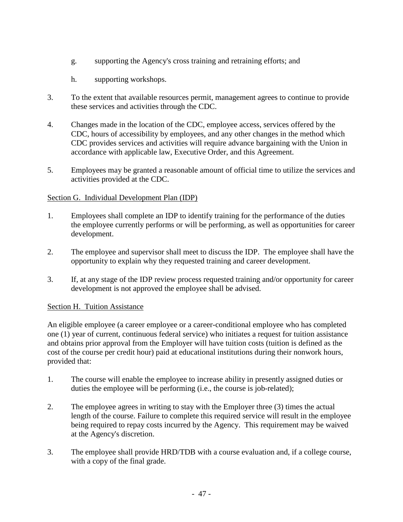- g. supporting the Agency's cross training and retraining efforts; and
- h. supporting workshops.
- 3. To the extent that available resources permit, management agrees to continue to provide these services and activities through the CDC.
- 4. Changes made in the location of the CDC, employee access, services offered by the CDC, hours of accessibility by employees, and any other changes in the method which CDC provides services and activities will require advance bargaining with the Union in accordance with applicable law, Executive Order, and this Agreement.
- 5. Employees may be granted a reasonable amount of official time to utilize the services and activities provided at the CDC.

## Section G. Individual Development Plan (IDP)

- 1. Employees shall complete an IDP to identify training for the performance of the duties the employee currently performs or will be performing, as well as opportunities for career development.
- 2. The employee and supervisor shall meet to discuss the IDP. The employee shall have the opportunity to explain why they requested training and career development.
- 3. If, at any stage of the IDP review process requested training and/or opportunity for career development is not approved the employee shall be advised.

## Section H. Tuition Assistance

An eligible employee (a career employee or a career-conditional employee who has completed one (1) year of current, continuous federal service) who initiates a request for tuition assistance and obtains prior approval from the Employer will have tuition costs (tuition is defined as the cost of the course per credit hour) paid at educational institutions during their nonwork hours, provided that:

- 1. The course will enable the employee to increase ability in presently assigned duties or duties the employee will be performing (i.e., the course is job-related);
- 2. The employee agrees in writing to stay with the Employer three (3) times the actual length of the course. Failure to complete this required service will result in the employee being required to repay costs incurred by the Agency. This requirement may be waived at the Agency's discretion.
- 3. The employee shall provide HRD/TDB with a course evaluation and, if a college course, with a copy of the final grade.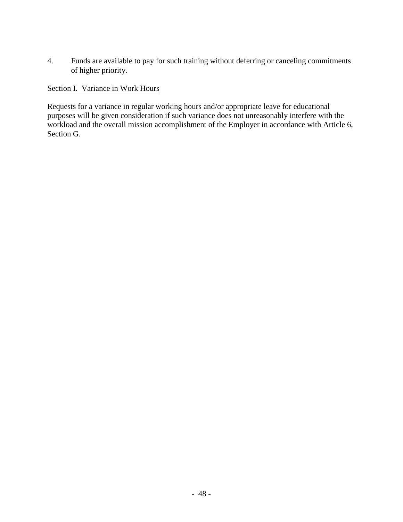4. Funds are available to pay for such training without deferring or canceling commitments of higher priority.

Section I. Variance in Work Hours

Requests for a variance in regular working hours and/or appropriate leave for educational purposes will be given consideration if such variance does not unreasonably interfere with the workload and the overall mission accomplishment of the Employer in accordance with Article 6, Section G.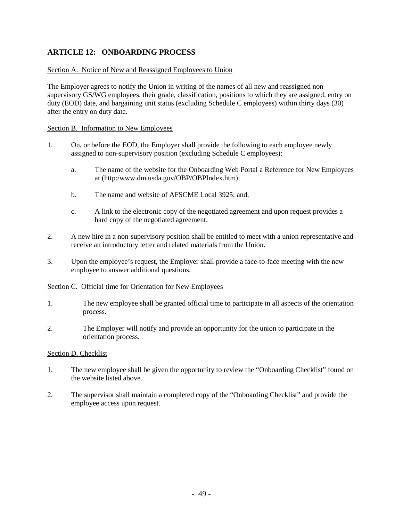## **ARTICLE 12: ONBOARDING PROCESS**

#### Section A. Notice of New and Reassigned Employees to Union

The Employer agrees to notify the Union in writing of the names of all new and reassigned nonsupervisory GS/WG employees, their grade, classification, positions to which they are assigned, entry on duty (EOD) date, and bargaining unit status (excluding Schedule C employees) within thirty days (30) after the entry on duty date.

#### Section B. Information to New Employees

- 1. On, or before the EOD, the Employer shall provide the following to each employee newly assigned to non-supervisory position (excluding Schedule C employees):
	- a. The name of the website for the Onboarding Web Portal a Reference for New Employees at (http:/www.dm.usda.gov/OBP/OBPIndex.htm);
	- b. The name and website of AFSCME Local 3925; and,
	- c. A link to the electronic copy of the negotiated agreement and upon request provides a hard copy of the negotiated agreement.
- 2. A new hire in a non-supervisory position shall be entitled to meet with a union representative and receive an introductory letter and related materials from the Union.
- 3. Upon the employee's request, the Employer shall provide a face-to-face meeting with the new employee to answer additional questions.

#### Section C. Official time for Orientation for New Employees

- 1. The new employee shall be granted official time to participate in all aspects of the orientation process.
- 2. The Employer will notify and provide an opportunity for the union to participate in the orientation process.

#### Section D. Checklist

- 1. The new employee shall be given the opportunity to review the "Onboarding Checklist" found on the website listed above.
- 2. The supervisor shall maintain a completed copy of the "Onboarding Checklist" and provide the employee access upon request.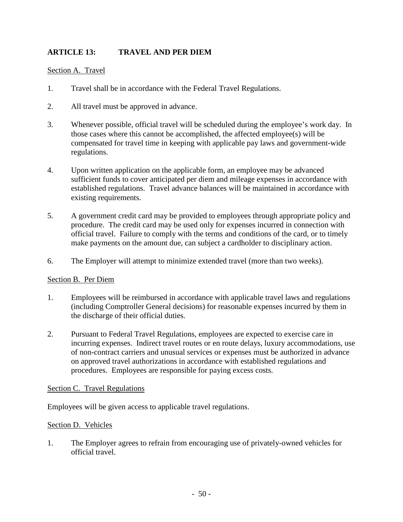# **ARTICLE 13: TRAVEL AND PER DIEM**

### Section A. Travel

- 1. Travel shall be in accordance with the Federal Travel Regulations.
- 2. All travel must be approved in advance.
- 3. Whenever possible, official travel will be scheduled during the employee's work day. In those cases where this cannot be accomplished, the affected employee(s) will be compensated for travel time in keeping with applicable pay laws and government-wide regulations.
- 4. Upon written application on the applicable form, an employee may be advanced sufficient funds to cover anticipated per diem and mileage expenses in accordance with established regulations. Travel advance balances will be maintained in accordance with existing requirements.
- 5. A government credit card may be provided to employees through appropriate policy and procedure. The credit card may be used only for expenses incurred in connection with official travel. Failure to comply with the terms and conditions of the card, or to timely make payments on the amount due, can subject a cardholder to disciplinary action.
- 6. The Employer will attempt to minimize extended travel (more than two weeks).

#### Section B. Per Diem

- 1. Employees will be reimbursed in accordance with applicable travel laws and regulations (including Comptroller General decisions) for reasonable expenses incurred by them in the discharge of their official duties.
- 2. Pursuant to Federal Travel Regulations, employees are expected to exercise care in incurring expenses. Indirect travel routes or en route delays, luxury accommodations, use of non-contract carriers and unusual services or expenses must be authorized in advance on approved travel authorizations in accordance with established regulations and procedures. Employees are responsible for paying excess costs.

#### Section C. Travel Regulations

Employees will be given access to applicable travel regulations.

#### Section D. Vehicles

1. The Employer agrees to refrain from encouraging use of privately-owned vehicles for official travel.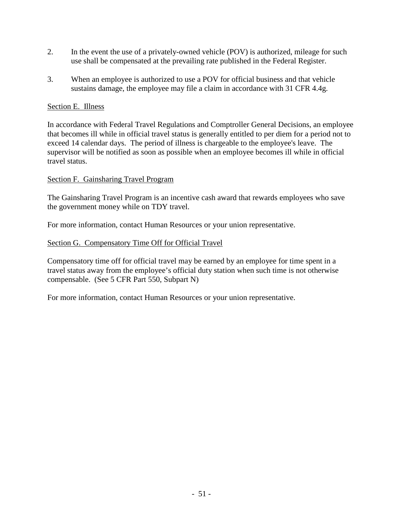- 2. In the event the use of a privately-owned vehicle (POV) is authorized, mileage for such use shall be compensated at the prevailing rate published in the Federal Register.
- 3. When an employee is authorized to use a POV for official business and that vehicle sustains damage, the employee may file a claim in accordance with 31 CFR 4.4g.

## Section E. Illness

In accordance with Federal Travel Regulations and Comptroller General Decisions, an employee that becomes ill while in official travel status is generally entitled to per diem for a period not to exceed 14 calendar days. The period of illness is chargeable to the employee's leave. The supervisor will be notified as soon as possible when an employee becomes ill while in official travel status.

## Section F. Gainsharing Travel Program

The Gainsharing Travel Program is an incentive cash award that rewards employees who save the government money while on TDY travel.

For more information, contact Human Resources or your union representative.

## Section G. Compensatory Time Off for Official Travel

Compensatory time off for official travel may be earned by an employee for time spent in a travel status away from the employee's official duty station when such time is not otherwise compensable. (See 5 CFR Part 550, Subpart N)

For more information, contact Human Resources or your union representative.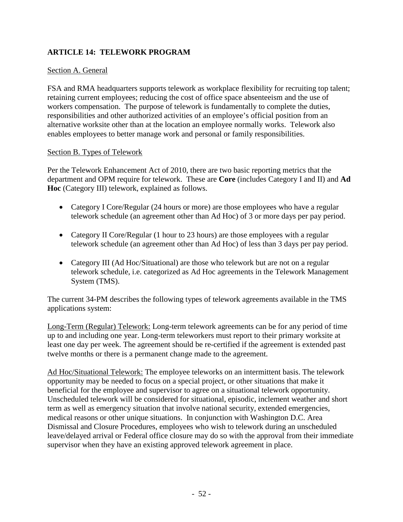## **ARTICLE 14: TELEWORK PROGRAM**

## Section A. General

FSA and RMA headquarters supports telework as workplace flexibility for recruiting top talent; retaining current employees; reducing the cost of office space absenteeism and the use of workers compensation. The purpose of telework is fundamentally to complete the duties, responsibilities and other authorized activities of an employee's official position from an alternative worksite other than at the location an employee normally works. Telework also enables employees to better manage work and personal or family responsibilities.

### Section B. Types of Telework

Per the Telework Enhancement Act of 2010, there are two basic reporting metrics that the department and OPM require for telework. These are **Core** (includes Category I and II) and **Ad Hoc** (Category III) telework, explained as follows.

- Category I Core/Regular (24 hours or more) are those employees who have a regular telework schedule (an agreement other than Ad Hoc) of 3 or more days per pay period.
- Category II Core/Regular (1 hour to 23 hours) are those employees with a regular telework schedule (an agreement other than Ad Hoc) of less than 3 days per pay period.
- Category III (Ad Hoc/Situational) are those who telework but are not on a regular telework schedule, i.e. categorized as Ad Hoc agreements in the Telework Management System (TMS).

The current 34-PM describes the following types of telework agreements available in the TMS applications system:

Long-Term (Regular) Telework: Long-term telework agreements can be for any period of time up to and including one year. Long-term teleworkers must report to their primary worksite at least one day per week. The agreement should be re-certified if the agreement is extended past twelve months or there is a permanent change made to the agreement.

Ad Hoc/Situational Telework: The employee teleworks on an intermittent basis. The telework opportunity may be needed to focus on a special project, or other situations that make it beneficial for the employee and supervisor to agree on a situational telework opportunity. Unscheduled telework will be considered for situational, episodic, inclement weather and short term as well as emergency situation that involve national security, extended emergencies, medical reasons or other unique situations. In conjunction with Washington D.C. Area Dismissal and Closure Procedures, employees who wish to telework during an unscheduled leave/delayed arrival or Federal office closure may do so with the approval from their immediate supervisor when they have an existing approved telework agreement in place.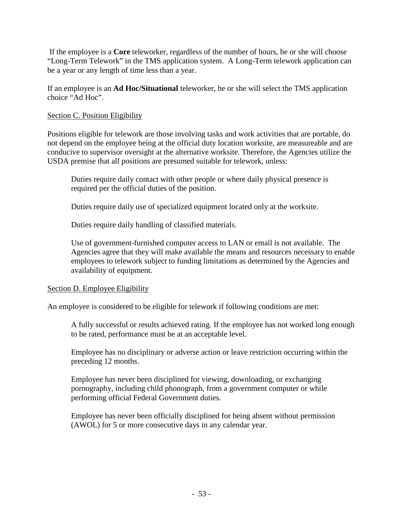If the employee is a **Core** teleworker, regardless of the number of hours, he or she will choose "Long-Term Telework" in the TMS application system. A Long-Term telework application can be a year or any length of time less than a year.

If an employee is an **Ad Hoc/Situational** teleworker, he or she will select the TMS application choice "Ad Hoc".

## Section C. Position Eligibility

Positions eligible for telework are those involving tasks and work activities that are portable, do not depend on the employee being at the official duty location worksite, are measureable and are conducive to supervisor oversight at the alternative worksite. Therefore, the Agencies utilize the USDA premise that all positions are presumed suitable for telework, unless:

Duties require daily contact with other people or where daily physical presence is required per the official duties of the position.

Duties require daily use of specialized equipment located only at the worksite.

Duties require daily handling of classified materials.

Use of government-furnished computer access to LAN or email is not available. The Agencies agree that they will make available the means and resources necessary to enable employees to telework subject to funding limitations as determined by the Agencies and availability of equipment.

## Section D. Employee Eligibility

An employee is considered to be eligible for telework if following conditions are met:

A fully successful or results achieved rating. If the employee has not worked long enough to be rated, performance must be at an acceptable level.

Employee has no disciplinary or adverse action or leave restriction occurring within the preceding 12 months.

Employee has never been disciplined for viewing, downloading, or exchanging pornography, including child phonograph, from a government computer or while performing official Federal Government duties.

Employee has never been officially disciplined for being absent without permission (AWOL) for 5 or more consecutive days in any calendar year.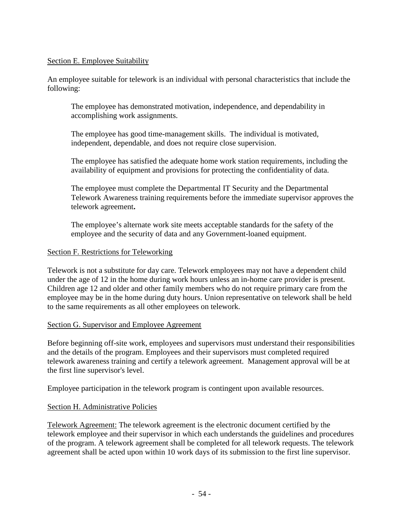### Section E. Employee Suitability

An employee suitable for telework is an individual with personal characteristics that include the following:

The employee has demonstrated motivation, independence, and dependability in accomplishing work assignments.

The employee has good time-management skills. The individual is motivated, independent, dependable, and does not require close supervision.

The employee has satisfied the adequate home work station requirements, including the availability of equipment and provisions for protecting the confidentiality of data.

The employee must complete the Departmental IT Security and the Departmental Telework Awareness training requirements before the immediate supervisor approves the telework agreement**.**

The employee's alternate work site meets acceptable standards for the safety of the employee and the security of data and any Government-loaned equipment.

### Section F. Restrictions for Teleworking

Telework is not a substitute for day care. Telework employees may not have a dependent child under the age of 12 in the home during work hours unless an in-home care provider is present. Children age 12 and older and other family members who do not require primary care from the employee may be in the home during duty hours. Union representative on telework shall be held to the same requirements as all other employees on telework.

## Section G. Supervisor and Employee Agreement

Before beginning off-site work, employees and supervisors must understand their responsibilities and the details of the program. Employees and their supervisors must completed required telework awareness training and certify a telework agreement. Management approval will be at the first line supervisor's level.

Employee participation in the telework program is contingent upon available resources.

## Section H. Administrative Policies

Telework Agreement: The telework agreement is the electronic document certified by the telework employee and their supervisor in which each understands the guidelines and procedures of the program. A telework agreement shall be completed for all telework requests. The telework agreement shall be acted upon within 10 work days of its submission to the first line supervisor.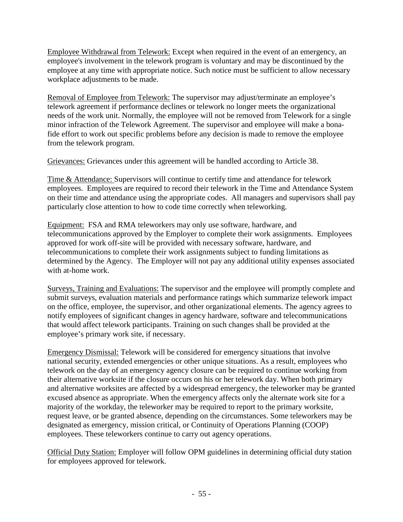Employee Withdrawal from Telework: Except when required in the event of an emergency, an employee's involvement in the telework program is voluntary and may be discontinued by the employee at any time with appropriate notice. Such notice must be sufficient to allow necessary workplace adjustments to be made.

Removal of Employee from Telework: The supervisor may adjust/terminate an employee's telework agreement if performance declines or telework no longer meets the organizational needs of the work unit. Normally, the employee will not be removed from Telework for a single minor infraction of the Telework Agreement. The supervisor and employee will make a bonafide effort to work out specific problems before any decision is made to remove the employee from the telework program.

Grievances: Grievances under this agreement will be handled according to Article 38.

Time & Attendance: Supervisors will continue to certify time and attendance for telework employees. Employees are required to record their telework in the Time and Attendance System on their time and attendance using the appropriate codes. All managers and supervisors shall pay particularly close attention to how to code time correctly when teleworking.

Equipment: FSA and RMA teleworkers may only use software, hardware, and telecommunications approved by the Employer to complete their work assignments. Employees approved for work off-site will be provided with necessary software, hardware, and telecommunications to complete their work assignments subject to funding limitations as determined by the Agency. The Employer will not pay any additional utility expenses associated with at-home work.

Surveys, Training and Evaluations: The supervisor and the employee will promptly complete and submit surveys, evaluation materials and performance ratings which summarize telework impact on the office, employee, the supervisor, and other organizational elements. The agency agrees to notify employees of significant changes in agency hardware, software and telecommunications that would affect telework participants. Training on such changes shall be provided at the employee's primary work site, if necessary.

Emergency Dismissal: Telework will be considered for emergency situations that involve national security, extended emergencies or other unique situations. As a result, employees who telework on the day of an emergency agency closure can be required to continue working from their alternative worksite if the closure occurs on his or her telework day. When both primary and alternative worksites are affected by a widespread emergency, the teleworker may be granted excused absence as appropriate. When the emergency affects only the alternate work site for a majority of the workday, the teleworker may be required to report to the primary worksite, request leave, or be granted absence, depending on the circumstances. Some teleworkers may be designated as emergency, mission critical, or Continuity of Operations Planning (COOP) employees. These teleworkers continue to carry out agency operations.

Official Duty Station: Employer will follow OPM guidelines in determining official duty station for employees approved for telework.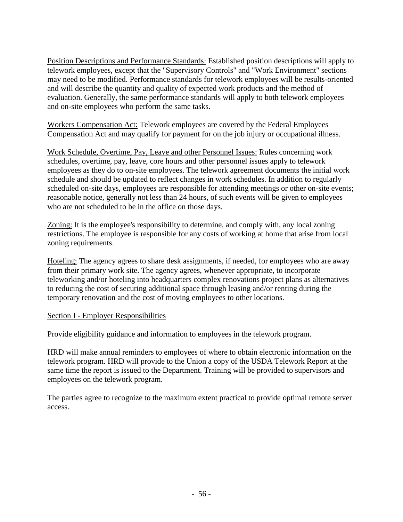Position Descriptions and Performance Standards: Established position descriptions will apply to telework employees, except that the "Supervisory Controls" and "Work Environment" sections may need to be modified. Performance standards for telework employees will be results-oriented and will describe the quantity and quality of expected work products and the method of evaluation. Generally, the same performance standards will apply to both telework employees and on-site employees who perform the same tasks.

Workers Compensation Act: Telework employees are covered by the Federal Employees Compensation Act and may qualify for payment for on the job injury or occupational illness.

Work Schedule, Overtime, Pay, Leave and other Personnel Issues: Rules concerning work schedules, overtime, pay, leave, core hours and other personnel issues apply to telework employees as they do to on-site employees. The telework agreement documents the initial work schedule and should be updated to reflect changes in work schedules. In addition to regularly scheduled on-site days, employees are responsible for attending meetings or other on-site events; reasonable notice, generally not less than 24 hours, of such events will be given to employees who are not scheduled to be in the office on those days.

Zoning: It is the employee's responsibility to determine, and comply with, any local zoning restrictions. The employee is responsible for any costs of working at home that arise from local zoning requirements.

Hoteling: The agency agrees to share desk assignments, if needed, for employees who are away from their primary work site. The agency agrees, whenever appropriate, to incorporate teleworking and/or hoteling into headquarters complex renovations project plans as alternatives to reducing the cost of securing additional space through leasing and/or renting during the temporary renovation and the cost of moving employees to other locations.

## Section I - Employer Responsibilities

Provide eligibility guidance and information to employees in the telework program.

HRD will make annual reminders to employees of where to obtain electronic information on the telework program. HRD will provide to the Union a copy of the USDA Telework Report at the same time the report is issued to the Department. Training will be provided to supervisors and employees on the telework program.

The parties agree to recognize to the maximum extent practical to provide optimal remote server access.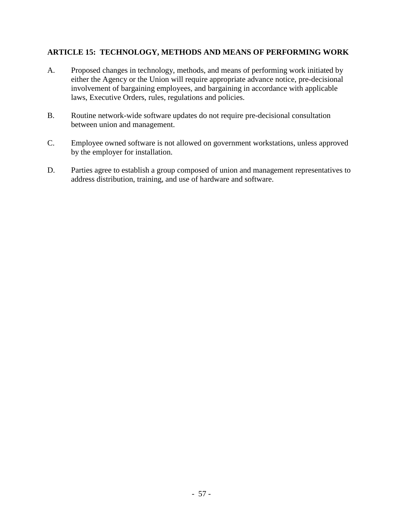## **ARTICLE 15: TECHNOLOGY, METHODS AND MEANS OF PERFORMING WORK**

- A. Proposed changes in technology, methods, and means of performing work initiated by either the Agency or the Union will require appropriate advance notice, pre-decisional involvement of bargaining employees, and bargaining in accordance with applicable laws, Executive Orders, rules, regulations and policies.
- B. Routine network-wide software updates do not require pre-decisional consultation between union and management.
- C. Employee owned software is not allowed on government workstations, unless approved by the employer for installation.
- D. Parties agree to establish a group composed of union and management representatives to address distribution, training, and use of hardware and software.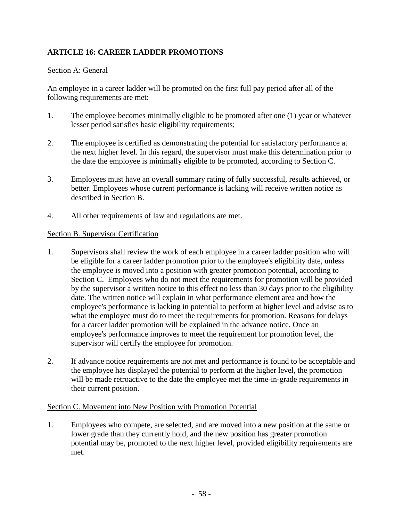# **ARTICLE 16: CAREER LADDER PROMOTIONS**

## Section A: General

An employee in a career ladder will be promoted on the first full pay period after all of the following requirements are met:

- 1. The employee becomes minimally eligible to be promoted after one (1) year or whatever lesser period satisfies basic eligibility requirements;
- 2. The employee is certified as demonstrating the potential for satisfactory performance at the next higher level. In this regard, the supervisor must make this determination prior to the date the employee is minimally eligible to be promoted, according to Section C.
- 3. Employees must have an overall summary rating of fully successful, results achieved, or better. Employees whose current performance is lacking will receive written notice as described in Section B.
- 4. All other requirements of law and regulations are met.

## Section B. Supervisor Certification

- 1. Supervisors shall review the work of each employee in a career ladder position who will be eligible for a career ladder promotion prior to the employee's eligibility date, unless the employee is moved into a position with greater promotion potential, according to Section C. Employees who do not meet the requirements for promotion will be provided by the supervisor a written notice to this effect no less than 30 days prior to the eligibility date. The written notice will explain in what performance element area and how the employee's performance is lacking in potential to perform at higher level and advise as to what the employee must do to meet the requirements for promotion. Reasons for delays for a career ladder promotion will be explained in the advance notice. Once an employee's performance improves to meet the requirement for promotion level, the supervisor will certify the employee for promotion.
- 2. If advance notice requirements are not met and performance is found to be acceptable and the employee has displayed the potential to perform at the higher level, the promotion will be made retroactive to the date the employee met the time-in-grade requirements in their current position.

## Section C. Movement into New Position with Promotion Potential

1. Employees who compete, are selected, and are moved into a new position at the same or lower grade than they currently hold, and the new position has greater promotion potential may be, promoted to the next higher level, provided eligibility requirements are met.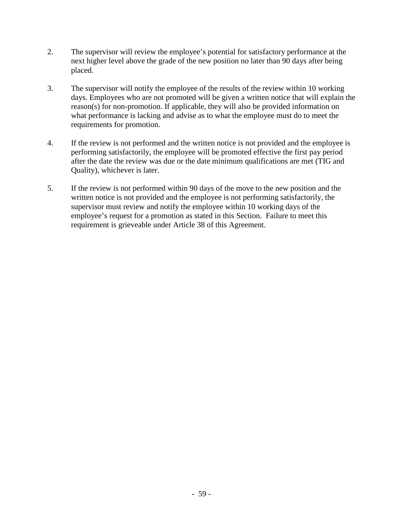- 2. The supervisor will review the employee's potential for satisfactory performance at the next higher level above the grade of the new position no later than 90 days after being placed.
- 3. The supervisor will notify the employee of the results of the review within 10 working days. Employees who are not promoted will be given a written notice that will explain the reason(s) for non-promotion. If applicable, they will also be provided information on what performance is lacking and advise as to what the employee must do to meet the requirements for promotion.
- 4. If the review is not performed and the written notice is not provided and the employee is performing satisfactorily, the employee will be promoted effective the first pay period after the date the review was due or the date minimum qualifications are met (TIG and Quality), whichever is later.
- 5. If the review is not performed within 90 days of the move to the new position and the written notice is not provided and the employee is not performing satisfactorily, the supervisor must review and notify the employee within 10 working days of the employee's request for a promotion as stated in this Section. Failure to meet this requirement is grieveable under Article 38 of this Agreement.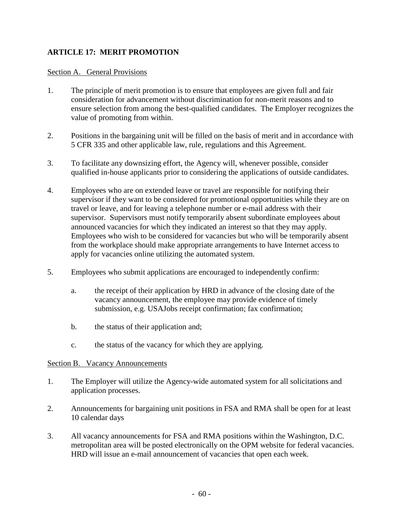## **ARTICLE 17: MERIT PROMOTION**

### Section A. General Provisions

- 1. The principle of merit promotion is to ensure that employees are given full and fair consideration for advancement without discrimination for non-merit reasons and to ensure selection from among the best-qualified candidates. The Employer recognizes the value of promoting from within.
- 2. Positions in the bargaining unit will be filled on the basis of merit and in accordance with 5 CFR 335 and other applicable law, rule, regulations and this Agreement.
- 3. To facilitate any downsizing effort, the Agency will, whenever possible, consider qualified in-house applicants prior to considering the applications of outside candidates.
- 4. Employees who are on extended leave or travel are responsible for notifying their supervisor if they want to be considered for promotional opportunities while they are on travel or leave, and for leaving a telephone number or e-mail address with their supervisor. Supervisors must notify temporarily absent subordinate employees about announced vacancies for which they indicated an interest so that they may apply. Employees who wish to be considered for vacancies but who will be temporarily absent from the workplace should make appropriate arrangements to have Internet access to apply for vacancies online utilizing the automated system.
- 5. Employees who submit applications are encouraged to independently confirm:
	- a. the receipt of their application by HRD in advance of the closing date of the vacancy announcement, the employee may provide evidence of timely submission, e.g. USAJobs receipt confirmation; fax confirmation;
	- b. the status of their application and;
	- c. the status of the vacancy for which they are applying.

#### Section B. Vacancy Announcements

- 1. The Employer will utilize the Agency-wide automated system for all solicitations and application processes.
- 2. Announcements for bargaining unit positions in FSA and RMA shall be open for at least 10 calendar days
- 3. All vacancy announcements for FSA and RMA positions within the Washington, D.C. metropolitan area will be posted electronically on the OPM website for federal vacancies. HRD will issue an e-mail announcement of vacancies that open each week.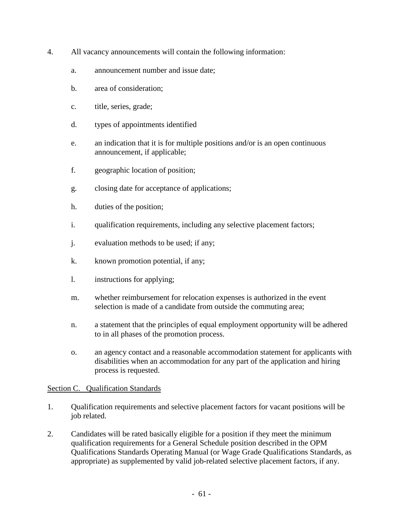- 4. All vacancy announcements will contain the following information:
	- a. announcement number and issue date;
	- b. area of consideration;
	- c. title, series, grade;
	- d. types of appointments identified
	- e. an indication that it is for multiple positions and/or is an open continuous announcement, if applicable;
	- f. geographic location of position;
	- g. closing date for acceptance of applications;
	- h. duties of the position;
	- i. qualification requirements, including any selective placement factors;
	- j. evaluation methods to be used; if any;
	- k. known promotion potential, if any;
	- l. instructions for applying;
	- m. whether reimbursement for relocation expenses is authorized in the event selection is made of a candidate from outside the commuting area;
	- n. a statement that the principles of equal employment opportunity will be adhered to in all phases of the promotion process.
	- o. an agency contact and a reasonable accommodation statement for applicants with disabilities when an accommodation for any part of the application and hiring process is requested.

#### Section C. Qualification Standards

- 1. Qualification requirements and selective placement factors for vacant positions will be job related.
- 2. Candidates will be rated basically eligible for a position if they meet the minimum qualification requirements for a General Schedule position described in the OPM Qualifications Standards Operating Manual (or Wage Grade Qualifications Standards, as appropriate) as supplemented by valid job-related selective placement factors, if any.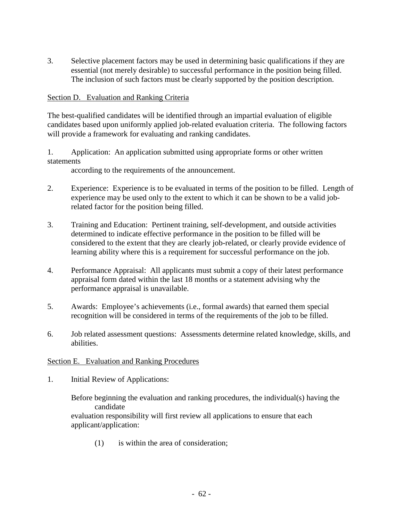3. Selective placement factors may be used in determining basic qualifications if they are essential (not merely desirable) to successful performance in the position being filled. The inclusion of such factors must be clearly supported by the position description.

### Section D. Evaluation and Ranking Criteria

The best-qualified candidates will be identified through an impartial evaluation of eligible candidates based upon uniformly applied job-related evaluation criteria. The following factors will provide a framework for evaluating and ranking candidates.

1. Application: An application submitted using appropriate forms or other written statements

according to the requirements of the announcement.

- 2. Experience: Experience is to be evaluated in terms of the position to be filled. Length of experience may be used only to the extent to which it can be shown to be a valid jobrelated factor for the position being filled.
- 3. Training and Education: Pertinent training, self-development, and outside activities determined to indicate effective performance in the position to be filled will be considered to the extent that they are clearly job-related, or clearly provide evidence of learning ability where this is a requirement for successful performance on the job.
- 4. Performance Appraisal: All applicants must submit a copy of their latest performance appraisal form dated within the last 18 months or a statement advising why the performance appraisal is unavailable.
- 5. Awards: Employee's achievements (i.e., formal awards) that earned them special recognition will be considered in terms of the requirements of the job to be filled.
- 6. Job related assessment questions: Assessments determine related knowledge, skills, and abilities.

#### Section E. Evaluation and Ranking Procedures

1. Initial Review of Applications:

Before beginning the evaluation and ranking procedures, the individual(s) having the candidate evaluation responsibility will first review all applications to ensure that each applicant/application:

(1) is within the area of consideration;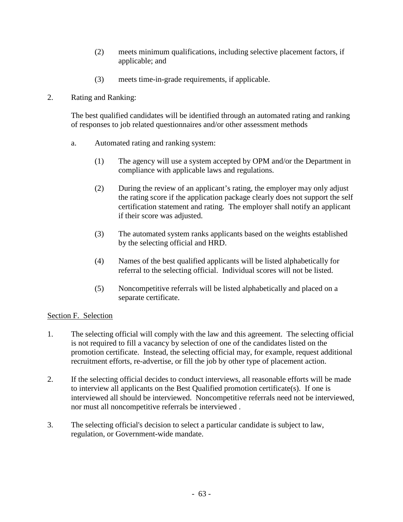- (2) meets minimum qualifications, including selective placement factors, if applicable; and
- (3) meets time-in-grade requirements, if applicable.
- 2. Rating and Ranking:

The best qualified candidates will be identified through an automated rating and ranking of responses to job related questionnaires and/or other assessment methods

- a. Automated rating and ranking system:
	- (1) The agency will use a system accepted by OPM and/or the Department in compliance with applicable laws and regulations.
	- (2) During the review of an applicant's rating, the employer may only adjust the rating score if the application package clearly does not support the self certification statement and rating. The employer shall notify an applicant if their score was adjusted.
	- (3) The automated system ranks applicants based on the weights established by the selecting official and HRD.
	- (4) Names of the best qualified applicants will be listed alphabetically for referral to the selecting official. Individual scores will not be listed.
	- (5) Noncompetitive referrals will be listed alphabetically and placed on a separate certificate.

## Section F. Selection

- 1. The selecting official will comply with the law and this agreement. The selecting official is not required to fill a vacancy by selection of one of the candidates listed on the promotion certificate. Instead, the selecting official may, for example, request additional recruitment efforts, re-advertise, or fill the job by other type of placement action.
- 2. If the selecting official decides to conduct interviews, all reasonable efforts will be made to interview all applicants on the Best Qualified promotion certificate(s). If one is interviewed all should be interviewed. Noncompetitive referrals need not be interviewed, nor must all noncompetitive referrals be interviewed .
- 3. The selecting official's decision to select a particular candidate is subject to law, regulation, or Government-wide mandate.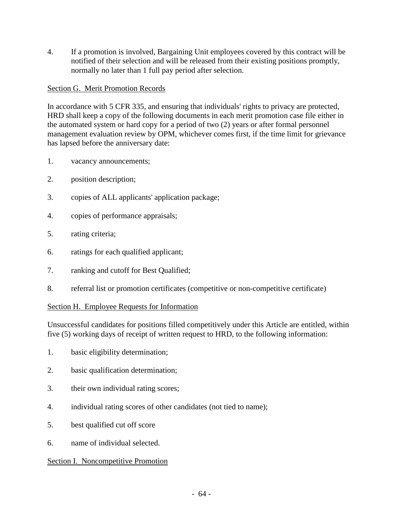4. If a promotion is involved, Bargaining Unit employees covered by this contract will be notified of their selection and will be released from their existing positions promptly, normally no later than 1 full pay period after selection.

## Section G. Merit Promotion Records

In accordance with 5 CFR 335, and ensuring that individuals' rights to privacy are protected, HRD shall keep a copy of the following documents in each merit promotion case file either in the automated system or hard copy for a period of two (2) years or after formal personnel management evaluation review by OPM, whichever comes first, if the time limit for grievance has lapsed before the anniversary date:

- 1. vacancy announcements;
- 2. position description;
- 3. copies of ALL applicants' application package;
- 4. copies of performance appraisals;
- 5. rating criteria;
- 6. ratings for each qualified applicant;
- 7. ranking and cutoff for Best Qualified;
- 8. referral list or promotion certificates (competitive or non-competitive certificate)

## Section H. Employee Requests for Information

Unsuccessful candidates for positions filled competitively under this Article are entitled, within five (5) working days of receipt of written request to HRD, to the following information:

- 1. basic eligibility determination;
- 2. basic qualification determination;
- 3. their own individual rating scores;
- 4. individual rating scores of other candidates (not tied to name);
- 5. best qualified cut off score
- 6. name of individual selected.

## Section I. Noncompetitive Promotion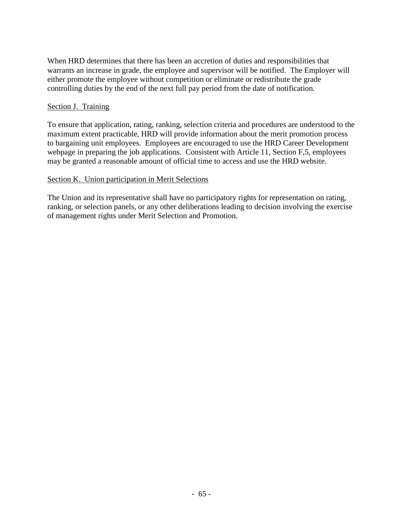When HRD determines that there has been an accretion of duties and responsibilities that warrants an increase in grade, the employee and supervisor will be notified. The Employer will either promote the employee without competition or eliminate or redistribute the grade controlling duties by the end of the next full pay period from the date of notification.

## Section J. Training

To ensure that application, rating, ranking, selection criteria and procedures are understood to the maximum extent practicable, HRD will provide information about the merit promotion process to bargaining unit employees. Employees are encouraged to use the HRD Career Development webpage in preparing the job applications. Consistent with Article 11, Section F,5, employees may be granted a reasonable amount of official time to access and use the HRD website.

### Section K. Union participation in Merit Selections

The Union and its representative shall have no participatory rights for representation on rating, ranking, or selection panels, or any other deliberations leading to decision involving the exercise of management rights under Merit Selection and Promotion.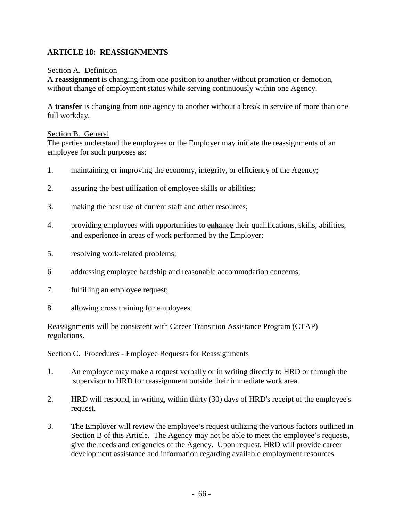## **ARTICLE 18: REASSIGNMENTS**

### Section A. Definition

A **reassignment** is changing from one position to another without promotion or demotion, without change of employment status while serving continuously within one Agency.

A **transfer** is changing from one agency to another without a break in service of more than one full workday.

#### Section B. General

The parties understand the employees or the Employer may initiate the reassignments of an employee for such purposes as:

- 1. maintaining or improving the economy, integrity, or efficiency of the Agency;
- 2. assuring the best utilization of employee skills or abilities;
- 3. making the best use of current staff and other resources;
- 4. providing employees with opportunities to enhance their qualifications, skills, abilities, and experience in areas of work performed by the Employer;
- 5. resolving work-related problems;
- 6. addressing employee hardship and reasonable accommodation concerns;
- 7. fulfilling an employee request;
- 8. allowing cross training for employees.

Reassignments will be consistent with Career Transition Assistance Program (CTAP) regulations.

#### Section C. Procedures - Employee Requests for Reassignments

- 1. An employee may make a request verbally or in writing directly to HRD or through the supervisor to HRD for reassignment outside their immediate work area.
- 2. HRD will respond, in writing, within thirty (30) days of HRD's receipt of the employee's request.
- 3. The Employer will review the employee's request utilizing the various factors outlined in Section B of this Article. The Agency may not be able to meet the employee's requests, give the needs and exigencies of the Agency. Upon request, HRD will provide career development assistance and information regarding available employment resources.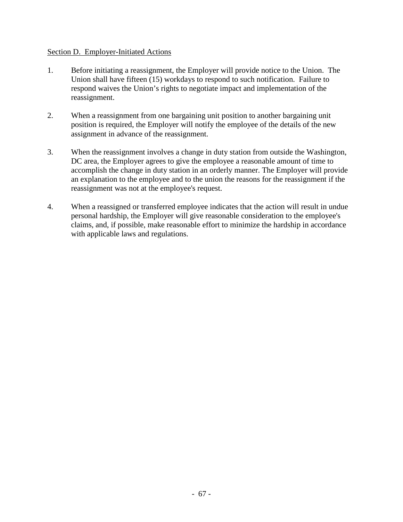### Section D. Employer-Initiated Actions

- 1. Before initiating a reassignment, the Employer will provide notice to the Union. The Union shall have fifteen (15) workdays to respond to such notification. Failure to respond waives the Union's rights to negotiate impact and implementation of the reassignment.
- 2. When a reassignment from one bargaining unit position to another bargaining unit position is required, the Employer will notify the employee of the details of the new assignment in advance of the reassignment.
- 3. When the reassignment involves a change in duty station from outside the Washington, DC area, the Employer agrees to give the employee a reasonable amount of time to accomplish the change in duty station in an orderly manner. The Employer will provide an explanation to the employee and to the union the reasons for the reassignment if the reassignment was not at the employee's request.
- 4. When a reassigned or transferred employee indicates that the action will result in undue personal hardship, the Employer will give reasonable consideration to the employee's claims, and, if possible, make reasonable effort to minimize the hardship in accordance with applicable laws and regulations.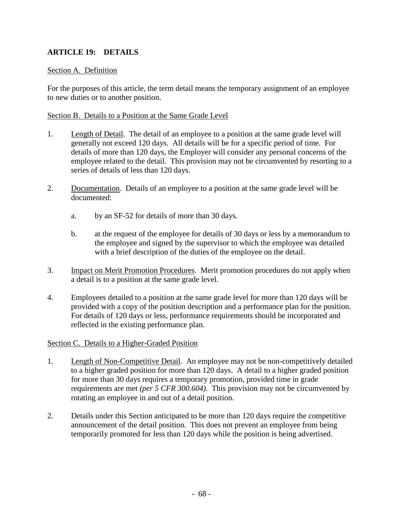## **ARTICLE 19: DETAILS**

### Section A. Definition

For the purposes of this article, the term detail means the temporary assignment of an employee to new duties or to another position.

### Section B. Details to a Position at the Same Grade Level

- 1. Length of Detail. The detail of an employee to a position at the same grade level will generally not exceed 120 days. All details will be for a specific period of time. For details of more than 120 days, the Employer will consider any personal concerns of the employee related to the detail. This provision may not be circumvented by resorting to a series of details of less than 120 days.
- 2. Documentation. Details of an employee to a position at the same grade level will be documented:
	- a. by an SF-52 for details of more than 30 days.
	- b. at the request of the employee for details of 30 days or less by a memorandum to the employee and signed by the supervisor to which the employee was detailed with a brief description of the duties of the employee on the detail.
- 3. Impact on Merit Promotion Procedures. Merit promotion procedures do not apply when a detail is to a position at the same grade level.
- 4. Employees detailed to a position at the same grade level for more than 120 days will be provided with a copy of the position description and a performance plan for the position. For details of 120 days or less, performance requirements should be incorporated and reflected in the existing performance plan.

#### Section C. Details to a Higher-Graded Position

- 1. Length of Non-Competitive Detail. An employee may not be non-competitively detailed to a higher graded position for more than 120 days. A detail to a higher graded position for more than 30 days requires a temporary promotion, provided time in grade requirements are met *(per 5 CFR 300.604)*. This provision may not be circumvented by rotating an employee in and out of a detail position.
- 2. Details under this Section anticipated to be more than 120 days require the competitive announcement of the detail position. This does not prevent an employee from being temporarily promoted for less than 120 days while the position is being advertised.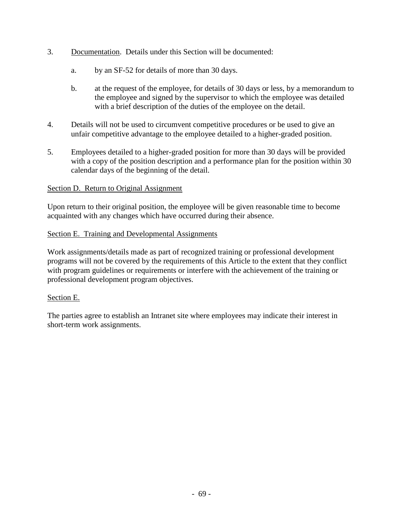- 3. Documentation. Details under this Section will be documented:
	- a. by an SF-52 for details of more than 30 days.
	- b. at the request of the employee, for details of 30 days or less, by a memorandum to the employee and signed by the supervisor to which the employee was detailed with a brief description of the duties of the employee on the detail.
- 4. Details will not be used to circumvent competitive procedures or be used to give an unfair competitive advantage to the employee detailed to a higher-graded position.
- 5. Employees detailed to a higher-graded position for more than 30 days will be provided with a copy of the position description and a performance plan for the position within 30 calendar days of the beginning of the detail.

### Section D. Return to Original Assignment

Upon return to their original position, the employee will be given reasonable time to become acquainted with any changes which have occurred during their absence.

### Section E. Training and Developmental Assignments

Work assignments/details made as part of recognized training or professional development programs will not be covered by the requirements of this Article to the extent that they conflict with program guidelines or requirements or interfere with the achievement of the training or professional development program objectives.

#### Section E.

The parties agree to establish an Intranet site where employees may indicate their interest in short-term work assignments.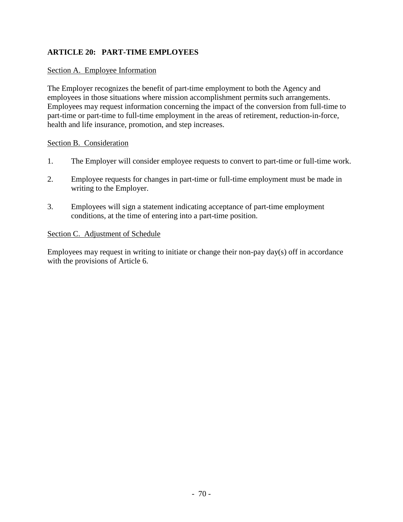## **ARTICLE 20: PART-TIME EMPLOYEES**

### Section A. Employee Information

The Employer recognizes the benefit of part-time employment to both the Agency and employees in those situations where mission accomplishment permits such arrangements. Employees may request information concerning the impact of the conversion from full-time to part-time or part-time to full-time employment in the areas of retirement, reduction-in-force, health and life insurance, promotion, and step increases.

### Section B. Consideration

- 1. The Employer will consider employee requests to convert to part-time or full-time work.
- 2. Employee requests for changes in part-time or full-time employment must be made in writing to the Employer.
- 3. Employees will sign a statement indicating acceptance of part-time employment conditions, at the time of entering into a part-time position.

### Section C. Adjustment of Schedule

Employees may request in writing to initiate or change their non-pay day(s) off in accordance with the provisions of Article 6.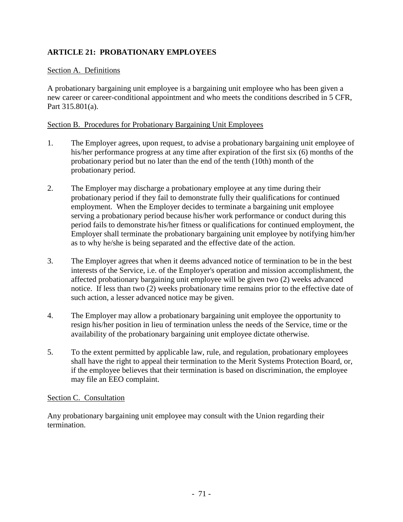# **ARTICLE 21: PROBATIONARY EMPLOYEES**

## Section A. Definitions

A probationary bargaining unit employee is a bargaining unit employee who has been given a new career or career-conditional appointment and who meets the conditions described in 5 CFR, Part 315.801(a).

### Section B. Procedures for Probationary Bargaining Unit Employees

- 1. The Employer agrees, upon request, to advise a probationary bargaining unit employee of his/her performance progress at any time after expiration of the first six (6) months of the probationary period but no later than the end of the tenth (10th) month of the probationary period.
- 2. The Employer may discharge a probationary employee at any time during their probationary period if they fail to demonstrate fully their qualifications for continued employment. When the Employer decides to terminate a bargaining unit employee serving a probationary period because his/her work performance or conduct during this period fails to demonstrate his/her fitness or qualifications for continued employment, the Employer shall terminate the probationary bargaining unit employee by notifying him/her as to why he/she is being separated and the effective date of the action.
- 3. The Employer agrees that when it deems advanced notice of termination to be in the best interests of the Service, i.e. of the Employer's operation and mission accomplishment, the affected probationary bargaining unit employee will be given two (2) weeks advanced notice. If less than two (2) weeks probationary time remains prior to the effective date of such action, a lesser advanced notice may be given.
- 4. The Employer may allow a probationary bargaining unit employee the opportunity to resign his/her position in lieu of termination unless the needs of the Service, time or the availability of the probationary bargaining unit employee dictate otherwise.
- 5. To the extent permitted by applicable law, rule, and regulation, probationary employees shall have the right to appeal their termination to the Merit Systems Protection Board, or, if the employee believes that their termination is based on discrimination, the employee may file an EEO complaint.

## Section C. Consultation

Any probationary bargaining unit employee may consult with the Union regarding their termination.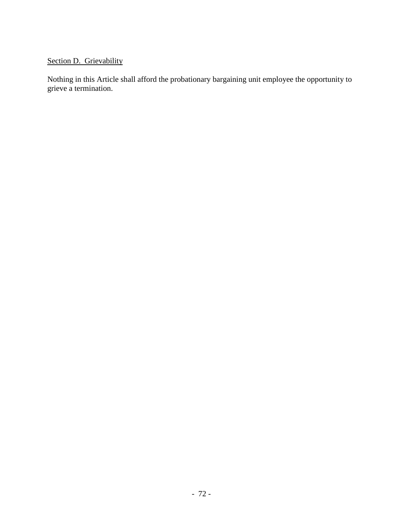# Section D. Grievability

Nothing in this Article shall afford the probationary bargaining unit employee the opportunity to grieve a termination.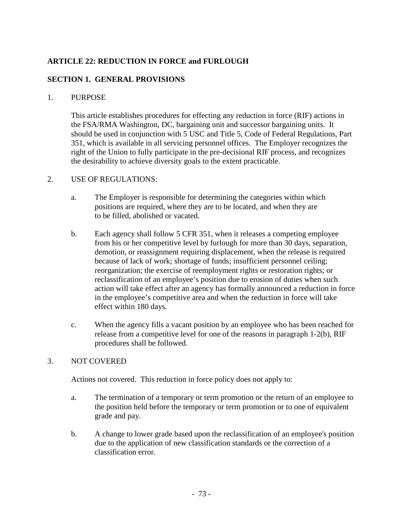# **ARTICLE 22: REDUCTION IN FORCE and FURLOUGH**

### **SECTION 1. GENERAL PROVISIONS**

#### 1. PURPOSE

This article establishes procedures for effecting any reduction in force (RIF) actions in the FSA/RMA Washington, DC, bargaining unit and successor bargaining units. It should be used in conjunction with 5 USC and Title 5, Code of Federal Regulations, Part 351, which is available in all servicing personnel offices. The Employer recognizes the right of the Union to fully participate in the pre-decisional RIF process, and recognizes the desirability to achieve diversity goals to the extent practicable.

#### 2. USE OF REGULATIONS:

- a. The Employer is responsible for determining the categories within which positions are required, where they are to be located, and when they are to be filled, abolished or vacated.
- b. Each agency shall follow 5 CFR 351, when it releases a competing employee from his or her competitive level by furlough for more than 30 days, separation, demotion, or reassignment requiring displacement, when the release is required because of lack of work; shortage of funds; insufficient personnel ceiling; reorganization; the exercise of reemployment rights or restoration rights; or reclassification of an employee's position due to erosion of duties when such action will take effect after an agency has formally announced a reduction in force in the employee's competitive area and when the reduction in force will take effect within 180 days.
- c. When the agency fills a vacant position by an employee who has been reached for release from a competitive level for one of the reasons in paragraph 1-2(b), RIF procedures shall be followed.

#### 3. NOT COVERED

Actions not covered. This reduction in force policy does not apply to:

- a. The termination of a temporary or term promotion or the return of an employee to the position held before the temporary or term promotion or to one of equivalent grade and pay.
- b. A change to lower grade based upon the reclassification of an employee's position due to the application of new classification standards or the correction of a classification error.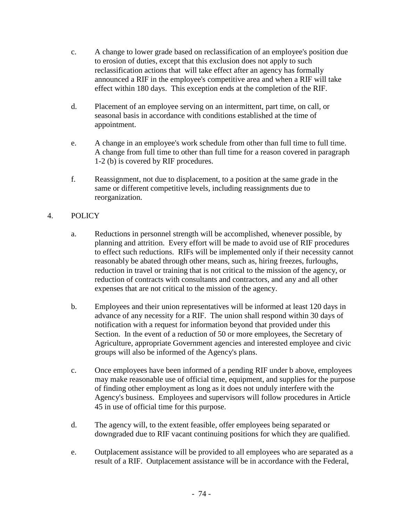- c. A change to lower grade based on reclassification of an employee's position due to erosion of duties, except that this exclusion does not apply to such reclassification actions that will take effect after an agency has formally announced a RIF in the employee's competitive area and when a RIF will take effect within 180 days. This exception ends at the completion of the RIF.
- d. Placement of an employee serving on an intermittent, part time, on call, or seasonal basis in accordance with conditions established at the time of appointment.
- e. A change in an employee's work schedule from other than full time to full time. A change from full time to other than full time for a reason covered in paragraph 1-2 (b) is covered by RIF procedures.
- f. Reassignment, not due to displacement, to a position at the same grade in the same or different competitive levels, including reassignments due to reorganization.

# 4. POLICY

- a. Reductions in personnel strength will be accomplished, whenever possible, by planning and attrition. Every effort will be made to avoid use of RIF procedures to effect such reductions. RIFs will be implemented only if their necessity cannot reasonably be abated through other means, such as, hiring freezes, furloughs, reduction in travel or training that is not critical to the mission of the agency, or reduction of contracts with consultants and contractors, and any and all other expenses that are not critical to the mission of the agency.
- b. Employees and their union representatives will be informed at least 120 days in advance of any necessity for a RIF. The union shall respond within 30 days of notification with a request for information beyond that provided under this Section. In the event of a reduction of 50 or more employees, the Secretary of Agriculture, appropriate Government agencies and interested employee and civic groups will also be informed of the Agency's plans.
- c. Once employees have been informed of a pending RIF under b above, employees may make reasonable use of official time, equipment, and supplies for the purpose of finding other employment as long as it does not unduly interfere with the Agency's business. Employees and supervisors will follow procedures in Article 45 in use of official time for this purpose.
- d. The agency will, to the extent feasible, offer employees being separated or downgraded due to RIF vacant continuing positions for which they are qualified.
- e. Outplacement assistance will be provided to all employees who are separated as a result of a RIF. Outplacement assistance will be in accordance with the Federal,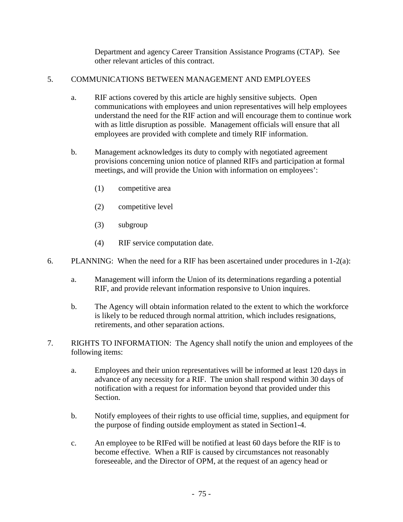Department and agency Career Transition Assistance Programs (CTAP). See other relevant articles of this contract.

# 5. COMMUNICATIONS BETWEEN MANAGEMENT AND EMPLOYEES

- a. RIF actions covered by this article are highly sensitive subjects. Open communications with employees and union representatives will help employees understand the need for the RIF action and will encourage them to continue work with as little disruption as possible. Management officials will ensure that all employees are provided with complete and timely RIF information.
- b. Management acknowledges its duty to comply with negotiated agreement provisions concerning union notice of planned RIFs and participation at formal meetings, and will provide the Union with information on employees':
	- (1) competitive area
	- (2) competitive level
	- (3) subgroup
	- (4) RIF service computation date.
- 6. PLANNING: When the need for a RIF has been ascertained under procedures in 1-2(a):
	- a. Management will inform the Union of its determinations regarding a potential RIF, and provide relevant information responsive to Union inquires.
	- b. The Agency will obtain information related to the extent to which the workforce is likely to be reduced through normal attrition, which includes resignations, retirements, and other separation actions.
- 7. RIGHTS TO INFORMATION: The Agency shall notify the union and employees of the following items:
	- a. Employees and their union representatives will be informed at least 120 days in advance of any necessity for a RIF. The union shall respond within 30 days of notification with a request for information beyond that provided under this Section.
	- b. Notify employees of their rights to use official time, supplies, and equipment for the purpose of finding outside employment as stated in Section1-4.
	- c. An employee to be RIFed will be notified at least 60 days before the RIF is to become effective. When a RIF is caused by circumstances not reasonably foreseeable, and the Director of OPM, at the request of an agency head or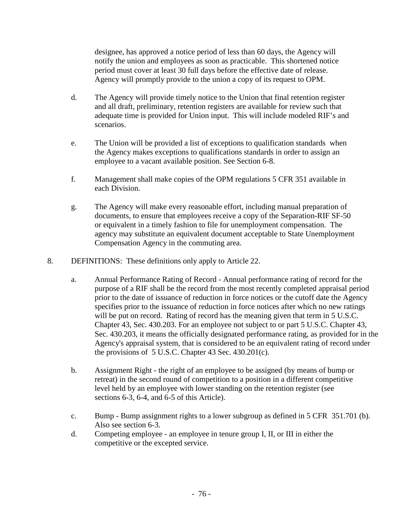designee, has approved a notice period of less than 60 days, the Agency will notify the union and employees as soon as practicable. This shortened notice period must cover at least 30 full days before the effective date of release. Agency will promptly provide to the union a copy of its request to OPM.

- d. The Agency will provide timely notice to the Union that final retention register and all draft, preliminary, retention registers are available for review such that adequate time is provided for Union input. This will include modeled RIF's and scenarios.
- e. The Union will be provided a list of exceptions to qualification standards when the Agency makes exceptions to qualifications standards in order to assign an employee to a vacant available position. See Section 6-8.
- f. Management shall make copies of the OPM regulations 5 CFR 351 available in each Division.
- g. The Agency will make every reasonable effort, including manual preparation of documents, to ensure that employees receive a copy of the Separation-RIF SF-50 or equivalent in a timely fashion to file for unemployment compensation. The agency may substitute an equivalent document acceptable to State Unemployment Compensation Agency in the commuting area.
- 8. DEFINITIONS: These definitions only apply to Article 22.
	- a. Annual Performance Rating of Record Annual performance rating of record for the purpose of a RIF shall be the record from the most recently completed appraisal period prior to the date of issuance of reduction in force notices or the cutoff date the Agency specifies prior to the issuance of reduction in force notices after which no new ratings will be put on record. Rating of record has the meaning given that term in 5 U.S.C. Chapter 43, Sec. 430.203. For an employee not subject to or part 5 U.S.C. Chapter 43, Sec. 430.203, it means the officially designated performance rating, as provided for in the Agency's appraisal system, that is considered to be an equivalent rating of record under the provisions of  $5$  U.S.C. Chapter 43 Sec. 430.201(c).
	- b. Assignment Right the right of an employee to be assigned (by means of bump or retreat) in the second round of competition to a position in a different competitive level held by an employee with lower standing on the retention register (see sections 6-3, 6-4, and 6-5 of this Article).
	- c. Bump Bump assignment rights to a lower subgroup as defined in 5 CFR 351.701 (b). Also see section 6-3.
	- d. Competing employee an employee in tenure group I, II, or III in either the competitive or the excepted service.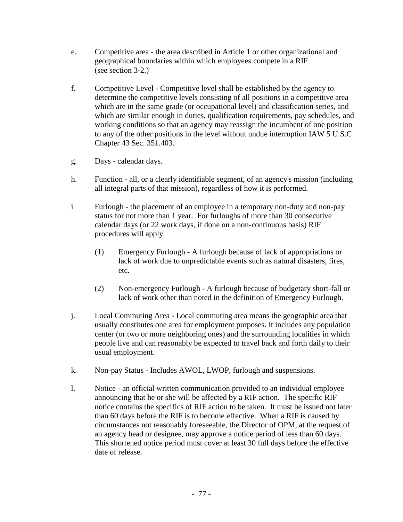- e. Competitive area the area described in Article 1 or other organizational and geographical boundaries within which employees compete in a RIF (see section 3-2.)
- f. Competitive Level Competitive level shall be established by the agency to determine the competitive levels consisting of all positions in a competitive area which are in the same grade (or occupational level) and classification series, and which are similar enough in duties, qualification requirements, pay schedules, and working conditions so that an agency may reassign the incumbent of one position to any of the other positions in the level without undue interruption IAW 5 U.S.C Chapter 43 Sec. 351.403.
- g. Days calendar days.
- h. Function all, or a clearly identifiable segment, of an agency's mission (including all integral parts of that mission), regardless of how it is performed.
- i Furlough the placement of an employee in a temporary non-duty and non-pay status for not more than 1 year. For furloughs of more than 30 consecutive calendar days (or 22 work days, if done on a non-continuous basis) RIF procedures will apply.
	- (1) Emergency Furlough A furlough because of lack of appropriations or lack of work due to unpredictable events such as natural disasters, fires, etc.
	- (2) Non-emergency Furlough A furlough because of budgetary short-fall or lack of work other than noted in the definition of Emergency Furlough.
- j. Local Commuting Area Local commuting area means the geographic area that usually constitutes one area for employment purposes. It includes any population center (or two or more neighboring ones) and the surrounding localities in which people live and can reasonably be expected to travel back and forth daily to their usual employment.
- k. Non-pay Status Includes AWOL, LWOP, furlough and suspensions.
- l. Notice an official written communication provided to an individual employee announcing that he or she will be affected by a RIF action. The specific RIF notice contains the specifics of RIF action to be taken. It must be issued not later than 60 days before the RIF is to become effective. When a RIF is caused by circumstances not reasonably foreseeable, the Director of OPM, at the request of an agency head or designee, may approve a notice period of less than 60 days. This shortened notice period must cover at least 30 full days before the effective date of release.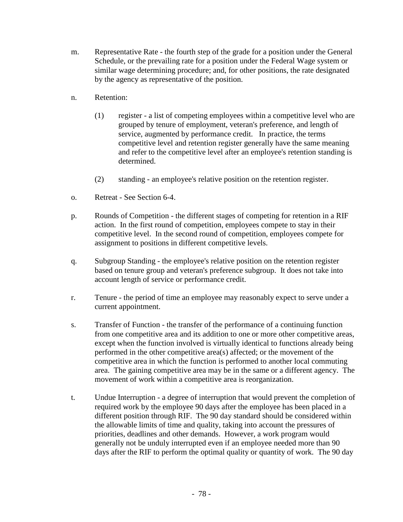- m. Representative Rate the fourth step of the grade for a position under the General Schedule, or the prevailing rate for a position under the Federal Wage system or similar wage determining procedure; and, for other positions, the rate designated by the agency as representative of the position.
- n. Retention:
	- (1) register a list of competing employees within a competitive level who are grouped by tenure of employment, veteran's preference, and length of service, augmented by performance credit. In practice, the terms competitive level and retention register generally have the same meaning and refer to the competitive level after an employee's retention standing is determined.
	- (2) standing an employee's relative position on the retention register.
- o. Retreat See Section 6-4.
- p. Rounds of Competition the different stages of competing for retention in a RIF action. In the first round of competition, employees compete to stay in their competitive level. In the second round of competition, employees compete for assignment to positions in different competitive levels.
- q. Subgroup Standing the employee's relative position on the retention register based on tenure group and veteran's preference subgroup. It does not take into account length of service or performance credit.
- r. Tenure the period of time an employee may reasonably expect to serve under a current appointment.
- s. Transfer of Function the transfer of the performance of a continuing function from one competitive area and its addition to one or more other competitive areas, except when the function involved is virtually identical to functions already being performed in the other competitive area(s) affected; or the movement of the competitive area in which the function is performed to another local commuting area. The gaining competitive area may be in the same or a different agency. The movement of work within a competitive area is reorganization.
- t. Undue Interruption a degree of interruption that would prevent the completion of required work by the employee 90 days after the employee has been placed in a different position through RIF. The 90 day standard should be considered within the allowable limits of time and quality, taking into account the pressures of priorities, deadlines and other demands. However, a work program would generally not be unduly interrupted even if an employee needed more than 90 days after the RIF to perform the optimal quality or quantity of work. The 90 day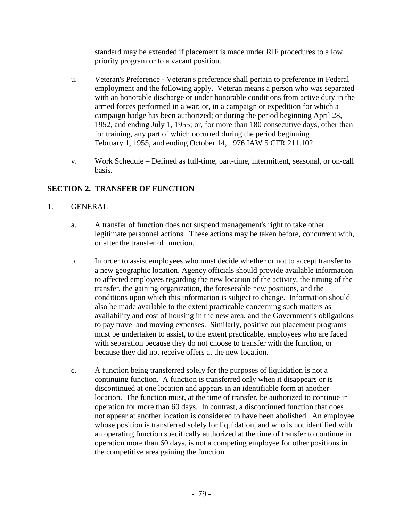standard may be extended if placement is made under RIF procedures to a low priority program or to a vacant position.

- u. Veteran's Preference Veteran's preference shall pertain to preference in Federal employment and the following apply. Veteran means a person who was separated with an honorable discharge or under honorable conditions from active duty in the armed forces performed in a war; or, in a campaign or expedition for which a campaign badge has been authorized; or during the period beginning April 28, 1952, and ending July 1, 1955; or, for more than 180 consecutive days, other than for training, any part of which occurred during the period beginning February 1, 1955, and ending October 14, 1976 IAW 5 CFR 211.102.
- v. Work Schedule Defined as full-time, part-time, intermittent, seasonal, or on-call basis.

# **SECTION 2. TRANSFER OF FUNCTION**

# 1. GENERAL

- a. A transfer of function does not suspend management's right to take other legitimate personnel actions. These actions may be taken before, concurrent with, or after the transfer of function.
- b. In order to assist employees who must decide whether or not to accept transfer to a new geographic location, Agency officials should provide available information to affected employees regarding the new location of the activity, the timing of the transfer, the gaining organization, the foreseeable new positions, and the conditions upon which this information is subject to change. Information should also be made available to the extent practicable concerning such matters as availability and cost of housing in the new area, and the Government's obligations to pay travel and moving expenses. Similarly, positive out placement programs must be undertaken to assist, to the extent practicable, employees who are faced with separation because they do not choose to transfer with the function, or because they did not receive offers at the new location.
- c. A function being transferred solely for the purposes of liquidation is not a continuing function. A function is transferred only when it disappears or is discontinued at one location and appears in an identifiable form at another location. The function must, at the time of transfer, be authorized to continue in operation for more than 60 days. In contrast, a discontinued function that does not appear at another location is considered to have been abolished. An employee whose position is transferred solely for liquidation, and who is not identified with an operating function specifically authorized at the time of transfer to continue in operation more than 60 days, is not a competing employee for other positions in the competitive area gaining the function.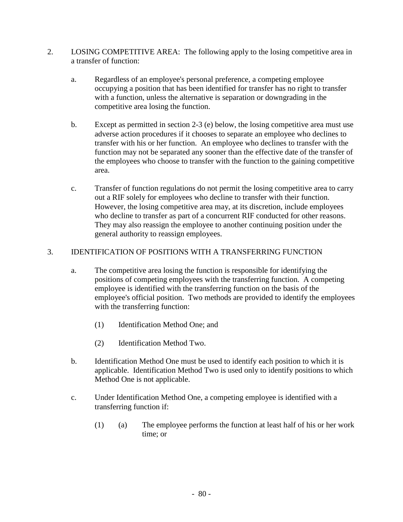- 2. LOSING COMPETITIVE AREA: The following apply to the losing competitive area in a transfer of function:
	- a. Regardless of an employee's personal preference, a competing employee occupying a position that has been identified for transfer has no right to transfer with a function, unless the alternative is separation or downgrading in the competitive area losing the function.
	- b. Except as permitted in section 2-3 (e) below, the losing competitive area must use adverse action procedures if it chooses to separate an employee who declines to transfer with his or her function. An employee who declines to transfer with the function may not be separated any sooner than the effective date of the transfer of the employees who choose to transfer with the function to the gaining competitive area.
	- c. Transfer of function regulations do not permit the losing competitive area to carry out a RIF solely for employees who decline to transfer with their function. However, the losing competitive area may, at its discretion, include employees who decline to transfer as part of a concurrent RIF conducted for other reasons. They may also reassign the employee to another continuing position under the general authority to reassign employees.

### 3. IDENTIFICATION OF POSITIONS WITH A TRANSFERRING FUNCTION

- a. The competitive area losing the function is responsible for identifying the positions of competing employees with the transferring function. A competing employee is identified with the transferring function on the basis of the employee's official position. Two methods are provided to identify the employees with the transferring function:
	- (1) Identification Method One; and
	- (2) Identification Method Two.
- b. Identification Method One must be used to identify each position to which it is applicable. Identification Method Two is used only to identify positions to which Method One is not applicable.
- c. Under Identification Method One, a competing employee is identified with a transferring function if:
	- (1) (a) The employee performs the function at least half of his or her work time; or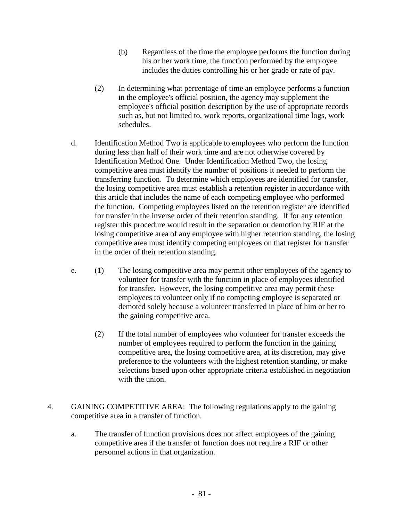- (b) Regardless of the time the employee performs the function during his or her work time, the function performed by the employee includes the duties controlling his or her grade or rate of pay.
- (2) In determining what percentage of time an employee performs a function in the employee's official position, the agency may supplement the employee's official position description by the use of appropriate records such as, but not limited to, work reports, organizational time logs, work schedules.
- d. Identification Method Two is applicable to employees who perform the function during less than half of their work time and are not otherwise covered by Identification Method One. Under Identification Method Two, the losing competitive area must identify the number of positions it needed to perform the transferring function. To determine which employees are identified for transfer, the losing competitive area must establish a retention register in accordance with this article that includes the name of each competing employee who performed the function. Competing employees listed on the retention register are identified for transfer in the inverse order of their retention standing. If for any retention register this procedure would result in the separation or demotion by RIF at the losing competitive area of any employee with higher retention standing, the losing competitive area must identify competing employees on that register for transfer in the order of their retention standing.
- e. (1) The losing competitive area may permit other employees of the agency to volunteer for transfer with the function in place of employees identified for transfer. However, the losing competitive area may permit these employees to volunteer only if no competing employee is separated or demoted solely because a volunteer transferred in place of him or her to the gaining competitive area.
	- (2) If the total number of employees who volunteer for transfer exceeds the number of employees required to perform the function in the gaining competitive area, the losing competitive area, at its discretion, may give preference to the volunteers with the highest retention standing, or make selections based upon other appropriate criteria established in negotiation with the union.
- 4. GAINING COMPETITIVE AREA: The following regulations apply to the gaining competitive area in a transfer of function.
	- a. The transfer of function provisions does not affect employees of the gaining competitive area if the transfer of function does not require a RIF or other personnel actions in that organization.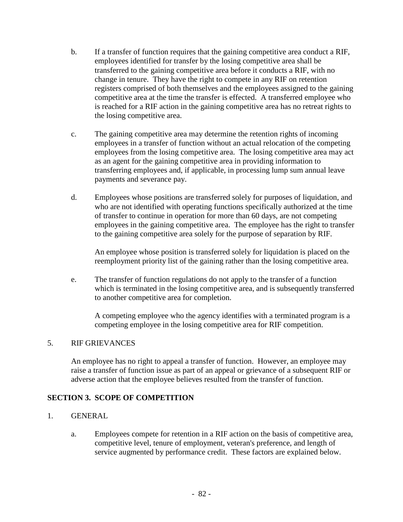- b. If a transfer of function requires that the gaining competitive area conduct a RIF, employees identified for transfer by the losing competitive area shall be transferred to the gaining competitive area before it conducts a RIF, with no change in tenure. They have the right to compete in any RIF on retention registers comprised of both themselves and the employees assigned to the gaining competitive area at the time the transfer is effected. A transferred employee who is reached for a RIF action in the gaining competitive area has no retreat rights to the losing competitive area.
- c. The gaining competitive area may determine the retention rights of incoming employees in a transfer of function without an actual relocation of the competing employees from the losing competitive area. The losing competitive area may act as an agent for the gaining competitive area in providing information to transferring employees and, if applicable, in processing lump sum annual leave payments and severance pay.
- d. Employees whose positions are transferred solely for purposes of liquidation, and who are not identified with operating functions specifically authorized at the time of transfer to continue in operation for more than 60 days, are not competing employees in the gaining competitive area. The employee has the right to transfer to the gaining competitive area solely for the purpose of separation by RIF.

An employee whose position is transferred solely for liquidation is placed on the reemployment priority list of the gaining rather than the losing competitive area.

e. The transfer of function regulations do not apply to the transfer of a function which is terminated in the losing competitive area, and is subsequently transferred to another competitive area for completion.

A competing employee who the agency identifies with a terminated program is a competing employee in the losing competitive area for RIF competition.

### 5. RIF GRIEVANCES

An employee has no right to appeal a transfer of function. However, an employee may raise a transfer of function issue as part of an appeal or grievance of a subsequent RIF or adverse action that the employee believes resulted from the transfer of function.

# **SECTION 3. SCOPE OF COMPETITION**

- 1. GENERAL
	- a. Employees compete for retention in a RIF action on the basis of competitive area, competitive level, tenure of employment, veteran's preference, and length of service augmented by performance credit. These factors are explained below.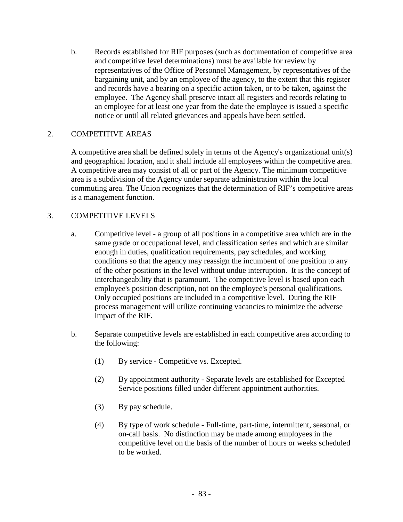b. Records established for RIF purposes (such as documentation of competitive area and competitive level determinations) must be available for review by representatives of the Office of Personnel Management, by representatives of the bargaining unit, and by an employee of the agency, to the extent that this register and records have a bearing on a specific action taken, or to be taken, against the employee. The Agency shall preserve intact all registers and records relating to an employee for at least one year from the date the employee is issued a specific notice or until all related grievances and appeals have been settled.

### 2. COMPETITIVE AREAS

A competitive area shall be defined solely in terms of the Agency's organizational unit(s) and geographical location, and it shall include all employees within the competitive area. A competitive area may consist of all or part of the Agency. The minimum competitive area is a subdivision of the Agency under separate administration within the local commuting area. The Union recognizes that the determination of RIF's competitive areas is a management function.

### 3. COMPETITIVE LEVELS

- a. Competitive level a group of all positions in a competitive area which are in the same grade or occupational level, and classification series and which are similar enough in duties, qualification requirements, pay schedules, and working conditions so that the agency may reassign the incumbent of one position to any of the other positions in the level without undue interruption. It is the concept of interchangeability that is paramount. The competitive level is based upon each employee's position description, not on the employee's personal qualifications. Only occupied positions are included in a competitive level. During the RIF process management will utilize continuing vacancies to minimize the adverse impact of the RIF.
- b. Separate competitive levels are established in each competitive area according to the following:
	- (1) By service Competitive vs. Excepted.
	- (2) By appointment authority Separate levels are established for Excepted Service positions filled under different appointment authorities.
	- (3) By pay schedule.
	- (4) By type of work schedule Full-time, part-time, intermittent, seasonal, or on-call basis. No distinction may be made among employees in the competitive level on the basis of the number of hours or weeks scheduled to be worked.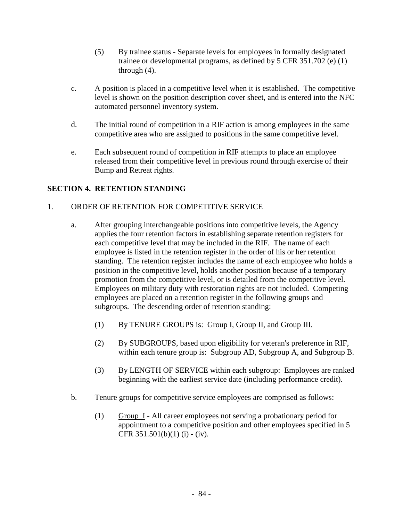- (5) By trainee status Separate levels for employees in formally designated trainee or developmental programs, as defined by 5 CFR 351.702 (e) (1) through (4).
- c. A position is placed in a competitive level when it is established. The competitive level is shown on the position description cover sheet, and is entered into the NFC automated personnel inventory system.
- d. The initial round of competition in a RIF action is among employees in the same competitive area who are assigned to positions in the same competitive level.
- e. Each subsequent round of competition in RIF attempts to place an employee released from their competitive level in previous round through exercise of their Bump and Retreat rights.

### **SECTION 4. RETENTION STANDING**

### 1. ORDER OF RETENTION FOR COMPETITIVE SERVICE

- a. After grouping interchangeable positions into competitive levels, the Agency applies the four retention factors in establishing separate retention registers for each competitive level that may be included in the RIF. The name of each employee is listed in the retention register in the order of his or her retention standing. The retention register includes the name of each employee who holds a position in the competitive level, holds another position because of a temporary promotion from the competitive level, or is detailed from the competitive level. Employees on military duty with restoration rights are not included. Competing employees are placed on a retention register in the following groups and subgroups. The descending order of retention standing:
	- (1) By TENURE GROUPS is: Group I, Group II, and Group III.
	- (2) By SUBGROUPS, based upon eligibility for veteran's preference in RIF, within each tenure group is: Subgroup AD, Subgroup A, and Subgroup B.
	- (3) By LENGTH OF SERVICE within each subgroup: Employees are ranked beginning with the earliest service date (including performance credit).
- b. Tenure groups for competitive service employees are comprised as follows:
	- (1) Group I All career employees not serving a probationary period for appointment to a competitive position and other employees specified in 5 CFR  $351.501(b)(1)$  (i) - (iv).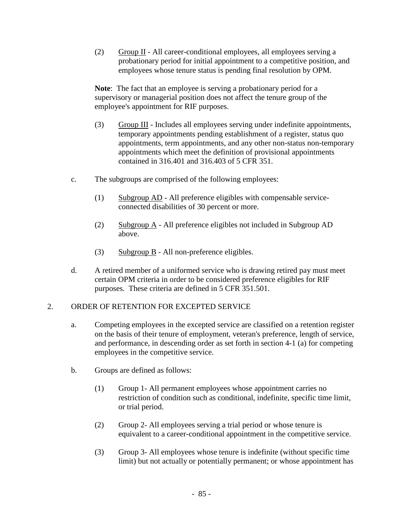(2) Group II - All career-conditional employees, all employees serving a probationary period for initial appointment to a competitive position, and employees whose tenure status is pending final resolution by OPM.

**Note**: The fact that an employee is serving a probationary period for a supervisory or managerial position does not affect the tenure group of the employee's appointment for RIF purposes.

- (3) Group III Includes all employees serving under indefinite appointments, temporary appointments pending establishment of a register, status quo appointments, term appointments, and any other non-status non-temporary appointments which meet the definition of provisional appointments contained in 316.401 and 316.403 of 5 CFR 351.
- c. The subgroups are comprised of the following employees:
	- (1) Subgroup AD All preference eligibles with compensable serviceconnected disabilities of 30 percent or more.
	- (2) Subgroup  $\overline{A}$  All preference eligibles not included in Subgroup AD above.
	- (3) Subgroup B All non-preference eligibles.
- d. A retired member of a uniformed service who is drawing retired pay must meet certain OPM criteria in order to be considered preference eligibles for RIF purposes. These criteria are defined in 5 CFR 351.501.

### 2. ORDER OF RETENTION FOR EXCEPTED SERVICE

- a. Competing employees in the excepted service are classified on a retention register on the basis of their tenure of employment, veteran's preference, length of service, and performance, in descending order as set forth in section 4-1 (a) for competing employees in the competitive service.
- b. Groups are defined as follows:
	- (1) Group 1- All permanent employees whose appointment carries no restriction of condition such as conditional, indefinite, specific time limit, or trial period.
	- (2) Group 2- All employees serving a trial period or whose tenure is equivalent to a career-conditional appointment in the competitive service.
	- (3) Group 3- All employees whose tenure is indefinite (without specific time limit) but not actually or potentially permanent; or whose appointment has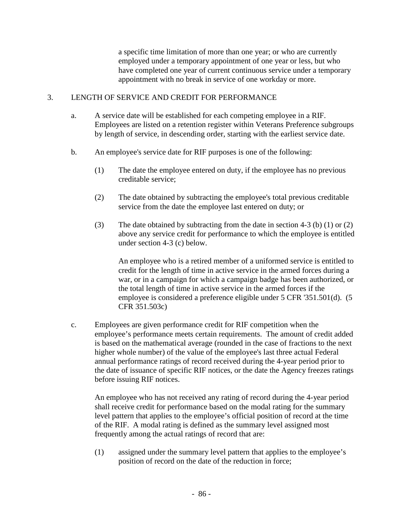a specific time limitation of more than one year; or who are currently employed under a temporary appointment of one year or less, but who have completed one year of current continuous service under a temporary appointment with no break in service of one workday or more.

#### 3. LENGTH OF SERVICE AND CREDIT FOR PERFORMANCE

- a. A service date will be established for each competing employee in a RIF. Employees are listed on a retention register within Veterans Preference subgroups by length of service, in descending order, starting with the earliest service date.
- b. An employee's service date for RIF purposes is one of the following:
	- (1) The date the employee entered on duty, if the employee has no previous creditable service;
	- (2) The date obtained by subtracting the employee's total previous creditable service from the date the employee last entered on duty; or
	- (3) The date obtained by subtracting from the date in section 4-3 (b) (1) or (2) above any service credit for performance to which the employee is entitled under section 4-3 (c) below.

An employee who is a retired member of a uniformed service is entitled to credit for the length of time in active service in the armed forces during a war, or in a campaign for which a campaign badge has been authorized, or the total length of time in active service in the armed forces if the employee is considered a preference eligible under 5 CFR '351.501(d). (5 CFR 351.503c)

c. Employees are given performance credit for RIF competition when the employee's performance meets certain requirements. The amount of credit added is based on the mathematical average (rounded in the case of fractions to the next higher whole number) of the value of the employee's last three actual Federal annual performance ratings of record received during the 4-year period prior to the date of issuance of specific RIF notices, or the date the Agency freezes ratings before issuing RIF notices.

An employee who has not received any rating of record during the 4-year period shall receive credit for performance based on the modal rating for the summary level pattern that applies to the employee's official position of record at the time of the RIF. A modal rating is defined as the summary level assigned most frequently among the actual ratings of record that are:

(1) assigned under the summary level pattern that applies to the employee's position of record on the date of the reduction in force;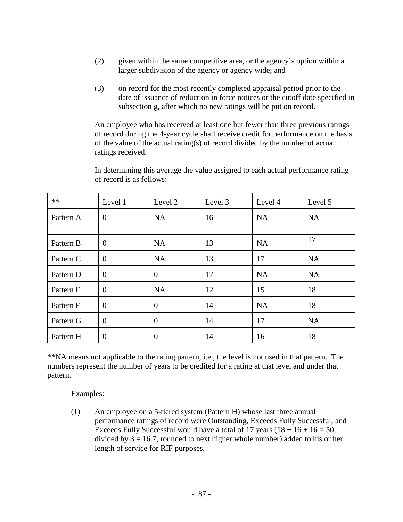- (2) given within the same competitive area, or the agency's option within a larger subdivision of the agency or agency wide; and
- (3) on record for the most recently completed appraisal period prior to the date of issuance of reduction in force notices or the cutoff date specified in subsection g, after which no new ratings will be put on record.

An employee who has received at least one but fewer than three previous ratings of record during the 4-year cycle shall receive credit for performance on the basis of the value of the actual rating(s) of record divided by the number of actual ratings received.

| $**$      | Level 1        | Level 2          | Level 3 | Level 4   | Level 5   |
|-----------|----------------|------------------|---------|-----------|-----------|
| Pattern A | $\overline{0}$ | NA               | 16      | <b>NA</b> | <b>NA</b> |
| Pattern B | $\theta$       | NA               | 13      | <b>NA</b> | 17        |
| Pattern C | $\overline{0}$ | NA               | 13      | 17        | <b>NA</b> |
| Pattern D | $\overline{0}$ | $\overline{0}$   | 17      | <b>NA</b> | <b>NA</b> |
| Pattern E | $\overline{0}$ | NA               | 12      | 15        | 18        |
| Pattern F | $\theta$       | $\overline{0}$   | 14      | <b>NA</b> | 18        |
| Pattern G | $\theta$       | $\overline{0}$   | 14      | 17        | <b>NA</b> |
| Pattern H | $\overline{0}$ | $\boldsymbol{0}$ | 14      | 16        | 18        |

In determining this average the value assigned to each actual performance rating of record is as follows:

\*\*NA means not applicable to the rating pattern, i.e., the level is not used in that pattern. The numbers represent the number of years to be credited for a rating at that level and under that pattern.

Examples:

(1) An employee on a 5-tiered system (Pattern H) whose last three annual performance ratings of record were Outstanding, Exceeds Fully Successful, and Exceeds Fully Successful would have a total of 17 years  $(18 + 16 + 16 = 50$ , divided by  $3 = 16.7$ , rounded to next higher whole number) added to his or her length of service for RIF purposes.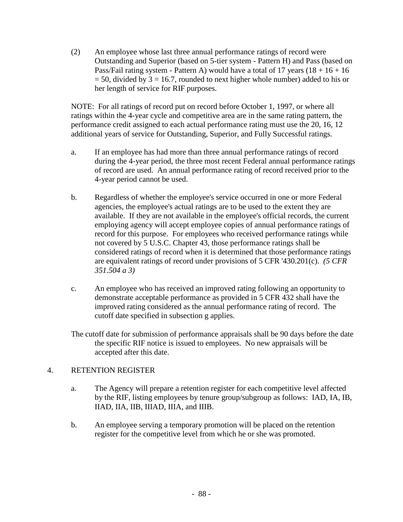(2) An employee whose last three annual performance ratings of record were Outstanding and Superior (based on 5-tier system - Pattern H) and Pass (based on Pass/Fail rating system - Pattern A) would have a total of 17 years  $(18 + 16 + 16)$  $= 50$ , divided by 3 = 16.7, rounded to next higher whole number) added to his or her length of service for RIF purposes.

NOTE: For all ratings of record put on record before October 1, 1997, or where all ratings within the 4-year cycle and competitive area are in the same rating pattern, the performance credit assigned to each actual performance rating must use the 20, 16, 12 additional years of service for Outstanding, Superior, and Fully Successful ratings.

- a. If an employee has had more than three annual performance ratings of record during the 4-year period, the three most recent Federal annual performance ratings of record are used. An annual performance rating of record received prior to the 4-year period cannot be used.
- b. Regardless of whether the employee's service occurred in one or more Federal agencies, the employee's actual ratings are to be used to the extent they are available. If they are not available in the employee's official records, the current employing agency will accept employee copies of annual performance ratings of record for this purpose. For employees who received performance ratings while not covered by 5 U.S.C. Chapter 43, those performance ratings shall be considered ratings of record when it is determined that those performance ratings are equivalent ratings of record under provisions of 5 CFR '430.201(c). *(5 CFR 351.504 a 3)*
- c. An employee who has received an improved rating following an opportunity to demonstrate acceptable performance as provided in 5 CFR 432 shall have the improved rating considered as the annual performance rating of record. The cutoff date specified in subsection g applies.

The cutoff date for submission of performance appraisals shall be 90 days before the date the specific RIF notice is issued to employees. No new appraisals will be accepted after this date.

### 4. RETENTION REGISTER

- a. The Agency will prepare a retention register for each competitive level affected by the RIF, listing employees by tenure group/subgroup as follows: IAD, IA, IB, IIAD, IIA, IIB, IIIAD, IIIA, and IIIB.
- b. An employee serving a temporary promotion will be placed on the retention register for the competitive level from which he or she was promoted.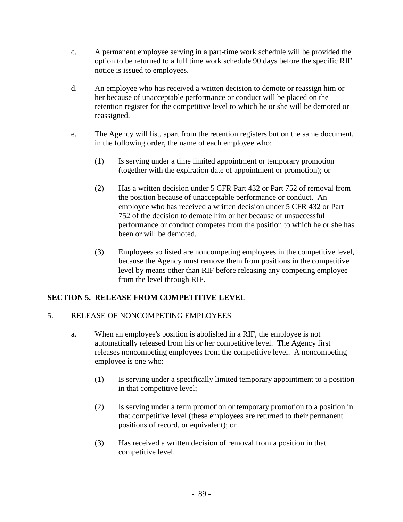- c. A permanent employee serving in a part-time work schedule will be provided the option to be returned to a full time work schedule 90 days before the specific RIF notice is issued to employees.
- d. An employee who has received a written decision to demote or reassign him or her because of unacceptable performance or conduct will be placed on the retention register for the competitive level to which he or she will be demoted or reassigned.
- e. The Agency will list, apart from the retention registers but on the same document, in the following order, the name of each employee who:
	- (1) Is serving under a time limited appointment or temporary promotion (together with the expiration date of appointment or promotion); or
	- (2) Has a written decision under 5 CFR Part 432 or Part 752 of removal from the position because of unacceptable performance or conduct. An employee who has received a written decision under 5 CFR 432 or Part 752 of the decision to demote him or her because of unsuccessful performance or conduct competes from the position to which he or she has been or will be demoted.
	- (3) Employees so listed are noncompeting employees in the competitive level, because the Agency must remove them from positions in the competitive level by means other than RIF before releasing any competing employee from the level through RIF.

# **SECTION 5. RELEASE FROM COMPETITIVE LEVEL**

### 5. RELEASE OF NONCOMPETING EMPLOYEES

- a. When an employee's position is abolished in a RIF, the employee is not automatically released from his or her competitive level. The Agency first releases noncompeting employees from the competitive level. A noncompeting employee is one who:
	- (1) Is serving under a specifically limited temporary appointment to a position in that competitive level;
	- (2) Is serving under a term promotion or temporary promotion to a position in that competitive level (these employees are returned to their permanent positions of record, or equivalent); or
	- (3) Has received a written decision of removal from a position in that competitive level.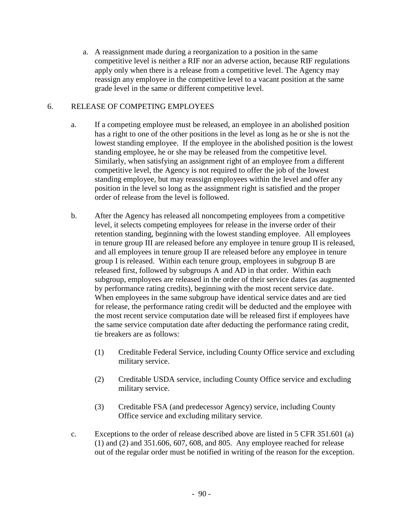a. A reassignment made during a reorganization to a position in the same competitive level is neither a RIF nor an adverse action, because RIF regulations apply only when there is a release from a competitive level. The Agency may reassign any employee in the competitive level to a vacant position at the same grade level in the same or different competitive level.

### 6. RELEASE OF COMPETING EMPLOYEES

- a. If a competing employee must be released, an employee in an abolished position has a right to one of the other positions in the level as long as he or she is not the lowest standing employee. If the employee in the abolished position is the lowest standing employee, he or she may be released from the competitive level. Similarly, when satisfying an assignment right of an employee from a different competitive level, the Agency is not required to offer the job of the lowest standing employee, but may reassign employees within the level and offer any position in the level so long as the assignment right is satisfied and the proper order of release from the level is followed.
- b. After the Agency has released all noncompeting employees from a competitive level, it selects competing employees for release in the inverse order of their retention standing, beginning with the lowest standing employee. All employees in tenure group III are released before any employee in tenure group II is released, and all employees in tenure group II are released before any employee in tenure group I is released. Within each tenure group, employees in subgroup B are released first, followed by subgroups A and AD in that order. Within each subgroup, employees are released in the order of their service dates (as augmented by performance rating credits), beginning with the most recent service date. When employees in the same subgroup have identical service dates and are tied for release, the performance rating credit will be deducted and the employee with the most recent service computation date will be released first if employees have the same service computation date after deducting the performance rating credit, tie breakers are as follows:
	- (1) Creditable Federal Service, including County Office service and excluding military service.
	- (2) Creditable USDA service, including County Office service and excluding military service.
	- (3) Creditable FSA (and predecessor Agency) service, including County Office service and excluding military service.
- c. Exceptions to the order of release described above are listed in 5 CFR 351.601 (a) (1) and (2) and 351.606, 607, 608, and 805. Any employee reached for release out of the regular order must be notified in writing of the reason for the exception.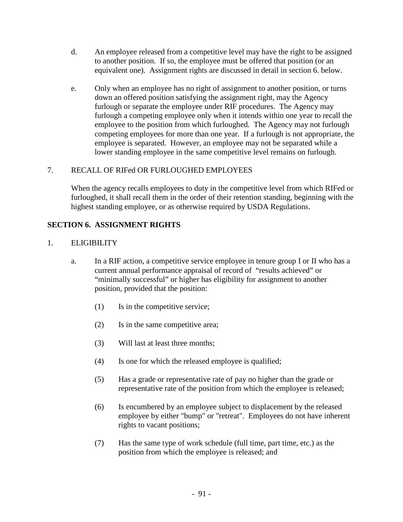- d. An employee released from a competitive level may have the right to be assigned to another position. If so, the employee must be offered that position (or an equivalent one). Assignment rights are discussed in detail in section 6. below.
- e. Only when an employee has no right of assignment to another position, or turns down an offered position satisfying the assignment right, may the Agency furlough or separate the employee under RIF procedures. The Agency may furlough a competing employee only when it intends within one year to recall the employee to the position from which furloughed. The Agency may not furlough competing employees for more than one year. If a furlough is not appropriate, the employee is separated. However, an employee may not be separated while a lower standing employee in the same competitive level remains on furlough.

# 7. RECALL OF RIFed OR FURLOUGHED EMPLOYEES

When the agency recalls employees to duty in the competitive level from which RIFed or furloughed, it shall recall them in the order of their retention standing, beginning with the highest standing employee, or as otherwise required by USDA Regulations.

# **SECTION 6. ASSIGNMENT RIGHTS**

### 1. ELIGIBILITY

- a. In a RIF action, a competitive service employee in tenure group I or II who has a current annual performance appraisal of record of "results achieved" or "minimally successful" or higher has eligibility for assignment to another position, provided that the position:
	- (1) Is in the competitive service;
	- (2) Is in the same competitive area;
	- (3) Will last at least three months;
	- (4) Is one for which the released employee is qualified;
	- (5) Has a grade or representative rate of pay no higher than the grade or representative rate of the position from which the employee is released;
	- (6) Is encumbered by an employee subject to displacement by the released employee by either "bump" or "retreat". Employees do not have inherent rights to vacant positions;
	- (7) Has the same type of work schedule (full time, part time, etc.) as the position from which the employee is released; and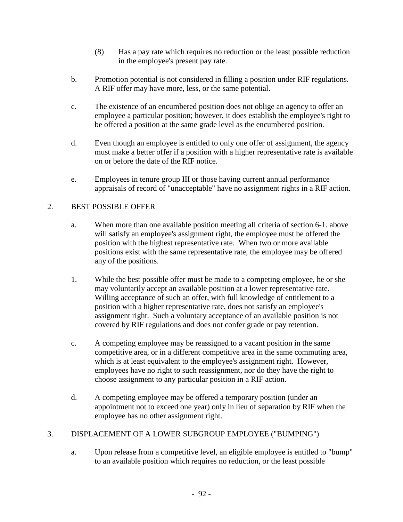- (8) Has a pay rate which requires no reduction or the least possible reduction in the employee's present pay rate.
- b. Promotion potential is not considered in filling a position under RIF regulations. A RIF offer may have more, less, or the same potential.
- c. The existence of an encumbered position does not oblige an agency to offer an employee a particular position; however, it does establish the employee's right to be offered a position at the same grade level as the encumbered position.
- d. Even though an employee is entitled to only one offer of assignment, the agency must make a better offer if a position with a higher representative rate is available on or before the date of the RIF notice.
- e. Employees in tenure group III or those having current annual performance appraisals of record of "unacceptable" have no assignment rights in a RIF action.

# 2. BEST POSSIBLE OFFER

- a. When more than one available position meeting all criteria of section 6-1. above will satisfy an employee's assignment right, the employee must be offered the position with the highest representative rate. When two or more available positions exist with the same representative rate, the employee may be offered any of the positions.
- 1. While the best possible offer must be made to a competing employee, he or she may voluntarily accept an available position at a lower representative rate. Willing acceptance of such an offer, with full knowledge of entitlement to a position with a higher representative rate, does not satisfy an employee's assignment right. Such a voluntary acceptance of an available position is not covered by RIF regulations and does not confer grade or pay retention.
- c. A competing employee may be reassigned to a vacant position in the same competitive area, or in a different competitive area in the same commuting area, which is at least equivalent to the employee's assignment right. However, employees have no right to such reassignment, nor do they have the right to choose assignment to any particular position in a RIF action.
- d. A competing employee may be offered a temporary position (under an appointment not to exceed one year) only in lieu of separation by RIF when the employee has no other assignment right.

# 3. DISPLACEMENT OF A LOWER SUBGROUP EMPLOYEE ("BUMPING")

a. Upon release from a competitive level, an eligible employee is entitled to "bump" to an available position which requires no reduction, or the least possible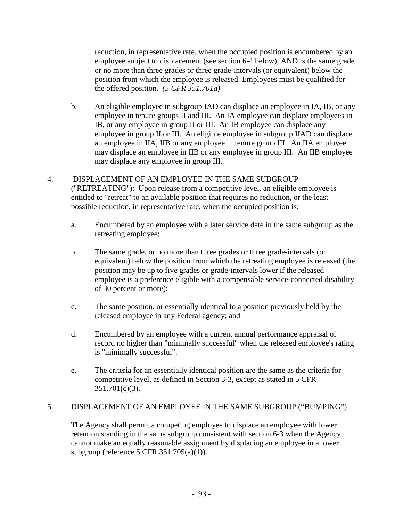reduction, in representative rate, when the occupied position is encumbered by an employee subject to displacement (see section 6-4 below), AND is the same grade or no more than three grades or three grade-intervals (or equivalent) below the position from which the employee is released. Employees must be qualified for the offered position. *(5 CFR 351.701a)*

- b. An eligible employee in subgroup IAD can displace an employee in IA, IB, or any employee in tenure groups II and III. An IA employee can displace employees in IB, or any employee in group II or III. An IB employee can displace any employee in group II or III. An eligible employee in subgroup IIAD can displace an employee in IIA, IIB or any employee in tenure group III. An IIA employee may displace an employee in IIB or any employee in group III. An IIB employee may displace any employee in group III.
- 4. DISPLACEMENT OF AN EMPLOYEE IN THE SAME SUBGROUP ("RETREATING"): Upon release from a competitive level, an eligible employee is entitled to "retreat" to an available position that requires no reduction, or the least possible reduction, in representative rate, when the occupied position is:
	- a. Encumbered by an employee with a later service date in the same subgroup as the retreating employee;
	- b. The same grade, or no more than three grades or three grade-intervals (or equivalent) below the position from which the retreating employee is released (the position may be up to five grades or grade-intervals lower if the released employee is a preference eligible with a compensable service-connected disability of 30 percent or more);
	- c. The same position, or essentially identical to a position previously held by the released employee in any Federal agency; and
	- d. Encumbered by an employee with a current annual performance appraisal of record no higher than "minimally successful" when the released employee's rating is "minimally successful".
	- e. The criteria for an essentially identical position are the same as the criteria for competitive level, as defined in Section 3-3, except as stated in 5 CFR 351.701(c)(3).

### 5. DISPLACEMENT OF AN EMPLOYEE IN THE SAME SUBGROUP ("BUMPING")

The Agency shall permit a competing employee to displace an employee with lower retention standing in the same subgroup consistent with section 6-3 when the Agency cannot make an equally reasonable assignment by displacing an employee in a lower subgroup (reference 5 CFR 351.705(a)(1)).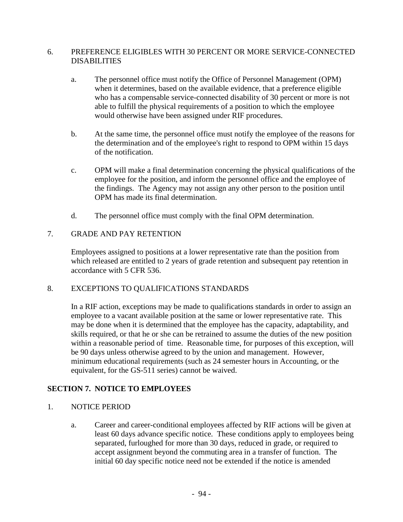### 6. PREFERENCE ELIGIBLES WITH 30 PERCENT OR MORE SERVICE-CONNECTED DISABILITIES

- a. The personnel office must notify the Office of Personnel Management (OPM) when it determines, based on the available evidence, that a preference eligible who has a compensable service-connected disability of 30 percent or more is not able to fulfill the physical requirements of a position to which the employee would otherwise have been assigned under RIF procedures.
- b. At the same time, the personnel office must notify the employee of the reasons for the determination and of the employee's right to respond to OPM within 15 days of the notification.
- c. OPM will make a final determination concerning the physical qualifications of the employee for the position, and inform the personnel office and the employee of the findings. The Agency may not assign any other person to the position until OPM has made its final determination.
- d. The personnel office must comply with the final OPM determination.

### 7. GRADE AND PAY RETENTION

Employees assigned to positions at a lower representative rate than the position from which released are entitled to 2 years of grade retention and subsequent pay retention in accordance with 5 CFR 536.

### 8. EXCEPTIONS TO QUALIFICATIONS STANDARDS

In a RIF action, exceptions may be made to qualifications standards in order to assign an employee to a vacant available position at the same or lower representative rate. This may be done when it is determined that the employee has the capacity, adaptability, and skills required, or that he or she can be retrained to assume the duties of the new position within a reasonable period of time. Reasonable time, for purposes of this exception, will be 90 days unless otherwise agreed to by the union and management. However, minimum educational requirements (such as 24 semester hours in Accounting, or the equivalent, for the GS-511 series) cannot be waived.

### **SECTION 7. NOTICE TO EMPLOYEES**

### 1. NOTICE PERIOD

a. Career and career-conditional employees affected by RIF actions will be given at least 60 days advance specific notice. These conditions apply to employees being separated, furloughed for more than 30 days, reduced in grade, or required to accept assignment beyond the commuting area in a transfer of function. The initial 60 day specific notice need not be extended if the notice is amended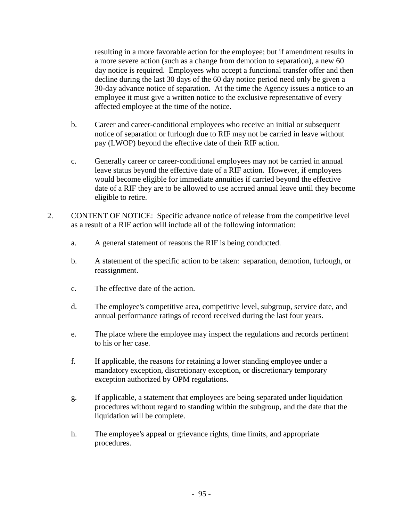resulting in a more favorable action for the employee; but if amendment results in a more severe action (such as a change from demotion to separation), a new 60 day notice is required. Employees who accept a functional transfer offer and then decline during the last 30 days of the 60 day notice period need only be given a 30-day advance notice of separation. At the time the Agency issues a notice to an employee it must give a written notice to the exclusive representative of every affected employee at the time of the notice.

- b. Career and career-conditional employees who receive an initial or subsequent notice of separation or furlough due to RIF may not be carried in leave without pay (LWOP) beyond the effective date of their RIF action.
- c. Generally career or career-conditional employees may not be carried in annual leave status beyond the effective date of a RIF action. However, if employees would become eligible for immediate annuities if carried beyond the effective date of a RIF they are to be allowed to use accrued annual leave until they become eligible to retire.
- 2. CONTENT OF NOTICE: Specific advance notice of release from the competitive level as a result of a RIF action will include all of the following information:
	- a. A general statement of reasons the RIF is being conducted.
	- b. A statement of the specific action to be taken: separation, demotion, furlough, or reassignment.
	- c. The effective date of the action.
	- d. The employee's competitive area, competitive level, subgroup, service date, and annual performance ratings of record received during the last four years.
	- e. The place where the employee may inspect the regulations and records pertinent to his or her case.
	- f. If applicable, the reasons for retaining a lower standing employee under a mandatory exception, discretionary exception, or discretionary temporary exception authorized by OPM regulations.
	- g. If applicable, a statement that employees are being separated under liquidation procedures without regard to standing within the subgroup, and the date that the liquidation will be complete.
	- h. The employee's appeal or grievance rights, time limits, and appropriate procedures.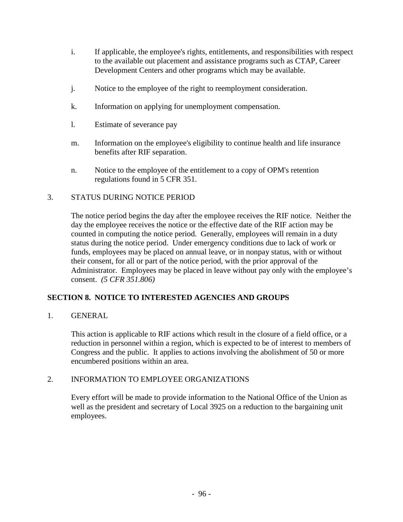- i. If applicable, the employee's rights, entitlements, and responsibilities with respect to the available out placement and assistance programs such as CTAP, Career Development Centers and other programs which may be available.
- j. Notice to the employee of the right to reemployment consideration.
- k. Information on applying for unemployment compensation.
- l. Estimate of severance pay
- m. Information on the employee's eligibility to continue health and life insurance benefits after RIF separation.
- n. Notice to the employee of the entitlement to a copy of OPM's retention regulations found in 5 CFR 351.

### 3. STATUS DURING NOTICE PERIOD

The notice period begins the day after the employee receives the RIF notice. Neither the day the employee receives the notice or the effective date of the RIF action may be counted in computing the notice period. Generally, employees will remain in a duty status during the notice period. Under emergency conditions due to lack of work or funds, employees may be placed on annual leave, or in nonpay status, with or without their consent, for all or part of the notice period, with the prior approval of the Administrator. Employees may be placed in leave without pay only with the employee's consent. *(5 CFR 351.806)*

# **SECTION 8. NOTICE TO INTERESTED AGENCIES AND GROUPS**

1. GENERAL

This action is applicable to RIF actions which result in the closure of a field office, or a reduction in personnel within a region, which is expected to be of interest to members of Congress and the public. It applies to actions involving the abolishment of 50 or more encumbered positions within an area.

### 2. INFORMATION TO EMPLOYEE ORGANIZATIONS

Every effort will be made to provide information to the National Office of the Union as well as the president and secretary of Local 3925 on a reduction to the bargaining unit employees.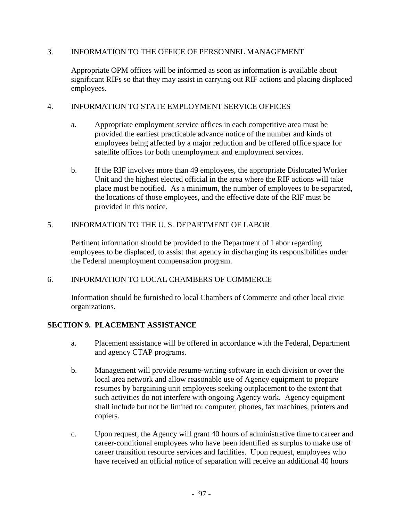#### 3. INFORMATION TO THE OFFICE OF PERSONNEL MANAGEMENT

Appropriate OPM offices will be informed as soon as information is available about significant RIFs so that they may assist in carrying out RIF actions and placing displaced employees.

#### 4. INFORMATION TO STATE EMPLOYMENT SERVICE OFFICES

- a. Appropriate employment service offices in each competitive area must be provided the earliest practicable advance notice of the number and kinds of employees being affected by a major reduction and be offered office space for satellite offices for both unemployment and employment services.
- b. If the RIF involves more than 49 employees, the appropriate Dislocated Worker Unit and the highest elected official in the area where the RIF actions will take place must be notified. As a minimum, the number of employees to be separated, the locations of those employees, and the effective date of the RIF must be provided in this notice.

### 5. INFORMATION TO THE U. S. DEPARTMENT OF LABOR

Pertinent information should be provided to the Department of Labor regarding employees to be displaced, to assist that agency in discharging its responsibilities under the Federal unemployment compensation program.

### 6. INFORMATION TO LOCAL CHAMBERS OF COMMERCE

Information should be furnished to local Chambers of Commerce and other local civic organizations.

### **SECTION 9. PLACEMENT ASSISTANCE**

- a. Placement assistance will be offered in accordance with the Federal, Department and agency CTAP programs.
- b. Management will provide resume-writing software in each division or over the local area network and allow reasonable use of Agency equipment to prepare resumes by bargaining unit employees seeking outplacement to the extent that such activities do not interfere with ongoing Agency work. Agency equipment shall include but not be limited to: computer, phones, fax machines, printers and copiers.
- c. Upon request, the Agency will grant 40 hours of administrative time to career and career-conditional employees who have been identified as surplus to make use of career transition resource services and facilities. Upon request, employees who have received an official notice of separation will receive an additional 40 hours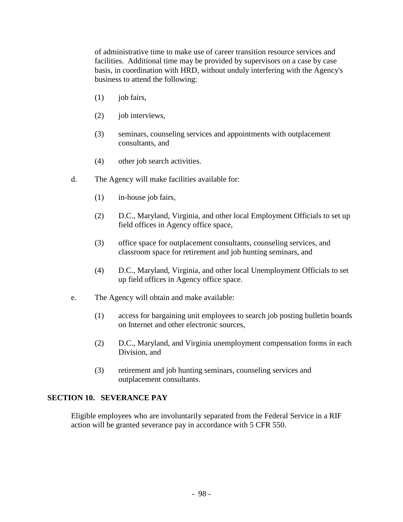of administrative time to make use of career transition resource services and facilities. Additional time may be provided by supervisors on a case by case basis, in coordination with HRD, without unduly interfering with the Agency's business to attend the following:

- $(1)$  job fairs,
- (2) job interviews,
- (3) seminars, counseling services and appointments with outplacement consultants, and
- (4) other job search activities.
- d. The Agency will make facilities available for:
	- (1) in-house job fairs,
	- (2) D.C., Maryland, Virginia, and other local Employment Officials to set up field offices in Agency office space,
	- (3) office space for outplacement consultants, counseling services, and classroom space for retirement and job hunting seminars, and
	- (4) D.C., Maryland, Virginia, and other local Unemployment Officials to set up field offices in Agency office space.
- e. The Agency will obtain and make available:
	- (1) access for bargaining unit employees to search job posting bulletin boards on Internet and other electronic sources,
	- (2) D.C., Maryland, and Virginia unemployment compensation forms in each Division, and
	- (3) retirement and job hunting seminars, counseling services and outplacement consultants.

#### **SECTION 10. SEVERANCE PAY**

Eligible employees who are involuntarily separated from the Federal Service in a RIF action will be granted severance pay in accordance with 5 CFR 550.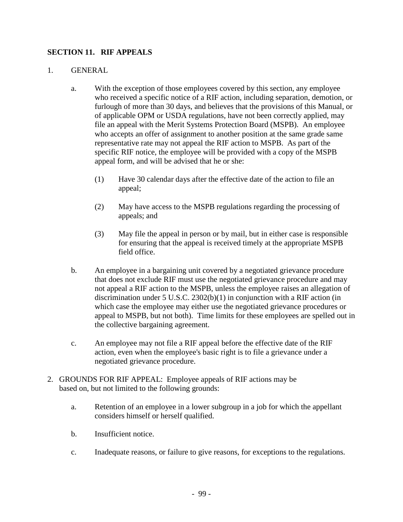### **SECTION 11. RIF APPEALS**

#### 1. GENERAL

- a. With the exception of those employees covered by this section, any employee who received a specific notice of a RIF action, including separation, demotion, or furlough of more than 30 days, and believes that the provisions of this Manual, or of applicable OPM or USDA regulations, have not been correctly applied, may file an appeal with the Merit Systems Protection Board (MSPB). An employee who accepts an offer of assignment to another position at the same grade same representative rate may not appeal the RIF action to MSPB. As part of the specific RIF notice, the employee will be provided with a copy of the MSPB appeal form, and will be advised that he or she:
	- (1) Have 30 calendar days after the effective date of the action to file an appeal;
	- (2) May have access to the MSPB regulations regarding the processing of appeals; and
	- (3) May file the appeal in person or by mail, but in either case is responsible for ensuring that the appeal is received timely at the appropriate MSPB field office.
- b. An employee in a bargaining unit covered by a negotiated grievance procedure that does not exclude RIF must use the negotiated grievance procedure and may not appeal a RIF action to the MSPB, unless the employee raises an allegation of discrimination under 5 U.S.C. 2302(b)(1) in conjunction with a RIF action (in which case the employee may either use the negotiated grievance procedures or appeal to MSPB, but not both). Time limits for these employees are spelled out in the collective bargaining agreement.
- c. An employee may not file a RIF appeal before the effective date of the RIF action, even when the employee's basic right is to file a grievance under a negotiated grievance procedure.
- 2. GROUNDS FOR RIF APPEAL: Employee appeals of RIF actions may be based on, but not limited to the following grounds:
	- a. Retention of an employee in a lower subgroup in a job for which the appellant considers himself or herself qualified.
	- b. Insufficient notice.
	- c. Inadequate reasons, or failure to give reasons, for exceptions to the regulations.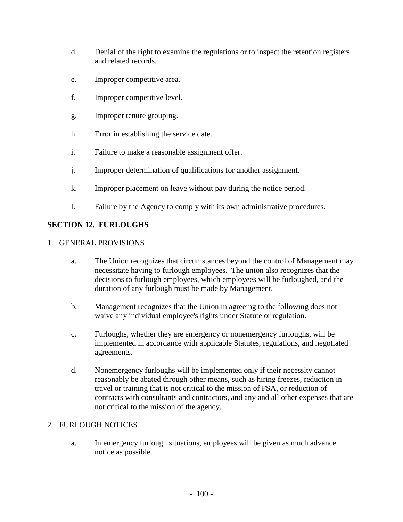- d. Denial of the right to examine the regulations or to inspect the retention registers and related records.
- e. Improper competitive area.
- f. Improper competitive level.
- g. Improper tenure grouping.
- h. Error in establishing the service date.
- i. Failure to make a reasonable assignment offer.
- j. Improper determination of qualifications for another assignment.
- k. Improper placement on leave without pay during the notice period.
- l. Failure by the Agency to comply with its own administrative procedures.

# **SECTION 12. FURLOUGHS**

#### 1. GENERAL PROVISIONS

- a. The Union recognizes that circumstances beyond the control of Management may necessitate having to furlough employees. The union also recognizes that the decisions to furlough employees, which employees will be furloughed, and the duration of any furlough must be made by Management.
- b. Management recognizes that the Union in agreeing to the following does not waive any individual employee's rights under Statute or regulation.
- c. Furloughs, whether they are emergency or nonemergency furloughs, will be implemented in accordance with applicable Statutes, regulations, and negotiated agreements.
- d. Nonemergency furloughs will be implemented only if their necessity cannot reasonably be abated through other means, such as hiring freezes, reduction in travel or training that is not critical to the mission of FSA, or reduction of contracts with consultants and contractors, and any and all other expenses that are not critical to the mission of the agency.

### 2. FURLOUGH NOTICES

a. In emergency furlough situations, employees will be given as much advance notice as possible.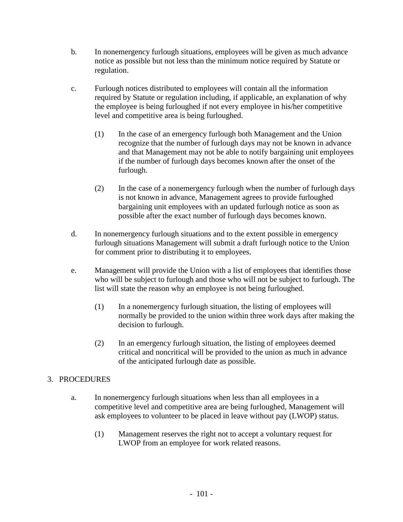- b. In nonemergency furlough situations, employees will be given as much advance notice as possible but not less than the minimum notice required by Statute or regulation.
- c. Furlough notices distributed to employees will contain all the information required by Statute or regulation including, if applicable, an explanation of why the employee is being furloughed if not every employee in his/her competitive level and competitive area is being furloughed.
	- (1) In the case of an emergency furlough both Management and the Union recognize that the number of furlough days may not be known in advance and that Management may not be able to notify bargaining unit employees if the number of furlough days becomes known after the onset of the furlough.
	- (2) In the case of a nonemergency furlough when the number of furlough days is not known in advance, Management agrees to provide furloughed bargaining unit employees with an updated furlough notice as soon as possible after the exact number of furlough days becomes known.
- d. In nonemergency furlough situations and to the extent possible in emergency furlough situations Management will submit a draft furlough notice to the Union for comment prior to distributing it to employees.
- e. Management will provide the Union with a list of employees that identifies those who will be subject to furlough and those who will not be subject to furlough. The list will state the reason why an employee is not being furloughed.
	- (1) In a nonemergency furlough situation, the listing of employees will normally be provided to the union within three work days after making the decision to furlough.
	- (2) In an emergency furlough situation, the listing of employees deemed critical and noncritical will be provided to the union as much in advance of the anticipated furlough date as possible.

# 3. PROCEDURES

- a. In nonemergency furlough situations when less than all employees in a competitive level and competitive area are being furloughed, Management will ask employees to volunteer to be placed in leave without pay (LWOP) status.
	- (1) Management reserves the right not to accept a voluntary request for LWOP from an employee for work related reasons.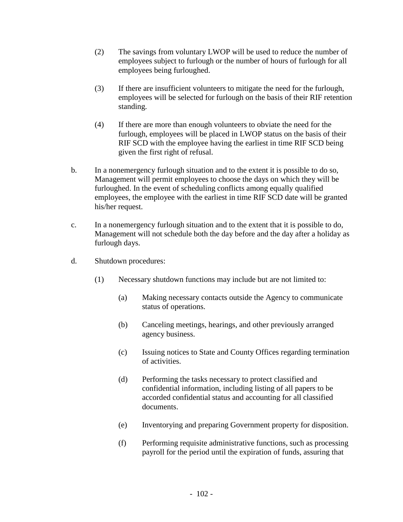- (2) The savings from voluntary LWOP will be used to reduce the number of employees subject to furlough or the number of hours of furlough for all employees being furloughed.
- (3) If there are insufficient volunteers to mitigate the need for the furlough, employees will be selected for furlough on the basis of their RIF retention standing.
- (4) If there are more than enough volunteers to obviate the need for the furlough, employees will be placed in LWOP status on the basis of their RIF SCD with the employee having the earliest in time RIF SCD being given the first right of refusal.
- b. In a nonemergency furlough situation and to the extent it is possible to do so, Management will permit employees to choose the days on which they will be furloughed. In the event of scheduling conflicts among equally qualified employees, the employee with the earliest in time RIF SCD date will be granted his/her request.
- c. In a nonemergency furlough situation and to the extent that it is possible to do, Management will not schedule both the day before and the day after a holiday as furlough days.
- d. Shutdown procedures:
	- (1) Necessary shutdown functions may include but are not limited to:
		- (a) Making necessary contacts outside the Agency to communicate status of operations.
		- (b) Canceling meetings, hearings, and other previously arranged agency business.
		- (c) Issuing notices to State and County Offices regarding termination of activities.
		- (d) Performing the tasks necessary to protect classified and confidential information, including listing of all papers to be accorded confidential status and accounting for all classified documents.
		- (e) Inventorying and preparing Government property for disposition.
		- (f) Performing requisite administrative functions, such as processing payroll for the period until the expiration of funds, assuring that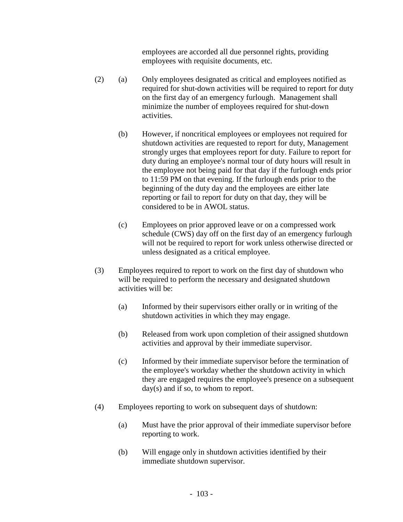employees are accorded all due personnel rights, providing employees with requisite documents, etc.

- (2) (a) Only employees designated as critical and employees notified as required for shut-down activities will be required to report for duty on the first day of an emergency furlough. Management shall minimize the number of employees required for shut-down activities.
	- (b) However, if noncritical employees or employees not required for shutdown activities are requested to report for duty, Management strongly urges that employees report for duty. Failure to report for duty during an employee's normal tour of duty hours will result in the employee not being paid for that day if the furlough ends prior to 11:59 PM on that evening. If the furlough ends prior to the beginning of the duty day and the employees are either late reporting or fail to report for duty on that day, they will be considered to be in AWOL status.
	- (c) Employees on prior approved leave or on a compressed work schedule (CWS) day off on the first day of an emergency furlough will not be required to report for work unless otherwise directed or unless designated as a critical employee.
- (3) Employees required to report to work on the first day of shutdown who will be required to perform the necessary and designated shutdown activities will be:
	- (a) Informed by their supervisors either orally or in writing of the shutdown activities in which they may engage.
	- (b) Released from work upon completion of their assigned shutdown activities and approval by their immediate supervisor.
	- (c) Informed by their immediate supervisor before the termination of the employee's workday whether the shutdown activity in which they are engaged requires the employee's presence on a subsequent day(s) and if so, to whom to report.
- (4) Employees reporting to work on subsequent days of shutdown:
	- (a) Must have the prior approval of their immediate supervisor before reporting to work.
	- (b) Will engage only in shutdown activities identified by their immediate shutdown supervisor.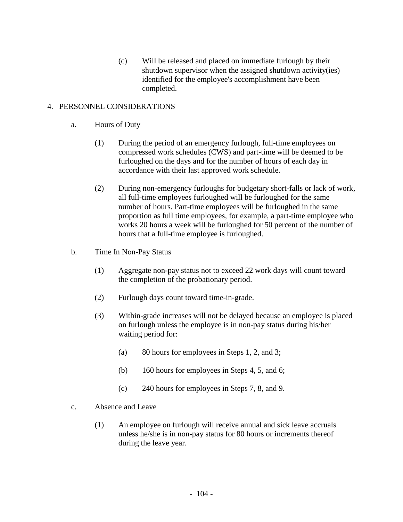(c) Will be released and placed on immediate furlough by their shutdown supervisor when the assigned shutdown activity(ies) identified for the employee's accomplishment have been completed.

### 4. PERSONNEL CONSIDERATIONS

- a. Hours of Duty
	- (1) During the period of an emergency furlough, full-time employees on compressed work schedules (CWS) and part-time will be deemed to be furloughed on the days and for the number of hours of each day in accordance with their last approved work schedule.
	- (2) During non-emergency furloughs for budgetary short-falls or lack of work, all full-time employees furloughed will be furloughed for the same number of hours. Part-time employees will be furloughed in the same proportion as full time employees, for example, a part-time employee who works 20 hours a week will be furloughed for 50 percent of the number of hours that a full-time employee is furloughed.
- b. Time In Non-Pay Status
	- (1) Aggregate non-pay status not to exceed 22 work days will count toward the completion of the probationary period.
	- (2) Furlough days count toward time-in-grade.
	- (3) Within-grade increases will not be delayed because an employee is placed on furlough unless the employee is in non-pay status during his/her waiting period for:
		- (a) 80 hours for employees in Steps 1, 2, and 3;
		- (b) 160 hours for employees in Steps 4, 5, and 6;
		- (c) 240 hours for employees in Steps 7, 8, and 9.
- c. Absence and Leave
	- (1) An employee on furlough will receive annual and sick leave accruals unless he/she is in non-pay status for 80 hours or increments thereof during the leave year.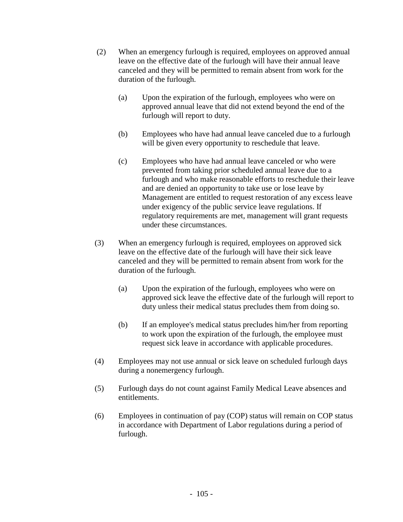- (2) When an emergency furlough is required, employees on approved annual leave on the effective date of the furlough will have their annual leave canceled and they will be permitted to remain absent from work for the duration of the furlough.
	- (a) Upon the expiration of the furlough, employees who were on approved annual leave that did not extend beyond the end of the furlough will report to duty.
	- (b) Employees who have had annual leave canceled due to a furlough will be given every opportunity to reschedule that leave.
	- (c) Employees who have had annual leave canceled or who were prevented from taking prior scheduled annual leave due to a furlough and who make reasonable efforts to reschedule their leave and are denied an opportunity to take use or lose leave by Management are entitled to request restoration of any excess leave under exigency of the public service leave regulations. If regulatory requirements are met, management will grant requests under these circumstances.
- (3) When an emergency furlough is required, employees on approved sick leave on the effective date of the furlough will have their sick leave canceled and they will be permitted to remain absent from work for the duration of the furlough.
	- (a) Upon the expiration of the furlough, employees who were on approved sick leave the effective date of the furlough will report to duty unless their medical status precludes them from doing so.
	- (b) If an employee's medical status precludes him/her from reporting to work upon the expiration of the furlough, the employee must request sick leave in accordance with applicable procedures.
- (4) Employees may not use annual or sick leave on scheduled furlough days during a nonemergency furlough.
- (5) Furlough days do not count against Family Medical Leave absences and entitlements.
- (6) Employees in continuation of pay (COP) status will remain on COP status in accordance with Department of Labor regulations during a period of furlough.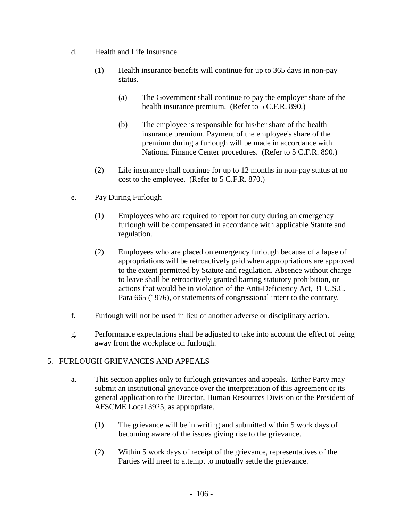- d. Health and Life Insurance
	- (1) Health insurance benefits will continue for up to 365 days in non-pay status.
		- (a) The Government shall continue to pay the employer share of the health insurance premium. (Refer to 5 C.F.R. 890.)
		- (b) The employee is responsible for his/her share of the health insurance premium. Payment of the employee's share of the premium during a furlough will be made in accordance with National Finance Center procedures. (Refer to 5 C.F.R. 890.)
	- (2) Life insurance shall continue for up to 12 months in non-pay status at no cost to the employee. (Refer to 5 C.F.R. 870.)
- e. Pay During Furlough
	- (1) Employees who are required to report for duty during an emergency furlough will be compensated in accordance with applicable Statute and regulation.
	- (2) Employees who are placed on emergency furlough because of a lapse of appropriations will be retroactively paid when appropriations are approved to the extent permitted by Statute and regulation. Absence without charge to leave shall be retroactively granted barring statutory prohibition, or actions that would be in violation of the Anti-Deficiency Act, 31 U.S.C. Para 665 (1976), or statements of congressional intent to the contrary.
- f. Furlough will not be used in lieu of another adverse or disciplinary action.
- g. Performance expectations shall be adjusted to take into account the effect of being away from the workplace on furlough.

### 5. FURLOUGH GRIEVANCES AND APPEALS

- a. This section applies only to furlough grievances and appeals. Either Party may submit an institutional grievance over the interpretation of this agreement or its general application to the Director, Human Resources Division or the President of AFSCME Local 3925, as appropriate.
	- (1) The grievance will be in writing and submitted within 5 work days of becoming aware of the issues giving rise to the grievance.
	- (2) Within 5 work days of receipt of the grievance, representatives of the Parties will meet to attempt to mutually settle the grievance.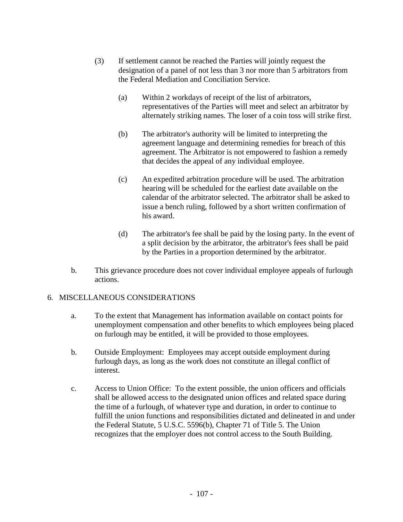- (3) If settlement cannot be reached the Parties will jointly request the designation of a panel of not less than 3 nor more than 5 arbitrators from the Federal Mediation and Conciliation Service.
	- (a) Within 2 workdays of receipt of the list of arbitrators, representatives of the Parties will meet and select an arbitrator by alternately striking names. The loser of a coin toss will strike first.
	- (b) The arbitrator's authority will be limited to interpreting the agreement language and determining remedies for breach of this agreement. The Arbitrator is not empowered to fashion a remedy that decides the appeal of any individual employee.
	- (c) An expedited arbitration procedure will be used. The arbitration hearing will be scheduled for the earliest date available on the calendar of the arbitrator selected. The arbitrator shall be asked to issue a bench ruling, followed by a short written confirmation of his award.
	- (d) The arbitrator's fee shall be paid by the losing party. In the event of a split decision by the arbitrator, the arbitrator's fees shall be paid by the Parties in a proportion determined by the arbitrator.
- b. This grievance procedure does not cover individual employee appeals of furlough actions.

### 6. MISCELLANEOUS CONSIDERATIONS

- a. To the extent that Management has information available on contact points for unemployment compensation and other benefits to which employees being placed on furlough may be entitled, it will be provided to those employees.
- b. Outside Employment: Employees may accept outside employment during furlough days, as long as the work does not constitute an illegal conflict of interest.
- c. Access to Union Office: To the extent possible, the union officers and officials shall be allowed access to the designated union offices and related space during the time of a furlough, of whatever type and duration, in order to continue to fulfill the union functions and responsibilities dictated and delineated in and under the Federal Statute, 5 U.S.C. 5596(b), Chapter 71 of Title 5. The Union recognizes that the employer does not control access to the South Building.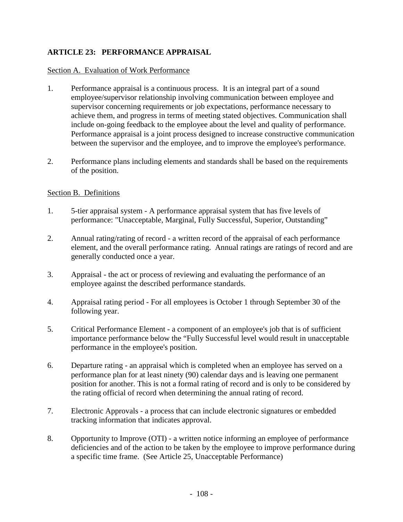# **ARTICLE 23: PERFORMANCE APPRAISAL**

#### Section A. Evaluation of Work Performance

- 1. Performance appraisal is a continuous process. It is an integral part of a sound employee/supervisor relationship involving communication between employee and supervisor concerning requirements or job expectations, performance necessary to achieve them, and progress in terms of meeting stated objectives. Communication shall include on-going feedback to the employee about the level and quality of performance. Performance appraisal is a joint process designed to increase constructive communication between the supervisor and the employee, and to improve the employee's performance.
- 2. Performance plans including elements and standards shall be based on the requirements of the position.

#### Section B. Definitions

- 1. 5-tier appraisal system A performance appraisal system that has five levels of performance: "Unacceptable, Marginal, Fully Successful, Superior, Outstanding"
- 2. Annual rating/rating of record a written record of the appraisal of each performance element, and the overall performance rating. Annual ratings are ratings of record and are generally conducted once a year.
- 3. Appraisal the act or process of reviewing and evaluating the performance of an employee against the described performance standards.
- 4. Appraisal rating period For all employees is October 1 through September 30 of the following year.
- 5. Critical Performance Element a component of an employee's job that is of sufficient importance performance below the "Fully Successful level would result in unacceptable performance in the employee's position.
- 6. Departure rating an appraisal which is completed when an employee has served on a performance plan for at least ninety (90) calendar days and is leaving one permanent position for another. This is not a formal rating of record and is only to be considered by the rating official of record when determining the annual rating of record.
- 7. Electronic Approvals a process that can include electronic signatures or embedded tracking information that indicates approval.
- 8. Opportunity to Improve (OTI) a written notice informing an employee of performance deficiencies and of the action to be taken by the employee to improve performance during a specific time frame. (See Article 25, Unacceptable Performance)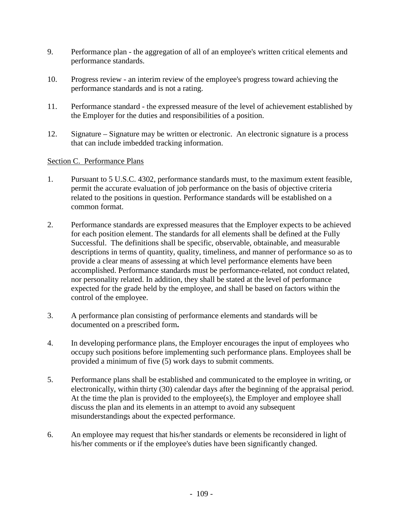- 9. Performance plan the aggregation of all of an employee's written critical elements and performance standards.
- 10. Progress review an interim review of the employee's progress toward achieving the performance standards and is not a rating.
- 11. Performance standard the expressed measure of the level of achievement established by the Employer for the duties and responsibilities of a position.
- 12. Signature Signature may be written or electronic. An electronic signature is a process that can include imbedded tracking information.

# Section C. Performance Plans

- 1. Pursuant to 5 U.S.C. 4302, performance standards must, to the maximum extent feasible, permit the accurate evaluation of job performance on the basis of objective criteria related to the positions in question. Performance standards will be established on a common format.
- 2. Performance standards are expressed measures that the Employer expects to be achieved for each position element. The standards for all elements shall be defined at the Fully Successful. The definitions shall be specific, observable, obtainable, and measurable descriptions in terms of quantity, quality, timeliness, and manner of performance so as to provide a clear means of assessing at which level performance elements have been accomplished. Performance standards must be performance-related, not conduct related, nor personality related. In addition, they shall be stated at the level of performance expected for the grade held by the employee, and shall be based on factors within the control of the employee.
- 3. A performance plan consisting of performance elements and standards will be documented on a prescribed form**.**
- 4. In developing performance plans, the Employer encourages the input of employees who occupy such positions before implementing such performance plans. Employees shall be provided a minimum of five (5) work days to submit comments.
- 5. Performance plans shall be established and communicated to the employee in writing, or electronically, within thirty (30) calendar days after the beginning of the appraisal period. At the time the plan is provided to the employee(s), the Employer and employee shall discuss the plan and its elements in an attempt to avoid any subsequent misunderstandings about the expected performance.
- 6. An employee may request that his/her standards or elements be reconsidered in light of his/her comments or if the employee's duties have been significantly changed.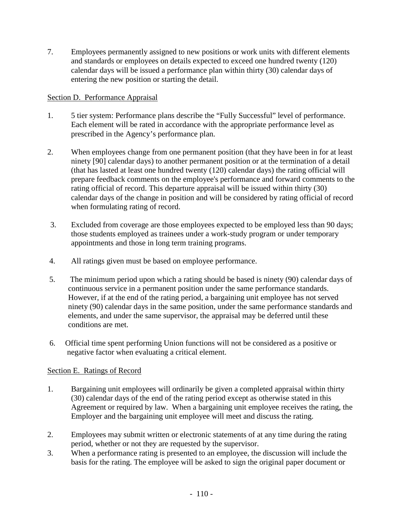7. Employees permanently assigned to new positions or work units with different elements and standards or employees on details expected to exceed one hundred twenty (120) calendar days will be issued a performance plan within thirty (30) calendar days of entering the new position or starting the detail.

# Section D. Performance Appraisal

- 1. 5 tier system: Performance plans describe the "Fully Successful" level of performance. Each element will be rated in accordance with the appropriate performance level as prescribed in the Agency's performance plan.
- 2. When employees change from one permanent position (that they have been in for at least ninety [90] calendar days) to another permanent position or at the termination of a detail (that has lasted at least one hundred twenty (120) calendar days) the rating official will prepare feedback comments on the employee's performance and forward comments to the rating official of record. This departure appraisal will be issued within thirty (30) calendar days of the change in position and will be considered by rating official of record when formulating rating of record.
- 3. Excluded from coverage are those employees expected to be employed less than 90 days; those students employed as trainees under a work-study program or under temporary appointments and those in long term training programs.
- 4. All ratings given must be based on employee performance.
- 5. The minimum period upon which a rating should be based is ninety (90) calendar days of continuous service in a permanent position under the same performance standards. However, if at the end of the rating period, a bargaining unit employee has not served ninety (90) calendar days in the same position, under the same performance standards and elements, and under the same supervisor, the appraisal may be deferred until these conditions are met.
- 6. Official time spent performing Union functions will not be considered as a positive or negative factor when evaluating a critical element.

## Section E. Ratings of Record

- 1. Bargaining unit employees will ordinarily be given a completed appraisal within thirty (30) calendar days of the end of the rating period except as otherwise stated in this Agreement or required by law. When a bargaining unit employee receives the rating, the Employer and the bargaining unit employee will meet and discuss the rating.
- 2. Employees may submit written or electronic statements of at any time during the rating period, whether or not they are requested by the supervisor.
- 3. When a performance rating is presented to an employee, the discussion will include the basis for the rating. The employee will be asked to sign the original paper document or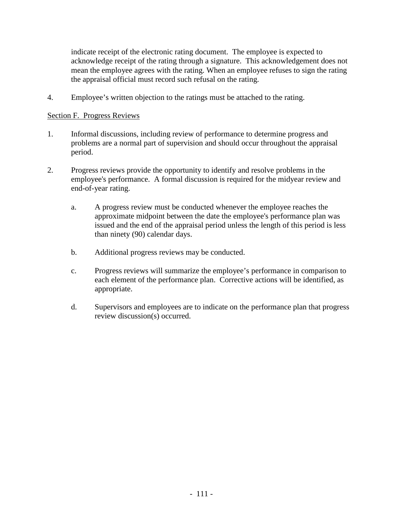indicate receipt of the electronic rating document. The employee is expected to acknowledge receipt of the rating through a signature. This acknowledgement does not mean the employee agrees with the rating. When an employee refuses to sign the rating the appraisal official must record such refusal on the rating.

4. Employee's written objection to the ratings must be attached to the rating.

### Section F. Progress Reviews

- 1. Informal discussions, including review of performance to determine progress and problems are a normal part of supervision and should occur throughout the appraisal period.
- 2. Progress reviews provide the opportunity to identify and resolve problems in the employee's performance. A formal discussion is required for the midyear review and end-of-year rating.
	- a. A progress review must be conducted whenever the employee reaches the approximate midpoint between the date the employee's performance plan was issued and the end of the appraisal period unless the length of this period is less than ninety (90) calendar days.
	- b. Additional progress reviews may be conducted.
	- c. Progress reviews will summarize the employee's performance in comparison to each element of the performance plan. Corrective actions will be identified, as appropriate.
	- d. Supervisors and employees are to indicate on the performance plan that progress review discussion(s) occurred.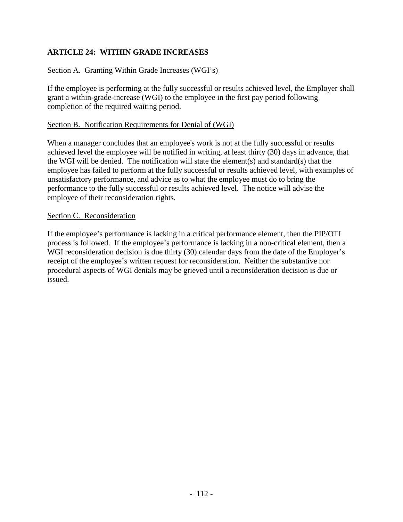# **ARTICLE 24: WITHIN GRADE INCREASES**

## Section A. Granting Within Grade Increases (WGI's)

If the employee is performing at the fully successful or results achieved level, the Employer shall grant a within-grade-increase (WGI) to the employee in the first pay period following completion of the required waiting period.

### Section B. Notification Requirements for Denial of (WGI)

When a manager concludes that an employee's work is not at the fully successful or results achieved level the employee will be notified in writing, at least thirty (30) days in advance, that the WGI will be denied. The notification will state the element(s) and standard(s) that the employee has failed to perform at the fully successful or results achieved level, with examples of unsatisfactory performance, and advice as to what the employee must do to bring the performance to the fully successful or results achieved level. The notice will advise the employee of their reconsideration rights.

### Section C. Reconsideration

If the employee's performance is lacking in a critical performance element, then the PIP/OTI process is followed. If the employee's performance is lacking in a non-critical element, then a WGI reconsideration decision is due thirty (30) calendar days from the date of the Employer's receipt of the employee's written request for reconsideration. Neither the substantive nor procedural aspects of WGI denials may be grieved until a reconsideration decision is due or issued.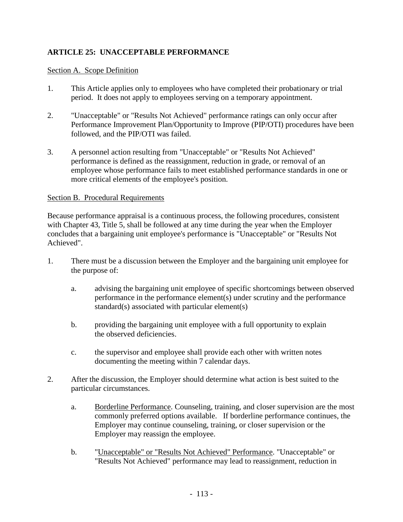# **ARTICLE 25: UNACCEPTABLE PERFORMANCE**

### Section A. Scope Definition

- 1. This Article applies only to employees who have completed their probationary or trial period. It does not apply to employees serving on a temporary appointment.
- 2. "Unacceptable" or "Results Not Achieved" performance ratings can only occur after Performance Improvement Plan/Opportunity to Improve (PIP/OTI) procedures have been followed, and the PIP/OTI was failed.
- 3. A personnel action resulting from "Unacceptable" or "Results Not Achieved" performance is defined as the reassignment, reduction in grade, or removal of an employee whose performance fails to meet established performance standards in one or more critical elements of the employee's position.

### Section B. Procedural Requirements

Because performance appraisal is a continuous process, the following procedures, consistent with Chapter 43, Title 5, shall be followed at any time during the year when the Employer concludes that a bargaining unit employee's performance is "Unacceptable" or "Results Not Achieved".

- 1. There must be a discussion between the Employer and the bargaining unit employee for the purpose of:
	- a. advising the bargaining unit employee of specific shortcomings between observed performance in the performance element(s) under scrutiny and the performance standard(s) associated with particular element(s)
	- b. providing the bargaining unit employee with a full opportunity to explain the observed deficiencies.
	- c. the supervisor and employee shall provide each other with written notes documenting the meeting within 7 calendar days.
- 2. After the discussion, the Employer should determine what action is best suited to the particular circumstances.
	- a. Borderline Performance. Counseling, training, and closer supervision are the most commonly preferred options available. If borderline performance continues, the Employer may continue counseling, training, or closer supervision or the Employer may reassign the employee.
	- b. "Unacceptable" or "Results Not Achieved" Performance. "Unacceptable" or "Results Not Achieved" performance may lead to reassignment, reduction in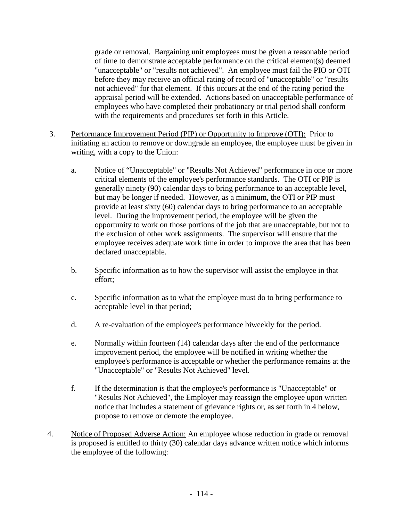grade or removal. Bargaining unit employees must be given a reasonable period of time to demonstrate acceptable performance on the critical element(s) deemed "unacceptable" or "results not achieved". An employee must fail the PIO or OTI before they may receive an official rating of record of "unacceptable" or "results not achieved" for that element. If this occurs at the end of the rating period the appraisal period will be extended. Actions based on unacceptable performance of employees who have completed their probationary or trial period shall conform with the requirements and procedures set forth in this Article.

- 3. Performance Improvement Period (PIP) or Opportunity to Improve (OTI): Prior to initiating an action to remove or downgrade an employee, the employee must be given in writing, with a copy to the Union:
	- a. Notice of "Unacceptable" or "Results Not Achieved" performance in one or more critical elements of the employee's performance standards. The OTI or PIP is generally ninety (90) calendar days to bring performance to an acceptable level, but may be longer if needed. However, as a minimum, the OTI or PIP must provide at least sixty (60) calendar days to bring performance to an acceptable level. During the improvement period, the employee will be given the opportunity to work on those portions of the job that are unacceptable, but not to the exclusion of other work assignments. The supervisor will ensure that the employee receives adequate work time in order to improve the area that has been declared unacceptable.
	- b. Specific information as to how the supervisor will assist the employee in that effort;
	- c. Specific information as to what the employee must do to bring performance to acceptable level in that period;
	- d. A re-evaluation of the employee's performance biweekly for the period.
	- e. Normally within fourteen (14) calendar days after the end of the performance improvement period, the employee will be notified in writing whether the employee's performance is acceptable or whether the performance remains at the "Unacceptable" or "Results Not Achieved" level.
	- f. If the determination is that the employee's performance is "Unacceptable" or "Results Not Achieved", the Employer may reassign the employee upon written notice that includes a statement of grievance rights or, as set forth in 4 below, propose to remove or demote the employee.
- 4. Notice of Proposed Adverse Action: An employee whose reduction in grade or removal is proposed is entitled to thirty (30) calendar days advance written notice which informs the employee of the following: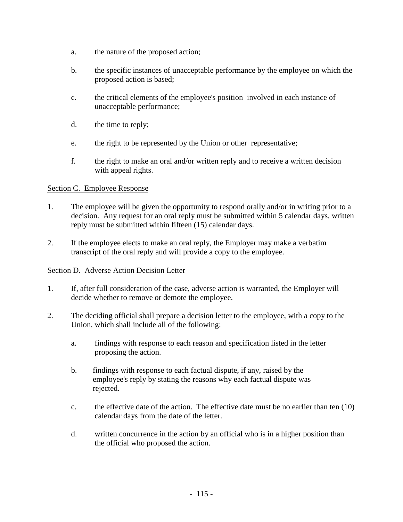- a. the nature of the proposed action;
- b. the specific instances of unacceptable performance by the employee on which the proposed action is based;
- c. the critical elements of the employee's position involved in each instance of unacceptable performance;
- d. the time to reply;
- e. the right to be represented by the Union or other representative;
- f. the right to make an oral and/or written reply and to receive a written decision with appeal rights.

# Section C. Employee Response

- 1. The employee will be given the opportunity to respond orally and/or in writing prior to a decision. Any request for an oral reply must be submitted within 5 calendar days, written reply must be submitted within fifteen (15) calendar days.
- 2. If the employee elects to make an oral reply, the Employer may make a verbatim transcript of the oral reply and will provide a copy to the employee.

## Section D. Adverse Action Decision Letter

- 1. If, after full consideration of the case, adverse action is warranted, the Employer will decide whether to remove or demote the employee.
- 2. The deciding official shall prepare a decision letter to the employee, with a copy to the Union, which shall include all of the following:
	- a. findings with response to each reason and specification listed in the letter proposing the action.
	- b. findings with response to each factual dispute, if any, raised by the employee's reply by stating the reasons why each factual dispute was rejected.
	- c. the effective date of the action. The effective date must be no earlier than ten (10) calendar days from the date of the letter.
	- d. written concurrence in the action by an official who is in a higher position than the official who proposed the action.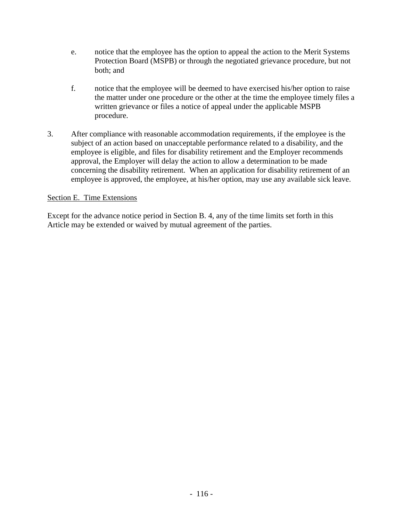- e. notice that the employee has the option to appeal the action to the Merit Systems Protection Board (MSPB) or through the negotiated grievance procedure, but not both; and
- f. notice that the employee will be deemed to have exercised his/her option to raise the matter under one procedure or the other at the time the employee timely files a written grievance or files a notice of appeal under the applicable MSPB procedure.
- 3. After compliance with reasonable accommodation requirements, if the employee is the subject of an action based on unacceptable performance related to a disability, and the employee is eligible, and files for disability retirement and the Employer recommends approval, the Employer will delay the action to allow a determination to be made concerning the disability retirement. When an application for disability retirement of an employee is approved, the employee, at his/her option, may use any available sick leave.

## Section E. Time Extensions

Except for the advance notice period in Section B. 4, any of the time limits set forth in this Article may be extended or waived by mutual agreement of the parties.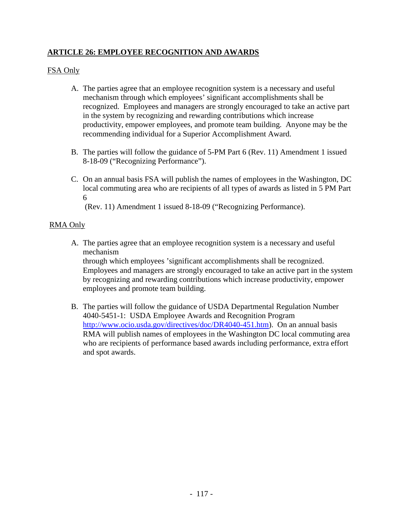# **ARTICLE 26: EMPLOYEE RECOGNITION AND AWARDS**

# FSA Only

- A. The parties agree that an employee recognition system is a necessary and useful mechanism through which employees' significant accomplishments shall be recognized. Employees and managers are strongly encouraged to take an active part in the system by recognizing and rewarding contributions which increase productivity, empower employees, and promote team building. Anyone may be the recommending individual for a Superior Accomplishment Award.
- B. The parties will follow the guidance of 5-PM Part 6 (Rev. 11) Amendment 1 issued 8-18-09 ("Recognizing Performance").
- C. On an annual basis FSA will publish the names of employees in the Washington, DC local commuting area who are recipients of all types of awards as listed in 5 PM Part 6

(Rev. 11) Amendment 1 issued 8-18-09 ("Recognizing Performance).

## RMA Only

- A. The parties agree that an employee recognition system is a necessary and useful mechanism through which employees 'significant accomplishments shall be recognized. Employees and managers are strongly encouraged to take an active part in the system by recognizing and rewarding contributions which increase productivity, empower employees and promote team building.
- B. The parties will follow the guidance of USDA Departmental Regulation Number 4040-5451-1: USDA Employee Awards and Recognition Program [http://www.ocio.usda.gov/directives/doc/DR4040-451.htm\)](http://www.ocio.usda.gov/directives/doc/DR4040-451.htm). On an annual basis RMA will publish names of employees in the Washington DC local commuting area who are recipients of performance based awards including performance, extra effort and spot awards.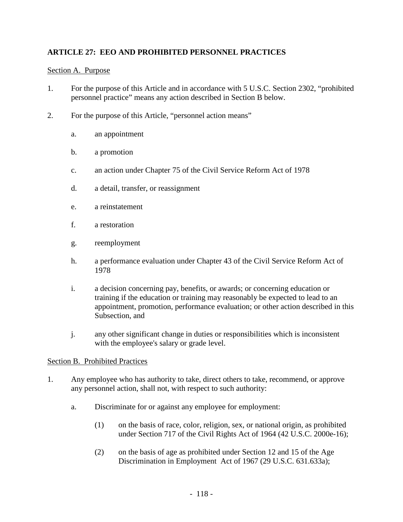# **ARTICLE 27: EEO AND PROHIBITED PERSONNEL PRACTICES**

### Section A. Purpose

- 1. For the purpose of this Article and in accordance with 5 U.S.C. Section 2302, "prohibited personnel practice" means any action described in Section B below.
- 2. For the purpose of this Article, "personnel action means"
	- a. an appointment
	- b. a promotion
	- c. an action under Chapter 75 of the Civil Service Reform Act of 1978
	- d. a detail, transfer, or reassignment
	- e. a reinstatement
	- f. a restoration
	- g. reemployment
	- h. a performance evaluation under Chapter 43 of the Civil Service Reform Act of 1978
	- i. a decision concerning pay, benefits, or awards; or concerning education or training if the education or training may reasonably be expected to lead to an appointment, promotion, performance evaluation; or other action described in this Subsection, and
	- j. any other significant change in duties or responsibilities which is inconsistent with the employee's salary or grade level.

### Section B. Prohibited Practices

- 1. Any employee who has authority to take, direct others to take, recommend, or approve any personnel action, shall not, with respect to such authority:
	- a. Discriminate for or against any employee for employment:
		- (1) on the basis of race, color, religion, sex, or national origin, as prohibited under Section 717 of the Civil Rights Act of 1964 (42 U.S.C. 2000e-16);
		- (2) on the basis of age as prohibited under Section 12 and 15 of the Age Discrimination in Employment Act of 1967 (29 U.S.C. 631.633a);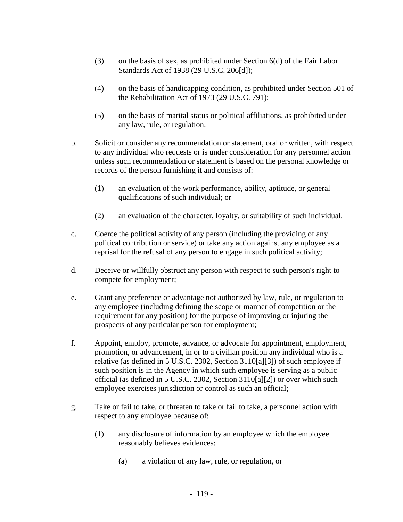- (3) on the basis of sex, as prohibited under Section 6(d) of the Fair Labor Standards Act of 1938 (29 U.S.C. 206[d]);
- (4) on the basis of handicapping condition, as prohibited under Section 501 of the Rehabilitation Act of 1973 (29 U.S.C. 791);
- (5) on the basis of marital status or political affiliations, as prohibited under any law, rule, or regulation.
- b. Solicit or consider any recommendation or statement, oral or written, with respect to any individual who requests or is under consideration for any personnel action unless such recommendation or statement is based on the personal knowledge or records of the person furnishing it and consists of:
	- (1) an evaluation of the work performance, ability, aptitude, or general qualifications of such individual; or
	- (2) an evaluation of the character, loyalty, or suitability of such individual.
- c. Coerce the political activity of any person (including the providing of any political contribution or service) or take any action against any employee as a reprisal for the refusal of any person to engage in such political activity;
- d. Deceive or willfully obstruct any person with respect to such person's right to compete for employment;
- e. Grant any preference or advantage not authorized by law, rule, or regulation to any employee (including defining the scope or manner of competition or the requirement for any position) for the purpose of improving or injuring the prospects of any particular person for employment;
- f. Appoint, employ, promote, advance, or advocate for appointment, employment, promotion, or advancement, in or to a civilian position any individual who is a relative (as defined in 5 U.S.C. 2302, Section 3110[a][3]) of such employee if such position is in the Agency in which such employee is serving as a public official (as defined in 5 U.S.C. 2302, Section 3110[a][2]) or over which such employee exercises jurisdiction or control as such an official;
- g. Take or fail to take, or threaten to take or fail to take, a personnel action with respect to any employee because of:
	- (1) any disclosure of information by an employee which the employee reasonably believes evidences:
		- (a) a violation of any law, rule, or regulation, or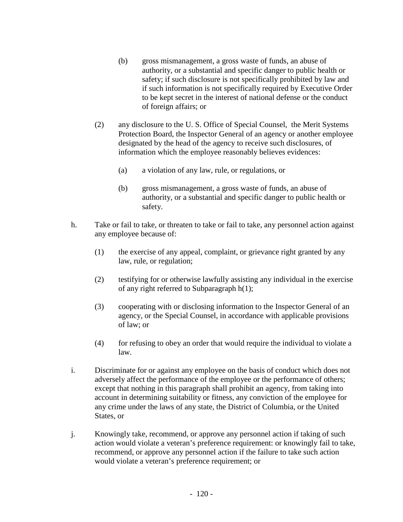- (b) gross mismanagement, a gross waste of funds, an abuse of authority, or a substantial and specific danger to public health or safety; if such disclosure is not specifically prohibited by law and if such information is not specifically required by Executive Order to be kept secret in the interest of national defense or the conduct of foreign affairs; or
- (2) any disclosure to the U. S. Office of Special Counsel, the Merit Systems Protection Board, the Inspector General of an agency or another employee designated by the head of the agency to receive such disclosures, of information which the employee reasonably believes evidences:
	- (a) a violation of any law, rule, or regulations, or
	- (b) gross mismanagement, a gross waste of funds, an abuse of authority, or a substantial and specific danger to public health or safety.
- h. Take or fail to take, or threaten to take or fail to take, any personnel action against any employee because of:
	- (1) the exercise of any appeal, complaint, or grievance right granted by any law, rule, or regulation;
	- (2) testifying for or otherwise lawfully assisting any individual in the exercise of any right referred to Subparagraph h(1);
	- (3) cooperating with or disclosing information to the Inspector General of an agency, or the Special Counsel, in accordance with applicable provisions of law; or
	- (4) for refusing to obey an order that would require the individual to violate a law.
- i. Discriminate for or against any employee on the basis of conduct which does not adversely affect the performance of the employee or the performance of others; except that nothing in this paragraph shall prohibit an agency, from taking into account in determining suitability or fitness, any conviction of the employee for any crime under the laws of any state, the District of Columbia, or the United States, or
- j. Knowingly take, recommend, or approve any personnel action if taking of such action would violate a veteran's preference requirement: or knowingly fail to take, recommend, or approve any personnel action if the failure to take such action would violate a veteran's preference requirement; or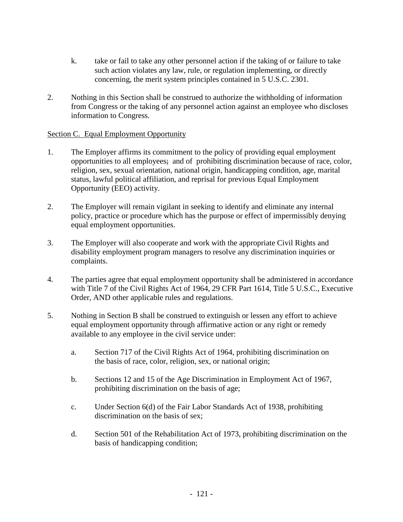- k. take or fail to take any other personnel action if the taking of or failure to take such action violates any law, rule, or regulation implementing, or directly concerning, the merit system principles contained in 5 U.S.C. 2301.
- 2. Nothing in this Section shall be construed to authorize the withholding of information from Congress or the taking of any personnel action against an employee who discloses information to Congress.

### Section C. Equal Employment Opportunity

- 1. The Employer affirms its commitment to the policy of providing equal employment opportunities to all employees; and of prohibiting discrimination because of race, color, religion, sex, sexual orientation, national origin, handicapping condition, age, marital status, lawful political affiliation, and reprisal for previous Equal Employment Opportunity (EEO) activity.
- 2. The Employer will remain vigilant in seeking to identify and eliminate any internal policy, practice or procedure which has the purpose or effect of impermissibly denying equal employment opportunities.
- 3. The Employer will also cooperate and work with the appropriate Civil Rights and disability employment program managers to resolve any discrimination inquiries or complaints.
- 4. The parties agree that equal employment opportunity shall be administered in accordance with Title 7 of the Civil Rights Act of 1964, 29 CFR Part 1614, Title 5 U.S.C., Executive Order, AND other applicable rules and regulations.
- 5. Nothing in Section B shall be construed to extinguish or lessen any effort to achieve equal employment opportunity through affirmative action or any right or remedy available to any employee in the civil service under:
	- a. Section 717 of the Civil Rights Act of 1964, prohibiting discrimination on the basis of race, color, religion, sex, or national origin;
	- b. Sections 12 and 15 of the Age Discrimination in Employment Act of 1967, prohibiting discrimination on the basis of age;
	- c. Under Section 6(d) of the Fair Labor Standards Act of 1938, prohibiting discrimination on the basis of sex;
	- d. Section 501 of the Rehabilitation Act of 1973, prohibiting discrimination on the basis of handicapping condition;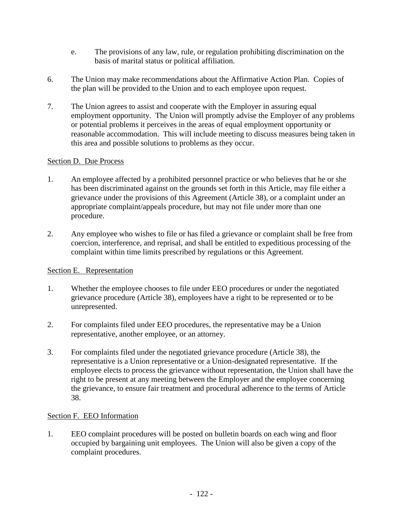- e. The provisions of any law, rule, or regulation prohibiting discrimination on the basis of marital status or political affiliation.
- 6. The Union may make recommendations about the Affirmative Action Plan. Copies of the plan will be provided to the Union and to each employee upon request.
- 7. The Union agrees to assist and cooperate with the Employer in assuring equal employment opportunity. The Union will promptly advise the Employer of any problems or potential problems it perceives in the areas of equal employment opportunity or reasonable accommodation. This will include meeting to discuss measures being taken in this area and possible solutions to problems as they occur.

# Section D. Due Process

- 1. An employee affected by a prohibited personnel practice or who believes that he or she has been discriminated against on the grounds set forth in this Article, may file either a grievance under the provisions of this Agreement (Article 38), or a complaint under an appropriate complaint/appeals procedure, but may not file under more than one procedure.
- 2. Any employee who wishes to file or has filed a grievance or complaint shall be free from coercion, interference, and reprisal, and shall be entitled to expeditious processing of the complaint within time limits prescribed by regulations or this Agreement.

## Section E. Representation

- 1. Whether the employee chooses to file under EEO procedures or under the negotiated grievance procedure (Article 38), employees have a right to be represented or to be unrepresented.
- 2. For complaints filed under EEO procedures, the representative may be a Union representative, another employee, or an attorney.
- 3. For complaints filed under the negotiated grievance procedure (Article 38), the representative is a Union representative or a Union-designated representative. If the employee elects to process the grievance without representation, the Union shall have the right to be present at any meeting between the Employer and the employee concerning the grievance, to ensure fair treatment and procedural adherence to the terms of Article 38.

## Section F. EEO Information

1. EEO complaint procedures will be posted on bulletin boards on each wing and floor occupied by bargaining unit employees. The Union will also be given a copy of the complaint procedures.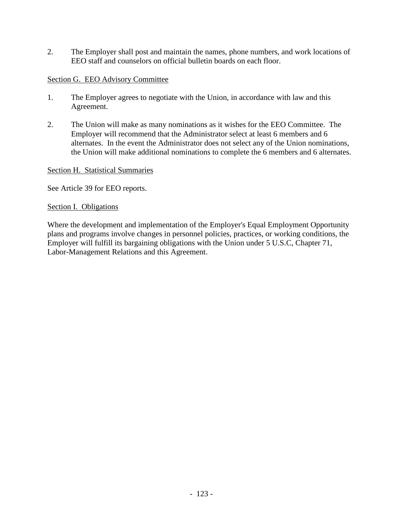2. The Employer shall post and maintain the names, phone numbers, and work locations of EEO staff and counselors on official bulletin boards on each floor.

# Section G. EEO Advisory Committee

- 1. The Employer agrees to negotiate with the Union, in accordance with law and this Agreement.
- 2. The Union will make as many nominations as it wishes for the EEO Committee. The Employer will recommend that the Administrator select at least 6 members and 6 alternates. In the event the Administrator does not select any of the Union nominations, the Union will make additional nominations to complete the 6 members and 6 alternates.

## Section H. Statistical Summaries

See Article 39 for EEO reports.

### Section I. Obligations

Where the development and implementation of the Employer's Equal Employment Opportunity plans and programs involve changes in personnel policies, practices, or working conditions, the Employer will fulfill its bargaining obligations with the Union under 5 U.S.C, Chapter 71, Labor-Management Relations and this Agreement.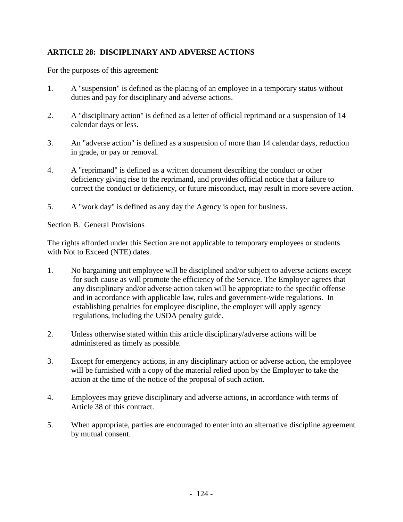# **ARTICLE 28: DISCIPLINARY AND ADVERSE ACTIONS**

For the purposes of this agreement:

- 1. A "suspension" is defined as the placing of an employee in a temporary status without duties and pay for disciplinary and adverse actions.
- 2. A "disciplinary action" is defined as a letter of official reprimand or a suspension of 14 calendar days or less.
- 3. An "adverse action" is defined as a suspension of more than 14 calendar days, reduction in grade, or pay or removal.
- 4. A "reprimand" is defined as a written document describing the conduct or other deficiency giving rise to the reprimand, and provides official notice that a failure to correct the conduct or deficiency, or future misconduct, may result in more severe action.
- 5. A "work day" is defined as any day the Agency is open for business.

Section B. General Provisions

The rights afforded under this Section are not applicable to temporary employees or students with Not to Exceed (NTE) dates.

- 1. No bargaining unit employee will be disciplined and/or subject to adverse actions except for such cause as will promote the efficiency of the Service. The Employer agrees that any disciplinary and/or adverse action taken will be appropriate to the specific offense and in accordance with applicable law, rules and government-wide regulations. In establishing penalties for employee discipline, the employer will apply agency regulations, including the USDA penalty guide.
- 2. Unless otherwise stated within this article disciplinary/adverse actions will be administered as timely as possible.
- 3. Except for emergency actions, in any disciplinary action or adverse action, the employee will be furnished with a copy of the material relied upon by the Employer to take the action at the time of the notice of the proposal of such action.
- 4. Employees may grieve disciplinary and adverse actions, in accordance with terms of Article 38 of this contract.
- 5. When appropriate, parties are encouraged to enter into an alternative discipline agreement by mutual consent.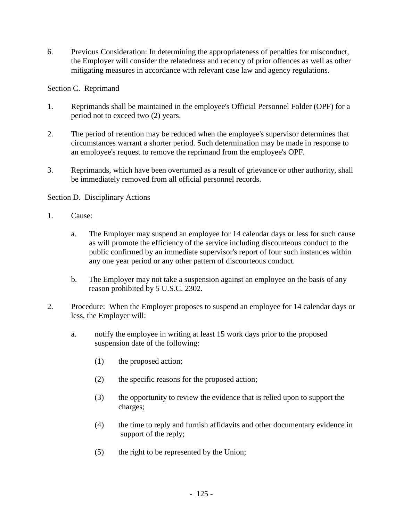6. Previous Consideration: In determining the appropriateness of penalties for misconduct, the Employer will consider the relatedness and recency of prior offences as well as other mitigating measures in accordance with relevant case law and agency regulations.

Section C. Reprimand

- 1. Reprimands shall be maintained in the employee's Official Personnel Folder (OPF) for a period not to exceed two (2) years.
- 2. The period of retention may be reduced when the employee's supervisor determines that circumstances warrant a shorter period. Such determination may be made in response to an employee's request to remove the reprimand from the employee's OPF.
- 3. Reprimands, which have been overturned as a result of grievance or other authority, shall be immediately removed from all official personnel records.

## Section D.Disciplinary Actions

- 1. Cause:
	- a. The Employer may suspend an employee for 14 calendar days or less for such cause as will promote the efficiency of the service including discourteous conduct to the public confirmed by an immediate supervisor's report of four such instances within any one year period or any other pattern of discourteous conduct.
	- b. The Employer may not take a suspension against an employee on the basis of any reason prohibited by 5 U.S.C. 2302.
- 2. Procedure: When the Employer proposes to suspend an employee for 14 calendar days or less, the Employer will:
	- a. notify the employee in writing at least 15 work days prior to the proposed suspension date of the following:
		- (1) the proposed action;
		- (2) the specific reasons for the proposed action;
		- (3) the opportunity to review the evidence that is relied upon to support the charges;
		- (4) the time to reply and furnish affidavits and other documentary evidence in support of the reply;
		- (5) the right to be represented by the Union;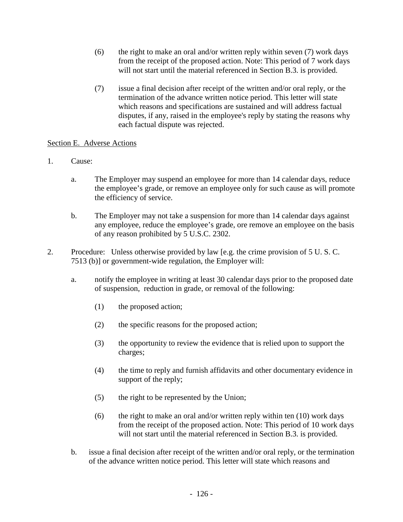- (6) the right to make an oral and/or written reply within seven  $(7)$  work days from the receipt of the proposed action. Note: This period of 7 work days will not start until the material referenced in Section B.3. is provided.
- (7) issue a final decision after receipt of the written and/or oral reply, or the termination of the advance written notice period. This letter will state which reasons and specifications are sustained and will address factual disputes, if any, raised in the employee's reply by stating the reasons why each factual dispute was rejected.

# Section E. Adverse Actions

- 1. Cause:
	- a. The Employer may suspend an employee for more than 14 calendar days, reduce the employee's grade, or remove an employee only for such cause as will promote the efficiency of service.
	- b. The Employer may not take a suspension for more than 14 calendar days against any employee, reduce the employee's grade, ore remove an employee on the basis of any reason prohibited by 5 U.S.C. 2302.
- 2. Procedure: Unless otherwise provided by law [e.g. the crime provision of 5 U. S. C. 7513 (b)] or government-wide regulation, the Employer will:
	- a. notify the employee in writing at least 30 calendar days prior to the proposed date of suspension, reduction in grade, or removal of the following:
		- (1) the proposed action;
		- (2) the specific reasons for the proposed action;
		- (3) the opportunity to review the evidence that is relied upon to support the charges;
		- (4) the time to reply and furnish affidavits and other documentary evidence in support of the reply;
		- (5) the right to be represented by the Union;
		- (6) the right to make an oral and/or written reply within ten  $(10)$  work days from the receipt of the proposed action. Note: This period of 10 work days will not start until the material referenced in Section B.3. is provided.
	- b. issue a final decision after receipt of the written and/or oral reply, or the termination of the advance written notice period. This letter will state which reasons and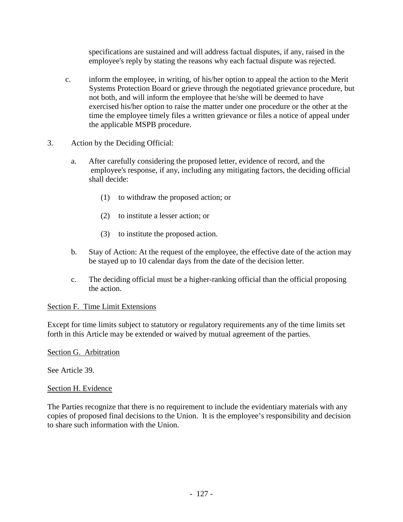specifications are sustained and will address factual disputes, if any, raised in the employee's reply by stating the reasons why each factual dispute was rejected.

- c. inform the employee, in writing, of his/her option to appeal the action to the Merit Systems Protection Board or grieve through the negotiated grievance procedure, but not both, and will inform the employee that he/she will be deemed to have exercised his/her option to raise the matter under one procedure or the other at the time the employee timely files a written grievance or files a notice of appeal under the applicable MSPB procedure.
- 3. Action by the Deciding Official:
	- a. After carefully considering the proposed letter, evidence of record, and the employee's response, if any, including any mitigating factors, the deciding official shall decide:
		- (1) to withdraw the proposed action; or
		- (2) to institute a lesser action; or
		- (3) to institute the proposed action.
	- b. Stay of Action: At the request of the employee, the effective date of the action may be stayed up to 10 calendar days from the date of the decision letter.
	- c. The deciding official must be a higher-ranking official than the official proposing the action.

## Section F. Time Limit Extensions

Except for time limits subject to statutory or regulatory requirements any of the time limits set forth in this Article may be extended or waived by mutual agreement of the parties.

Section G. Arbitration

See Article 39.

## Section H. Evidence

The Parties recognize that there is no requirement to include the evidentiary materials with any copies of proposed final decisions to the Union. It is the employee's responsibility and decision to share such information with the Union.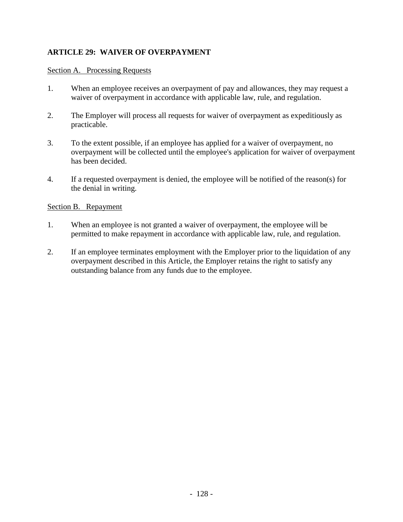# **ARTICLE 29: WAIVER OF OVERPAYMENT**

### Section A. Processing Requests

- 1. When an employee receives an overpayment of pay and allowances, they may request a waiver of overpayment in accordance with applicable law, rule, and regulation.
- 2. The Employer will process all requests for waiver of overpayment as expeditiously as practicable.
- 3. To the extent possible, if an employee has applied for a waiver of overpayment, no overpayment will be collected until the employee's application for waiver of overpayment has been decided.
- 4. If a requested overpayment is denied, the employee will be notified of the reason(s) for the denial in writing.

### Section B. Repayment

- 1. When an employee is not granted a waiver of overpayment, the employee will be permitted to make repayment in accordance with applicable law, rule, and regulation.
- 2. If an employee terminates employment with the Employer prior to the liquidation of any overpayment described in this Article, the Employer retains the right to satisfy any outstanding balance from any funds due to the employee.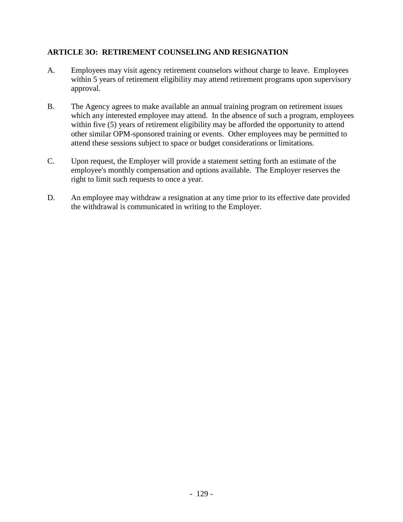# **ARTICLE 3O: RETIREMENT COUNSELING AND RESIGNATION**

- A. Employees may visit agency retirement counselors without charge to leave. Employees within 5 years of retirement eligibility may attend retirement programs upon supervisory approval.
- B. The Agency agrees to make available an annual training program on retirement issues which any interested employee may attend. In the absence of such a program, employees within five (5) years of retirement eligibility may be afforded the opportunity to attend other similar OPM-sponsored training or events. Other employees may be permitted to attend these sessions subject to space or budget considerations or limitations.
- C. Upon request, the Employer will provide a statement setting forth an estimate of the employee's monthly compensation and options available. The Employer reserves the right to limit such requests to once a year.
- D. An employee may withdraw a resignation at any time prior to its effective date provided the withdrawal is communicated in writing to the Employer.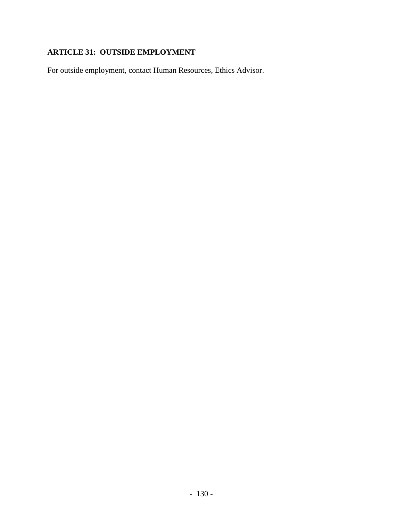# **ARTICLE 31: OUTSIDE EMPLOYMENT**

For outside employment, contact Human Resources, Ethics Advisor.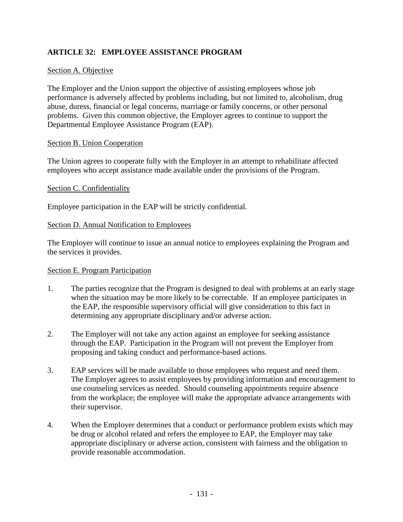# **ARTICLE 32: EMPLOYEE ASSISTANCE PROGRAM**

## Section A. Objective

The Employer and the Union support the objective of assisting employees whose job performance is adversely affected by problems including, but not limited to, alcoholism, drug abuse, duress, financial or legal concerns, marriage or family concerns, or other personal problems. Given this common objective, the Employer agrees to continue to support the Departmental Employee Assistance Program (EAP).

### Section B. Union Cooperation

The Union agrees to cooperate fully with the Employer in an attempt to rehabilitate affected employees who accept assistance made available under the provisions of the Program.

### Section C. Confidentiality

Employee participation in the EAP will be strictly confidential.

### Section D. Annual Notification to Employees

The Employer will continue to issue an annual notice to employees explaining the Program and the services it provides.

### Section E. Program Participation

- 1. The parties recognize that the Program is designed to deal with problems at an early stage when the situation may be more likely to be correctable. If an employee participates in the EAP, the responsible supervisory official will give consideration to this fact in determining any appropriate disciplinary and/or adverse action.
- 2. The Employer will not take any action against an employee for seeking assistance through the EAP. Participation in the Program will not prevent the Employer from proposing and taking conduct and performance-based actions.
- 3. EAP services will be made available to those employees who request and need them. The Employer agrees to assist employees by providing information and encouragement to use counseling services as needed. Should counseling appointments require absence from the workplace; the employee will make the appropriate advance arrangements with their supervisor.
- 4. When the Employer determines that a conduct or performance problem exists which may be drug or alcohol related and refers the employee to EAP, the Employer may take appropriate disciplinary or adverse action, consistent with fairness and the obligation to provide reasonable accommodation.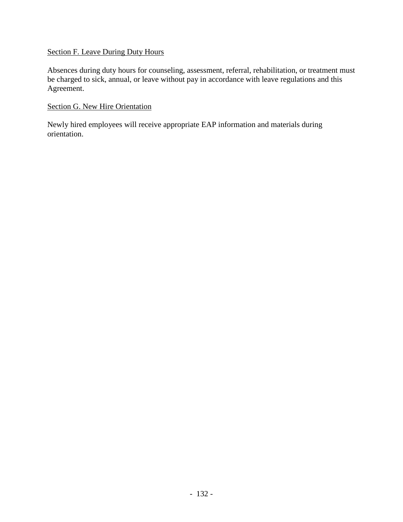# Section F. Leave During Duty Hours

Absences during duty hours for counseling, assessment, referral, rehabilitation, or treatment must be charged to sick, annual, or leave without pay in accordance with leave regulations and this Agreement.

# Section G. New Hire Orientation

Newly hired employees will receive appropriate EAP information and materials during orientation.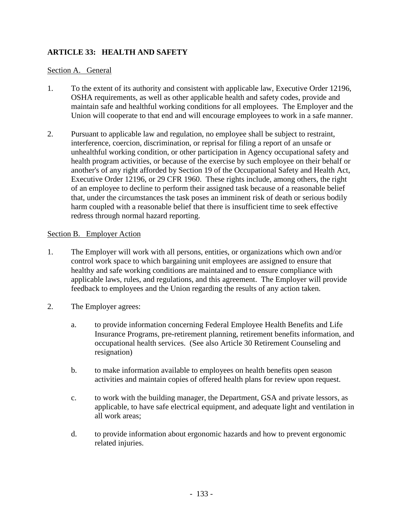# **ARTICLE 33: HEALTH AND SAFETY**

### Section A. General

- 1. To the extent of its authority and consistent with applicable law, Executive Order 12196, OSHA requirements, as well as other applicable health and safety codes, provide and maintain safe and healthful working conditions for all employees. The Employer and the Union will cooperate to that end and will encourage employees to work in a safe manner.
- 2. Pursuant to applicable law and regulation, no employee shall be subject to restraint, interference, coercion, discrimination, or reprisal for filing a report of an unsafe or unhealthful working condition, or other participation in Agency occupational safety and health program activities, or because of the exercise by such employee on their behalf or another's of any right afforded by Section 19 of the Occupational Safety and Health Act, Executive Order 12196, or 29 CFR 1960. These rights include, among others, the right of an employee to decline to perform their assigned task because of a reasonable belief that, under the circumstances the task poses an imminent risk of death or serious bodily harm coupled with a reasonable belief that there is insufficient time to seek effective redress through normal hazard reporting.

### Section B. Employer Action

- 1. The Employer will work with all persons, entities, or organizations which own and/or control work space to which bargaining unit employees are assigned to ensure that healthy and safe working conditions are maintained and to ensure compliance with applicable laws, rules, and regulations, and this agreement. The Employer will provide feedback to employees and the Union regarding the results of any action taken.
- 2. The Employer agrees:
	- a. to provide information concerning Federal Employee Health Benefits and Life Insurance Programs, pre-retirement planning, retirement benefits information, and occupational health services. (See also Article 30 Retirement Counseling and resignation)
	- b. to make information available to employees on health benefits open season activities and maintain copies of offered health plans for review upon request.
	- c. to work with the building manager, the Department, GSA and private lessors, as applicable, to have safe electrical equipment, and adequate light and ventilation in all work areas;
	- d. to provide information about ergonomic hazards and how to prevent ergonomic related injuries.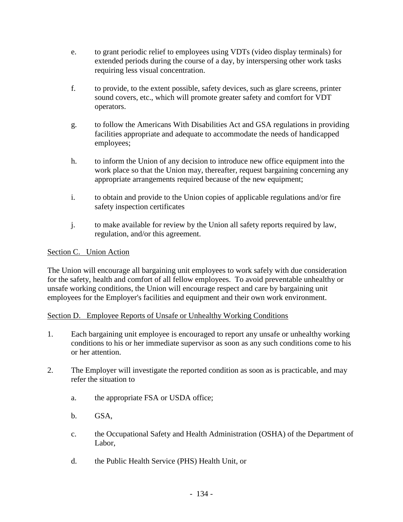- e. to grant periodic relief to employees using VDTs (video display terminals) for extended periods during the course of a day, by interspersing other work tasks requiring less visual concentration.
- f. to provide, to the extent possible, safety devices, such as glare screens, printer sound covers, etc., which will promote greater safety and comfort for VDT operators.
- g. to follow the Americans With Disabilities Act and GSA regulations in providing facilities appropriate and adequate to accommodate the needs of handicapped employees;
- h. to inform the Union of any decision to introduce new office equipment into the work place so that the Union may, thereafter, request bargaining concerning any appropriate arrangements required because of the new equipment;
- i. to obtain and provide to the Union copies of applicable regulations and/or fire safety inspection certificates
- j. to make available for review by the Union all safety reports required by law, regulation, and/or this agreement.

# Section C. Union Action

The Union will encourage all bargaining unit employees to work safely with due consideration for the safety, health and comfort of all fellow employees. To avoid preventable unhealthy or unsafe working conditions, the Union will encourage respect and care by bargaining unit employees for the Employer's facilities and equipment and their own work environment.

## Section D. Employee Reports of Unsafe or Unhealthy Working Conditions

- 1. Each bargaining unit employee is encouraged to report any unsafe or unhealthy working conditions to his or her immediate supervisor as soon as any such conditions come to his or her attention.
- 2. The Employer will investigate the reported condition as soon as is practicable, and may refer the situation to
	- a. the appropriate FSA or USDA office;
	- b. GSA,
	- c. the Occupational Safety and Health Administration (OSHA) of the Department of Labor,
	- d. the Public Health Service (PHS) Health Unit, or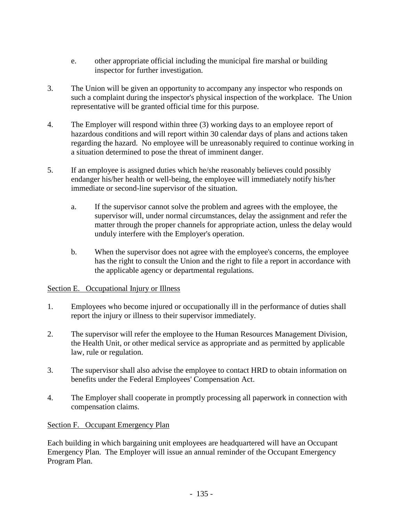- e. other appropriate official including the municipal fire marshal or building inspector for further investigation.
- 3. The Union will be given an opportunity to accompany any inspector who responds on such a complaint during the inspector's physical inspection of the workplace. The Union representative will be granted official time for this purpose.
- 4. The Employer will respond within three (3) working days to an employee report of hazardous conditions and will report within 30 calendar days of plans and actions taken regarding the hazard. No employee will be unreasonably required to continue working in a situation determined to pose the threat of imminent danger.
- 5. If an employee is assigned duties which he/she reasonably believes could possibly endanger his/her health or well-being, the employee will immediately notify his/her immediate or second-line supervisor of the situation.
	- a. If the supervisor cannot solve the problem and agrees with the employee, the supervisor will, under normal circumstances, delay the assignment and refer the matter through the proper channels for appropriate action, unless the delay would unduly interfere with the Employer's operation.
	- b. When the supervisor does not agree with the employee's concerns, the employee has the right to consult the Union and the right to file a report in accordance with the applicable agency or departmental regulations.

## Section E. Occupational Injury or Illness

- 1. Employees who become injured or occupationally ill in the performance of duties shall report the injury or illness to their supervisor immediately.
- 2. The supervisor will refer the employee to the Human Resources Management Division, the Health Unit, or other medical service as appropriate and as permitted by applicable law, rule or regulation.
- 3. The supervisor shall also advise the employee to contact HRD to obtain information on benefits under the Federal Employees' Compensation Act.
- 4. The Employer shall cooperate in promptly processing all paperwork in connection with compensation claims.

## Section F. Occupant Emergency Plan

Each building in which bargaining unit employees are headquartered will have an Occupant Emergency Plan. The Employer will issue an annual reminder of the Occupant Emergency Program Plan.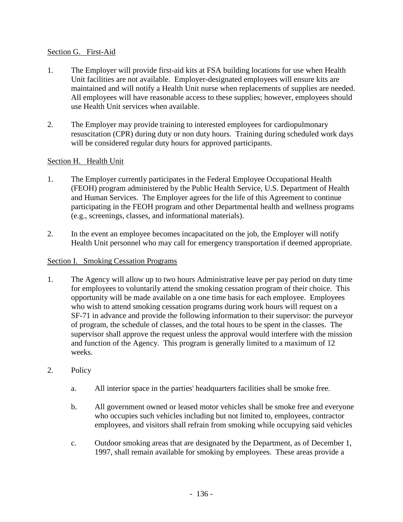## Section G. First-Aid

- 1. The Employer will provide first-aid kits at FSA building locations for use when Health Unit facilities are not available. Employer-designated employees will ensure kits are maintained and will notify a Health Unit nurse when replacements of supplies are needed. All employees will have reasonable access to these supplies; however, employees should use Health Unit services when available.
- 2. The Employer may provide training to interested employees for cardiopulmonary resuscitation (CPR) during duty or non duty hours. Training during scheduled work days will be considered regular duty hours for approved participants.

## Section H. Health Unit

- 1. The Employer currently participates in the Federal Employee Occupational Health (FEOH) program administered by the Public Health Service, U.S. Department of Health and Human Services. The Employer agrees for the life of this Agreement to continue participating in the FEOH program and other Departmental health and wellness programs (e.g., screenings, classes, and informational materials).
- 2. In the event an employee becomes incapacitated on the job, the Employer will notify Health Unit personnel who may call for emergency transportation if deemed appropriate.

### Section I. Smoking Cessation Programs

- 1. The Agency will allow up to two hours Administrative leave per pay period on duty time for employees to voluntarily attend the smoking cessation program of their choice. This opportunity will be made available on a one time basis for each employee. Employees who wish to attend smoking cessation programs during work hours will request on a SF-71 in advance and provide the following information to their supervisor: the purveyor of program, the schedule of classes, and the total hours to be spent in the classes. The supervisor shall approve the request unless the approval would interfere with the mission and function of the Agency. This program is generally limited to a maximum of 12 weeks.
- 2. Policy
	- a. All interior space in the parties' headquarters facilities shall be smoke free.
	- b. All government owned or leased motor vehicles shall be smoke free and everyone who occupies such vehicles including but not limited to, employees, contractor employees, and visitors shall refrain from smoking while occupying said vehicles
	- c. Outdoor smoking areas that are designated by the Department, as of December 1, 1997, shall remain available for smoking by employees. These areas provide a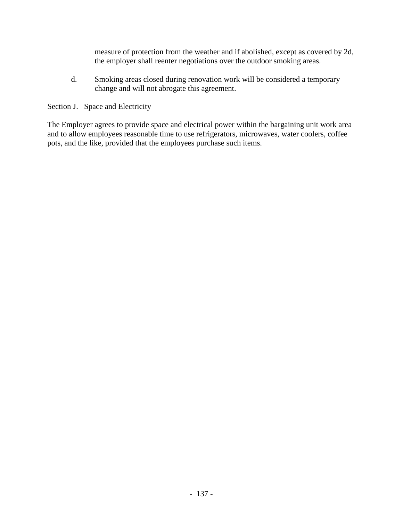measure of protection from the weather and if abolished, except as covered by 2d, the employer shall reenter negotiations over the outdoor smoking areas.

d. Smoking areas closed during renovation work will be considered a temporary change and will not abrogate this agreement.

## Section J. Space and Electricity

The Employer agrees to provide space and electrical power within the bargaining unit work area and to allow employees reasonable time to use refrigerators, microwaves, water coolers, coffee pots, and the like, provided that the employees purchase such items.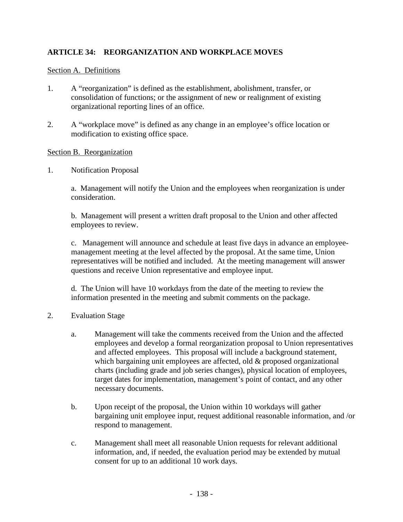# **ARTICLE 34: REORGANIZATION AND WORKPLACE MOVES**

### Section A. Definitions

- 1. A "reorganization" is defined as the establishment, abolishment, transfer, or consolidation of functions; or the assignment of new or realignment of existing organizational reporting lines of an office.
- 2. A "workplace move" is defined as any change in an employee's office location or modification to existing office space.

### Section B. Reorganization

1. Notification Proposal

a. Management will notify the Union and the employees when reorganization is under consideration.

b. Management will present a written draft proposal to the Union and other affected employees to review.

c. Management will announce and schedule at least five days in advance an employeemanagement meeting at the level affected by the proposal. At the same time, Union representatives will be notified and included. At the meeting management will answer questions and receive Union representative and employee input.

d. The Union will have 10 workdays from the date of the meeting to review the information presented in the meeting and submit comments on the package.

## 2. Evaluation Stage

- a. Management will take the comments received from the Union and the affected employees and develop a formal reorganization proposal to Union representatives and affected employees. This proposal will include a background statement, which bargaining unit employees are affected, old & proposed organizational charts (including grade and job series changes), physical location of employees, target dates for implementation, management's point of contact, and any other necessary documents.
- b. Upon receipt of the proposal, the Union within 10 workdays will gather bargaining unit employee input, request additional reasonable information, and /or respond to management.
- c. Management shall meet all reasonable Union requests for relevant additional information, and, if needed, the evaluation period may be extended by mutual consent for up to an additional 10 work days.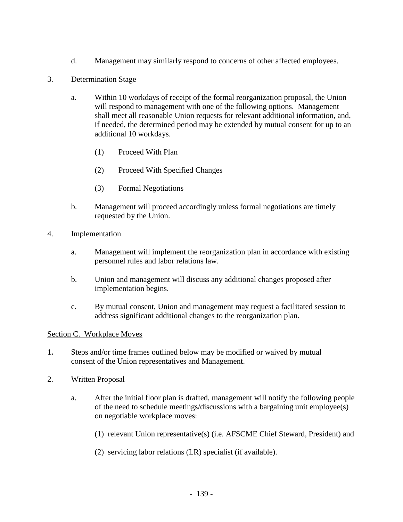- d. Management may similarly respond to concerns of other affected employees.
- 3. Determination Stage
	- a. Within 10 workdays of receipt of the formal reorganization proposal, the Union will respond to management with one of the following options. Management shall meet all reasonable Union requests for relevant additional information, and, if needed, the determined period may be extended by mutual consent for up to an additional 10 workdays.
		- (1) Proceed With Plan
		- (2) Proceed With Specified Changes
		- (3) Formal Negotiations
	- b. Management will proceed accordingly unless formal negotiations are timely requested by the Union.
- 4. Implementation
	- a. Management will implement the reorganization plan in accordance with existing personnel rules and labor relations law.
	- b. Union and management will discuss any additional changes proposed after implementation begins.
	- c. By mutual consent, Union and management may request a facilitated session to address significant additional changes to the reorganization plan.

## Section C. Workplace Moves

- 1**.** Steps and/or time frames outlined below may be modified or waived by mutual consent of the Union representatives and Management.
- 2. Written Proposal
	- a. After the initial floor plan is drafted, management will notify the following people of the need to schedule meetings/discussions with a bargaining unit employee(s) on negotiable workplace moves:
		- (1) relevant Union representative(s) (i.e. AFSCME Chief Steward, President) and
		- (2) servicing labor relations (LR) specialist (if available).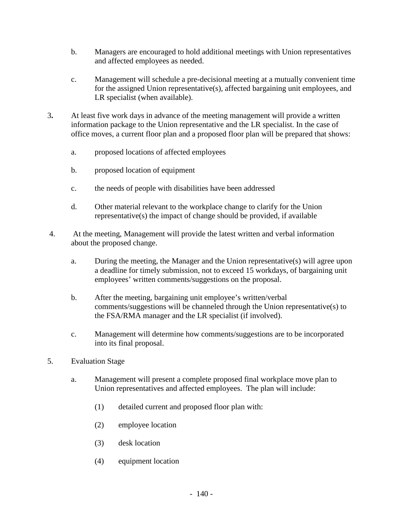- b. Managers are encouraged to hold additional meetings with Union representatives and affected employees as needed.
- c. Management will schedule a pre-decisional meeting at a mutually convenient time for the assigned Union representative(s), affected bargaining unit employees, and LR specialist (when available).
- 3**.** At least five work days in advance of the meeting management will provide a written information package to the Union representative and the LR specialist. In the case of office moves, a current floor plan and a proposed floor plan will be prepared that shows:
	- a. proposed locations of affected employees
	- b. proposed location of equipment
	- c. the needs of people with disabilities have been addressed
	- d. Other material relevant to the workplace change to clarify for the Union representative(s) the impact of change should be provided, if available
- 4. At the meeting, Management will provide the latest written and verbal information about the proposed change.
	- a. During the meeting, the Manager and the Union representative(s) will agree upon a deadline for timely submission, not to exceed 15 workdays, of bargaining unit employees' written comments/suggestions on the proposal.
	- b. After the meeting, bargaining unit employee's written/verbal comments/suggestions will be channeled through the Union representative(s) to the FSA/RMA manager and the LR specialist (if involved).
	- c. Management will determine how comments/suggestions are to be incorporated into its final proposal.
- 5. Evaluation Stage
	- a. Management will present a complete proposed final workplace move plan to Union representatives and affected employees. The plan will include:
		- (1) detailed current and proposed floor plan with:
		- (2) employee location
		- (3) desk location
		- (4) equipment location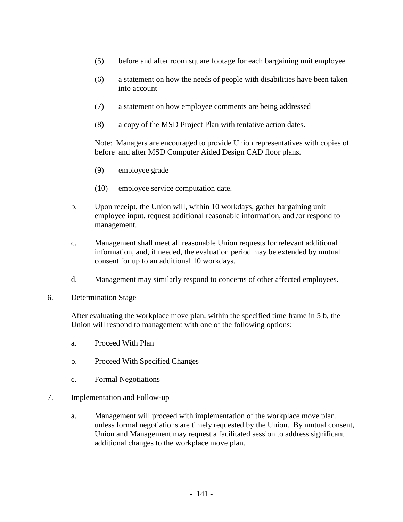- (5) before and after room square footage for each bargaining unit employee
- (6) a statement on how the needs of people with disabilities have been taken into account
- (7) a statement on how employee comments are being addressed
- (8) a copy of the MSD Project Plan with tentative action dates.

 Note: Managers are encouraged to provide Union representatives with copies of before and after MSD Computer Aided Design CAD floor plans.

- (9) employee grade
- (10) employee service computation date.
- b. Upon receipt, the Union will, within 10 workdays, gather bargaining unit employee input, request additional reasonable information, and /or respond to management.
- c. Management shall meet all reasonable Union requests for relevant additional information, and, if needed, the evaluation period may be extended by mutual consent for up to an additional 10 workdays.
- d. Management may similarly respond to concerns of other affected employees.
- 6. Determination Stage

After evaluating the workplace move plan, within the specified time frame in 5 b, the Union will respond to management with one of the following options:

- a. Proceed With Plan
- b. Proceed With Specified Changes
- c. Formal Negotiations
- 7. Implementation and Follow-up
	- a. Management will proceed with implementation of the workplace move plan. unless formal negotiations are timely requested by the Union. By mutual consent, Union and Management may request a facilitated session to address significant additional changes to the workplace move plan.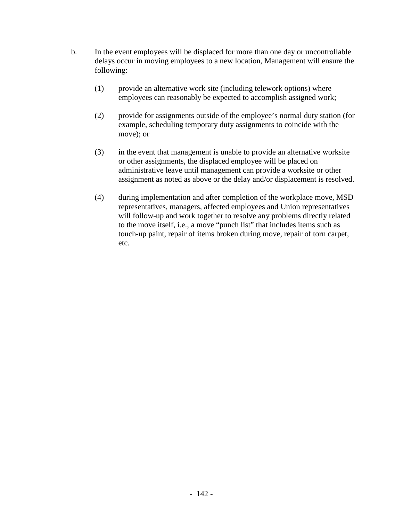- b. In the event employees will be displaced for more than one day or uncontrollable delays occur in moving employees to a new location, Management will ensure the following:
	- (1) provide an alternative work site (including telework options) where employees can reasonably be expected to accomplish assigned work;
	- (2) provide for assignments outside of the employee's normal duty station (for example, scheduling temporary duty assignments to coincide with the move); or
	- (3) in the event that management is unable to provide an alternative worksite or other assignments, the displaced employee will be placed on administrative leave until management can provide a worksite or other assignment as noted as above or the delay and/or displacement is resolved.
	- (4) during implementation and after completion of the workplace move, MSD representatives, managers, affected employees and Union representatives will follow-up and work together to resolve any problems directly related to the move itself, i.e., a move "punch list" that includes items such as touch-up paint, repair of items broken during move, repair of torn carpet, etc.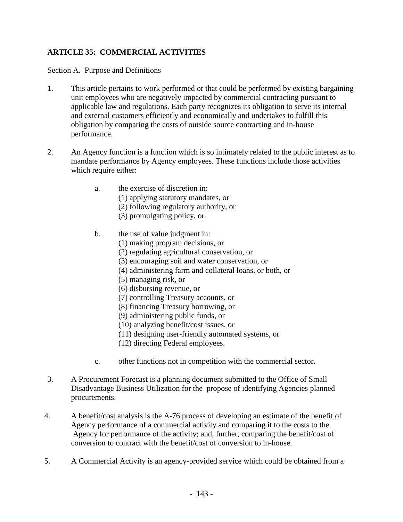# **ARTICLE 35: COMMERCIAL ACTIVITIES**

### Section A. Purpose and Definitions

- 1. This article pertains to work performed or that could be performed by existing bargaining unit employees who are negatively impacted by commercial contracting pursuant to applicable law and regulations. Each party recognizes its obligation to serve its internal and external customers efficiently and economically and undertakes to fulfill this obligation by comparing the costs of outside source contracting and in-house performance.
- 2. An Agency function is a function which is so intimately related to the public interest as to mandate performance by Agency employees. These functions include those activities which require either:
	- a. the exercise of discretion in:
		- (1) applying statutory mandates, or
		- (2) following regulatory authority, or
		- (3) promulgating policy, or
	- b. the use of value judgment in:
		- (1) making program decisions, or
		- (2) regulating agricultural conservation, or
		- (3) encouraging soil and water conservation, or
		- (4) administering farm and collateral loans, or both, or
		- (5) managing risk, or
		- (6) disbursing revenue, or
		- (7) controlling Treasury accounts, or
		- (8) financing Treasury borrowing, or
		- (9) administering public funds, or
		- (10) analyzing benefit/cost issues, or
		- (11) designing user-friendly automated systems, or
		- (12) directing Federal employees.
	- c. other functions not in competition with the commercial sector.
- 3. A Procurement Forecast is a planning document submitted to the Office of Small Disadvantage Business Utilization for the propose of identifying Agencies planned procurements.
- 4. A benefit/cost analysis is the A-76 process of developing an estimate of the benefit of Agency performance of a commercial activity and comparing it to the costs to the Agency for performance of the activity; and, further, comparing the benefit/cost of conversion to contract with the benefit/cost of conversion to in-house.
- 5. A Commercial Activity is an agency-provided service which could be obtained from a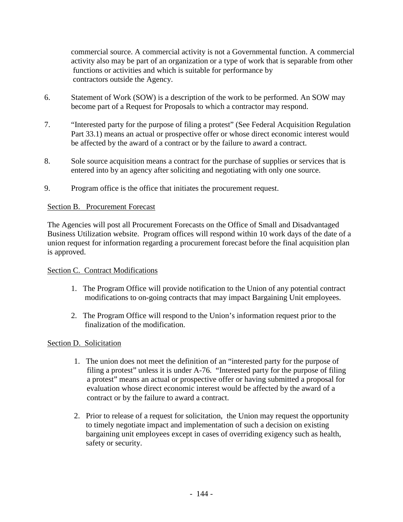commercial source. A commercial activity is not a Governmental function. A commercial activity also may be part of an organization or a type of work that is separable from other functions or activities and which is suitable for performance by contractors outside the Agency.

- 6. Statement of Work (SOW) is a description of the work to be performed. An SOW may become part of a Request for Proposals to which a contractor may respond.
- 7. "Interested party for the purpose of filing a protest" (See Federal Acquisition Regulation Part 33.1) means an actual or prospective offer or whose direct economic interest would be affected by the award of a contract or by the failure to award a contract.
- 8. Sole source acquisition means a contract for the purchase of supplies or services that is entered into by an agency after soliciting and negotiating with only one source.
- 9. Program office is the office that initiates the procurement request.

# Section B. Procurement Forecast

The Agencies will post all Procurement Forecasts on the Office of Small and Disadvantaged Business Utilization website. Program offices will respond within 10 work days of the date of a union request for information regarding a procurement forecast before the final acquisition plan is approved.

## Section C. Contract Modifications

- 1. The Program Office will provide notification to the Union of any potential contract modifications to on-going contracts that may impact Bargaining Unit employees.
- 2. The Program Office will respond to the Union's information request prior to the finalization of the modification.

## Section D. Solicitation

- 1. The union does not meet the definition of an "interested party for the purpose of filing a protest" unless it is under A-76. "Interested party for the purpose of filing a protest" means an actual or prospective offer or having submitted a proposal for evaluation whose direct economic interest would be affected by the award of a contract or by the failure to award a contract.
- 2. Prior to release of a request for solicitation, the Union may request the opportunity to timely negotiate impact and implementation of such a decision on existing bargaining unit employees except in cases of overriding exigency such as health, safety or security.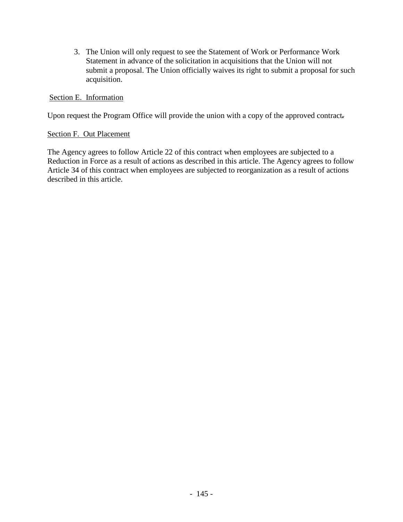3. The Union will only request to see the Statement of Work or Performance Work Statement in advance of the solicitation in acquisitions that the Union will not submit a proposal. The Union officially waives its right to submit a proposal for such acquisition.

### Section E. Information

Upon request the Program Office will provide the union with a copy of the approved contract*.* 

### Section F. Out Placement

The Agency agrees to follow Article 22 of this contract when employees are subjected to a Reduction in Force as a result of actions as described in this article. The Agency agrees to follow Article 34 of this contract when employees are subjected to reorganization as a result of actions described in this article.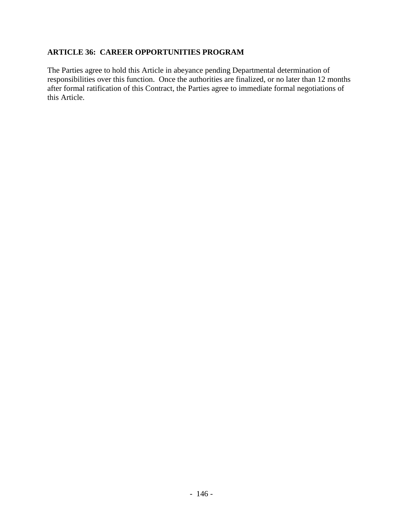## **ARTICLE 36: CAREER OPPORTUNITIES PROGRAM**

The Parties agree to hold this Article in abeyance pending Departmental determination of responsibilities over this function. Once the authorities are finalized, or no later than 12 months after formal ratification of this Contract, the Parties agree to immediate formal negotiations of this Article.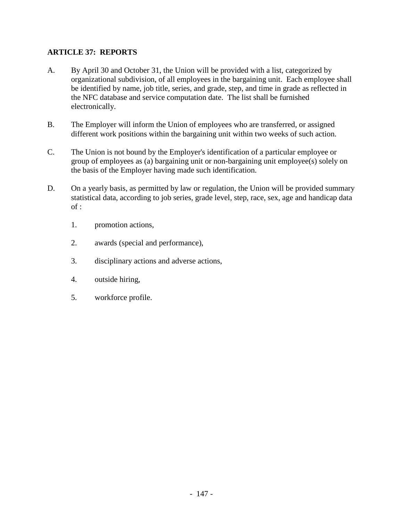# **ARTICLE 37: REPORTS**

- A. By April 30 and October 31, the Union will be provided with a list, categorized by organizational subdivision, of all employees in the bargaining unit. Each employee shall be identified by name, job title, series, and grade, step, and time in grade as reflected in the NFC database and service computation date. The list shall be furnished electronically.
- B. The Employer will inform the Union of employees who are transferred, or assigned different work positions within the bargaining unit within two weeks of such action.
- C. The Union is not bound by the Employer's identification of a particular employee or group of employees as (a) bargaining unit or non-bargaining unit employee(s) solely on the basis of the Employer having made such identification.
- D. On a yearly basis, as permitted by law or regulation, the Union will be provided summary statistical data, according to job series, grade level, step, race, sex, age and handicap data of :
	- 1. promotion actions,
	- 2. awards (special and performance),
	- 3. disciplinary actions and adverse actions,
	- 4. outside hiring,
	- 5. workforce profile.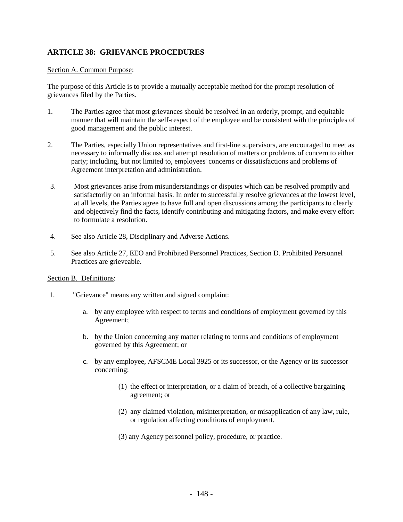## **ARTICLE 38: GRIEVANCE PROCEDURES**

#### Section A. Common Purpose:

The purpose of this Article is to provide a mutually acceptable method for the prompt resolution of grievances filed by the Parties.

- 1. The Parties agree that most grievances should be resolved in an orderly, prompt, and equitable manner that will maintain the self-respect of the employee and be consistent with the principles of good management and the public interest.
- 2. The Parties, especially Union representatives and first-line supervisors, are encouraged to meet as necessary to informally discuss and attempt resolution of matters or problems of concern to either party; including, but not limited to, employees' concerns or dissatisfactions and problems of Agreement interpretation and administration.
- 3. Most grievances arise from misunderstandings or disputes which can be resolved promptly and satisfactorily on an informal basis. In order to successfully resolve grievances at the lowest level, at all levels, the Parties agree to have full and open discussions among the participants to clearly and objectively find the facts, identify contributing and mitigating factors, and make every effort to formulate a resolution.
- 4. See also Article 28, Disciplinary and Adverse Actions.
- 5. See also Article 27, EEO and Prohibited Personnel Practices, Section D. Prohibited Personnel Practices are grieveable.

#### Section B. Definitions:

- 1. "Grievance" means any written and signed complaint:
	- a. by any employee with respect to terms and conditions of employment governed by this Agreement;
	- b. by the Union concerning any matter relating to terms and conditions of employment governed by this Agreement; or
	- c. by any employee, AFSCME Local 3925 or its successor, or the Agency or its successor concerning:
		- (1) the effect or interpretation, or a claim of breach, of a collective bargaining agreement; or
		- (2) any claimed violation, misinterpretation, or misapplication of any law, rule, or regulation affecting conditions of employment.
		- (3) any Agency personnel policy, procedure, or practice.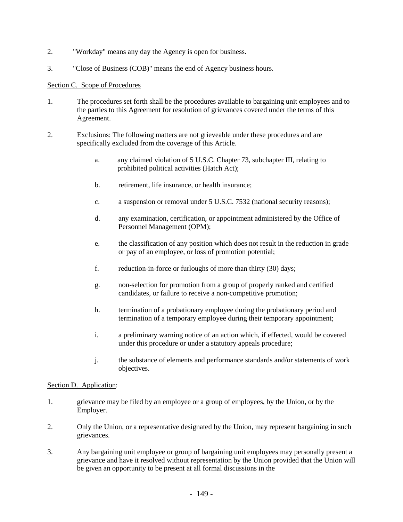- 2. "Workday" means any day the Agency is open for business.
- 3. "Close of Business (COB)" means the end of Agency business hours.

#### Section C. Scope of Procedures

- 1. The procedures set forth shall be the procedures available to bargaining unit employees and to the parties to this Agreement for resolution of grievances covered under the terms of this Agreement.
- 2. Exclusions: The following matters are not grieveable under these procedures and are specifically excluded from the coverage of this Article.
	- a. any claimed violation of 5 U.S.C. Chapter 73, subchapter III, relating to prohibited political activities (Hatch Act);
	- b. retirement, life insurance, or health insurance;
	- c. a suspension or removal under 5 U.S.C. 7532 (national security reasons);
	- d. any examination, certification, or appointment administered by the Office of Personnel Management (OPM);
	- e. the classification of any position which does not result in the reduction in grade or pay of an employee, or loss of promotion potential;
	- f. reduction-in-force or furloughs of more than thirty (30) days;
	- g. non-selection for promotion from a group of properly ranked and certified candidates, or failure to receive a non-competitive promotion;
	- h. termination of a probationary employee during the probationary period and termination of a temporary employee during their temporary appointment;
	- i. a preliminary warning notice of an action which, if effected, would be covered under this procedure or under a statutory appeals procedure;
	- j. the substance of elements and performance standards and/or statements of work objectives.

#### Section D. Application:

- 1. grievance may be filed by an employee or a group of employees, by the Union, or by the Employer.
- 2. Only the Union, or a representative designated by the Union, may represent bargaining in such grievances.
- 3. Any bargaining unit employee or group of bargaining unit employees may personally present a grievance and have it resolved without representation by the Union provided that the Union will be given an opportunity to be present at all formal discussions in the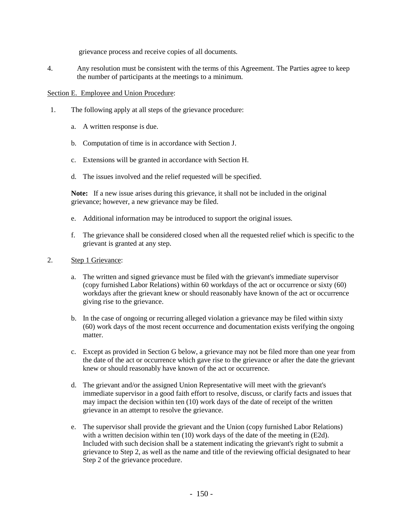grievance process and receive copies of all documents.

4. Any resolution must be consistent with the terms of this Agreement. The Parties agree to keep the number of participants at the meetings to a minimum.

#### Section E. Employee and Union Procedure:

- 1. The following apply at all steps of the grievance procedure:
	- a. A written response is due.
	- b. Computation of time is in accordance with Section J.
	- c. Extensions will be granted in accordance with Section H.
	- d. The issues involved and the relief requested will be specified.

**Note:** If a new issue arises during this grievance, it shall not be included in the original grievance; however, a new grievance may be filed.

- e. Additional information may be introduced to support the original issues.
- f. The grievance shall be considered closed when all the requested relief which is specific to the grievant is granted at any step.
- 2. Step 1 Grievance:
	- a. The written and signed grievance must be filed with the grievant's immediate supervisor (copy furnished Labor Relations) within 60 workdays of the act or occurrence or sixty (60) workdays after the grievant knew or should reasonably have known of the act or occurrence giving rise to the grievance.
	- b. In the case of ongoing or recurring alleged violation a grievance may be filed within sixty (60) work days of the most recent occurrence and documentation exists verifying the ongoing matter.
	- c. Except as provided in Section G below, a grievance may not be filed more than one year from the date of the act or occurrence which gave rise to the grievance or after the date the grievant knew or should reasonably have known of the act or occurrence.
	- d. The grievant and/or the assigned Union Representative will meet with the grievant's immediate supervisor in a good faith effort to resolve, discuss, or clarify facts and issues that may impact the decision within ten (10) work days of the date of receipt of the written grievance in an attempt to resolve the grievance.
	- e. The supervisor shall provide the grievant and the Union (copy furnished Labor Relations) with a written decision within ten (10) work days of the date of the meeting in (E2d). Included with such decision shall be a statement indicating the grievant's right to submit a grievance to Step 2, as well as the name and title of the reviewing official designated to hear Step 2 of the grievance procedure.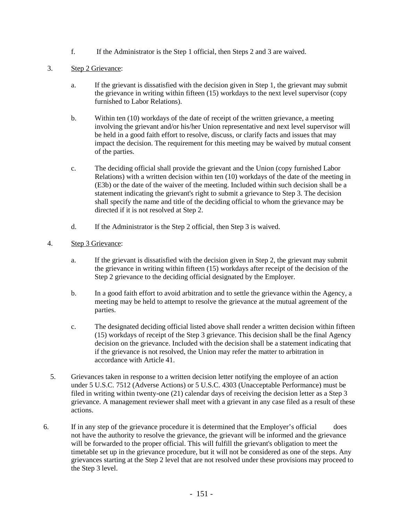f. If the Administrator is the Step 1 official, then Steps 2 and 3 are waived.

#### 3. Step 2 Grievance:

- a. If the grievant is dissatisfied with the decision given in Step 1, the grievant may submit the grievance in writing within fifteen (15) workdays to the next level supervisor (copy furnished to Labor Relations).
- b. Within ten (10) workdays of the date of receipt of the written grievance, a meeting involving the grievant and/or his/her Union representative and next level supervisor will be held in a good faith effort to resolve, discuss, or clarify facts and issues that may impact the decision. The requirement for this meeting may be waived by mutual consent of the parties.
- c. The deciding official shall provide the grievant and the Union (copy furnished Labor Relations) with a written decision within ten (10) workdays of the date of the meeting in (E3b) or the date of the waiver of the meeting. Included within such decision shall be a statement indicating the grievant's right to submit a grievance to Step 3. The decision shall specify the name and title of the deciding official to whom the grievance may be directed if it is not resolved at Step 2.
- d. If the Administrator is the Step 2 official, then Step 3 is waived.

#### 4. Step 3 Grievance:

- a. If the grievant is dissatisfied with the decision given in Step 2, the grievant may submit the grievance in writing within fifteen (15) workdays after receipt of the decision of the Step 2 grievance to the deciding official designated by the Employer.
- b. In a good faith effort to avoid arbitration and to settle the grievance within the Agency, a meeting may be held to attempt to resolve the grievance at the mutual agreement of the parties.
- c. The designated deciding official listed above shall render a written decision within fifteen (15) workdays of receipt of the Step 3 grievance. This decision shall be the final Agency decision on the grievance. Included with the decision shall be a statement indicating that if the grievance is not resolved, the Union may refer the matter to arbitration in accordance with Article 41.
- 5. Grievances taken in response to a written decision letter notifying the employee of an action under 5 U.S.C. 7512 (Adverse Actions) or 5 U.S.C. 4303 (Unacceptable Performance) must be filed in writing within twenty-one (21) calendar days of receiving the decision letter as a Step 3 grievance. A management reviewer shall meet with a grievant in any case filed as a result of these actions.
- 6. If in any step of the grievance procedure it is determined that the Employer's official does not have the authority to resolve the grievance, the grievant will be informed and the grievance will be forwarded to the proper official. This will fulfill the grievant's obligation to meet the timetable set up in the grievance procedure, but it will not be considered as one of the steps. Any grievances starting at the Step 2 level that are not resolved under these provisions may proceed to the Step 3 level.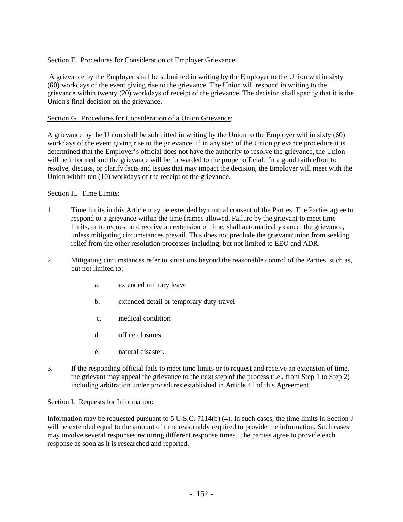### Section F. Procedures for Consideration of Employer Grievance:

A grievance by the Employer shall be submitted in writing by the Employer to the Union within sixty (60) workdays of the event giving rise to the grievance. The Union will respond in writing to the grievance within twenty (20) workdays of receipt of the grievance. The decision shall specify that it is the Union's final decision on the grievance.

#### Section G. Procedures for Consideration of a Union Grievance:

A grievance by the Union shall be submitted in writing by the Union to the Employer within sixty (60) workdays of the event giving rise to the grievance. If in any step of the Union grievance procedure it is determined that the Employer's official does not have the authority to resolve the grievance, the Union will be informed and the grievance will be forwarded to the proper official. In a good faith effort to resolve, discuss, or clarify facts and issues that may impact the decision, the Employer will meet with the Union within ten (10) workdays of the receipt of the grievance*.* 

#### Section H*.* Time Limits:

- 1. Time limits in this Article may be extended by mutual consent of the Parties. The Parties agree to respond to a grievance within the time frames allowed. Failure by the grievant to meet time limits, or to request and receive an extension of time, shall automatically cancel the grievance, unless mitigating circumstances prevail. This does not preclude the grievant/union from seeking relief from the other resolution processes including, but not limited to EEO and ADR.
- 2. Mitigating circumstances refer to situations beyond the reasonable control of the Parties, such as, but not limited to:
	- a. extended military leave
	- b. extended detail or temporary duty travel
	- c. medical condition
	- d. office closures
	- e. natural disaster.
- 3. If the responding official fails to meet time limits or to request and receive an extension of time, the grievant may appeal the grievance to the next step of the process (i.e., from Step 1 to Step 2) including arbitration under procedures established in Article 41 of this Agreement.

#### Section I. Requests for Information:

Information may be requested pursuant to 5 U.S.C. 7114(b) (4). In such cases, the time limits in Section J will be extended equal to the amount of time reasonably required to provide the information. Such cases may involve several responses requiring different response times. The parties agree to provide each response as soon as it is researched and reported.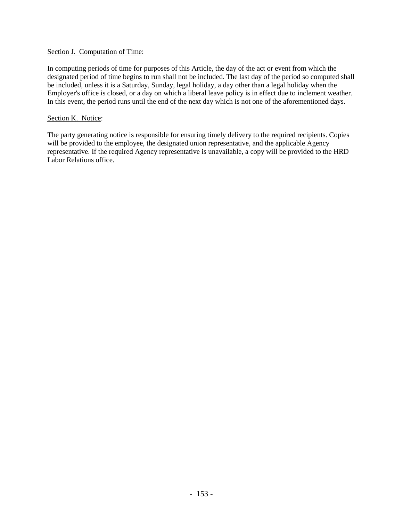#### Section J. Computation of Time:

In computing periods of time for purposes of this Article, the day of the act or event from which the designated period of time begins to run shall not be included. The last day of the period so computed shall be included, unless it is a Saturday, Sunday, legal holiday, a day other than a legal holiday when the Employer's office is closed, or a day on which a liberal leave policy is in effect due to inclement weather. In this event, the period runs until the end of the next day which is not one of the aforementioned days.

#### Section K. Notice:

The party generating notice is responsible for ensuring timely delivery to the required recipients. Copies will be provided to the employee, the designated union representative, and the applicable Agency representative. If the required Agency representative is unavailable, a copy will be provided to the HRD Labor Relations office.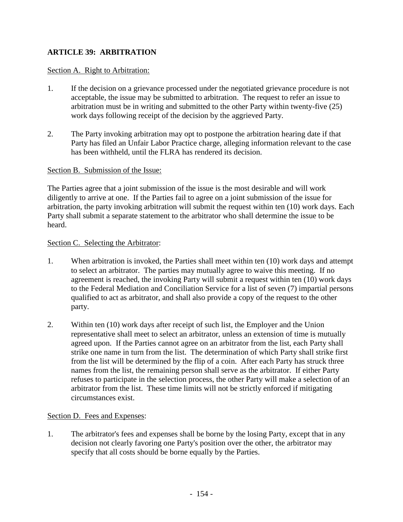# **ARTICLE 39: ARBITRATION**

## Section A. Right to Arbitration:

- 1. If the decision on a grievance processed under the negotiated grievance procedure is not acceptable, the issue may be submitted to arbitration. The request to refer an issue to arbitration must be in writing and submitted to the other Party within twenty-five (25) work days following receipt of the decision by the aggrieved Party.
- 2. The Party invoking arbitration may opt to postpone the arbitration hearing date if that Party has filed an Unfair Labor Practice charge, alleging information relevant to the case has been withheld, until the FLRA has rendered its decision.

### Section B. Submission of the Issue:

The Parties agree that a joint submission of the issue is the most desirable and will work diligently to arrive at one. If the Parties fail to agree on a joint submission of the issue for arbitration, the party invoking arbitration will submit the request within ten (10) work days. Each Party shall submit a separate statement to the arbitrator who shall determine the issue to be heard.

### Section C. Selecting the Arbitrator:

- 1. When arbitration is invoked, the Parties shall meet within ten (10) work days and attempt to select an arbitrator. The parties may mutually agree to waive this meeting. If no agreement is reached, the invoking Party will submit a request within ten (10) work days to the Federal Mediation and Conciliation Service for a list of seven (7) impartial persons qualified to act as arbitrator, and shall also provide a copy of the request to the other party.
- 2. Within ten (10) work days after receipt of such list, the Employer and the Union representative shall meet to select an arbitrator, unless an extension of time is mutually agreed upon. If the Parties cannot agree on an arbitrator from the list, each Party shall strike one name in turn from the list. The determination of which Party shall strike first from the list will be determined by the flip of a coin. After each Party has struck three names from the list, the remaining person shall serve as the arbitrator. If either Party refuses to participate in the selection process, the other Party will make a selection of an arbitrator from the list. These time limits will not be strictly enforced if mitigating circumstances exist.

### Section D. Fees and Expenses:

1. The arbitrator's fees and expenses shall be borne by the losing Party, except that in any decision not clearly favoring one Party's position over the other, the arbitrator may specify that all costs should be borne equally by the Parties.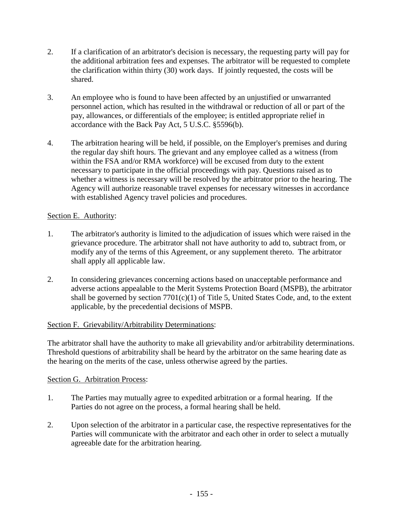- 2. If a clarification of an arbitrator's decision is necessary, the requesting party will pay for the additional arbitration fees and expenses. The arbitrator will be requested to complete the clarification within thirty (30) work days. If jointly requested, the costs will be shared.
- 3. An employee who is found to have been affected by an unjustified or unwarranted personnel action, which has resulted in the withdrawal or reduction of all or part of the pay, allowances, or differentials of the employee; is entitled appropriate relief in accordance with the Back Pay Act, 5 U.S.C. §5596(b).
- 4. The arbitration hearing will be held, if possible, on the Employer's premises and during the regular day shift hours. The grievant and any employee called as a witness (from within the FSA and/or RMA workforce) will be excused from duty to the extent necessary to participate in the official proceedings with pay. Questions raised as to whether a witness is necessary will be resolved by the arbitrator prior to the hearing. The Agency will authorize reasonable travel expenses for necessary witnesses in accordance with established Agency travel policies and procedures.

# Section E. Authority:

- 1. The arbitrator's authority is limited to the adjudication of issues which were raised in the grievance procedure. The arbitrator shall not have authority to add to, subtract from, or modify any of the terms of this Agreement, or any supplement thereto. The arbitrator shall apply all applicable law.
- 2. In considering grievances concerning actions based on unacceptable performance and adverse actions appealable to the Merit Systems Protection Board (MSPB), the arbitrator shall be governed by section  $7701(c)(1)$  of Title 5, United States Code, and, to the extent applicable, by the precedential decisions of MSPB.

# Section F. Grievability/Arbitrability Determinations:

The arbitrator shall have the authority to make all grievability and/or arbitrability determinations. Threshold questions of arbitrability shall be heard by the arbitrator on the same hearing date as the hearing on the merits of the case, unless otherwise agreed by the parties.

## Section G. Arbitration Process:

- 1. The Parties may mutually agree to expedited arbitration or a formal hearing. If the Parties do not agree on the process, a formal hearing shall be held.
- 2. Upon selection of the arbitrator in a particular case, the respective representatives for the Parties will communicate with the arbitrator and each other in order to select a mutually agreeable date for the arbitration hearing.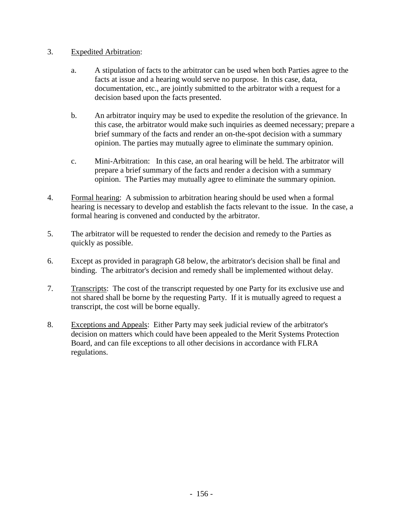## 3. Expedited Arbitration:

- a. A stipulation of facts to the arbitrator can be used when both Parties agree to the facts at issue and a hearing would serve no purpose. In this case, data, documentation, etc., are jointly submitted to the arbitrator with a request for a decision based upon the facts presented.
- b. An arbitrator inquiry may be used to expedite the resolution of the grievance. In this case, the arbitrator would make such inquiries as deemed necessary; prepare a brief summary of the facts and render an on-the-spot decision with a summary opinion. The parties may mutually agree to eliminate the summary opinion.
- c. Mini-Arbitration: In this case, an oral hearing will be held. The arbitrator will prepare a brief summary of the facts and render a decision with a summary opinion. The Parties may mutually agree to eliminate the summary opinion.
- 4. Formal hearing: A submission to arbitration hearing should be used when a formal hearing is necessary to develop and establish the facts relevant to the issue. In the case, a formal hearing is convened and conducted by the arbitrator.
- 5. The arbitrator will be requested to render the decision and remedy to the Parties as quickly as possible.
- 6. Except as provided in paragraph G8 below, the arbitrator's decision shall be final and binding. The arbitrator's decision and remedy shall be implemented without delay.
- 7. Transcripts: The cost of the transcript requested by one Party for its exclusive use and not shared shall be borne by the requesting Party. If it is mutually agreed to request a transcript, the cost will be borne equally.
- 8. Exceptions and Appeals: Either Party may seek judicial review of the arbitrator's decision on matters which could have been appealed to the Merit Systems Protection Board, and can file exceptions to all other decisions in accordance with FLRA regulations.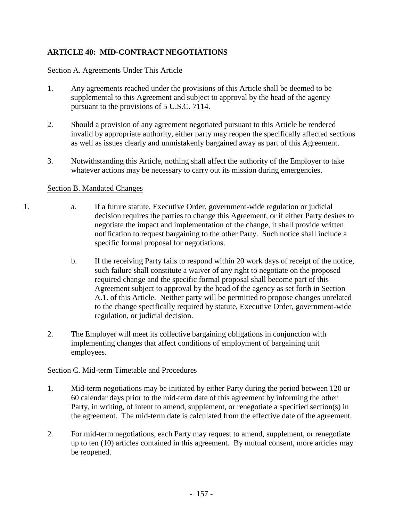# **ARTICLE 40: MID-CONTRACT NEGOTIATIONS**

## Section A. Agreements Under This Article

- 1. Any agreements reached under the provisions of this Article shall be deemed to be supplemental to this Agreement and subject to approval by the head of the agency pursuant to the provisions of 5 U.S.C. 7114.
- 2. Should a provision of any agreement negotiated pursuant to this Article be rendered invalid by appropriate authority, either party may reopen the specifically affected sections as well as issues clearly and unmistakenly bargained away as part of this Agreement.
- 3. Notwithstanding this Article, nothing shall affect the authority of the Employer to take whatever actions may be necessary to carry out its mission during emergencies.

## Section B. Mandated Changes

- 1. a. If a future statute, Executive Order, government-wide regulation or judicial decision requires the parties to change this Agreement, or if either Party desires to negotiate the impact and implementation of the change, it shall provide written notification to request bargaining to the other Party. Such notice shall include a specific formal proposal for negotiations.
	- b. If the receiving Party fails to respond within 20 work days of receipt of the notice, such failure shall constitute a waiver of any right to negotiate on the proposed required change and the specific formal proposal shall become part of this Agreement subject to approval by the head of the agency as set forth in Section A.1. of this Article. Neither party will be permitted to propose changes unrelated to the change specifically required by statute, Executive Order, government-wide regulation, or judicial decision.
	- 2. The Employer will meet its collective bargaining obligations in conjunction with implementing changes that affect conditions of employment of bargaining unit employees.

## Section C. Mid-term Timetable and Procedures

- 1. Mid-term negotiations may be initiated by either Party during the period between 120 or 60 calendar days prior to the mid-term date of this agreement by informing the other Party, in writing, of intent to amend, supplement, or renegotiate a specified section(s) in the agreement. The mid-term date is calculated from the effective date of the agreement.
- 2. For mid-term negotiations, each Party may request to amend, supplement, or renegotiate up to ten (10) articles contained in this agreement. By mutual consent, more articles may be reopened.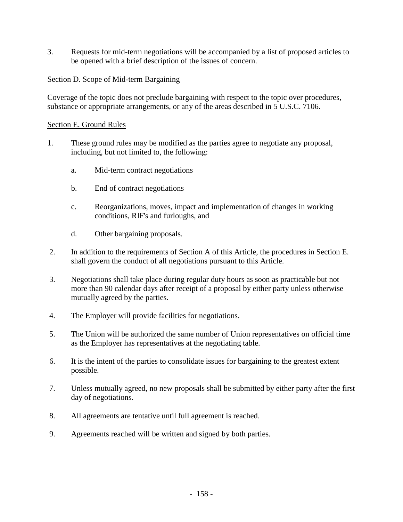3. Requests for mid-term negotiations will be accompanied by a list of proposed articles to be opened with a brief description of the issues of concern.

# Section D. Scope of Mid-term Bargaining

Coverage of the topic does not preclude bargaining with respect to the topic over procedures, substance or appropriate arrangements, or any of the areas described in 5 U.S.C. 7106.

## Section E. Ground Rules

- 1. These ground rules may be modified as the parties agree to negotiate any proposal, including, but not limited to, the following:
	- a. Mid-term contract negotiations
	- b. End of contract negotiations
	- c. Reorganizations, moves, impact and implementation of changes in working conditions, RIF's and furloughs, and
	- d. Other bargaining proposals.
- 2. In addition to the requirements of Section A of this Article, the procedures in Section E. shall govern the conduct of all negotiations pursuant to this Article.
- 3. Negotiations shall take place during regular duty hours as soon as practicable but not more than 90 calendar days after receipt of a proposal by either party unless otherwise mutually agreed by the parties.
- 4. The Employer will provide facilities for negotiations.
- 5. The Union will be authorized the same number of Union representatives on official time as the Employer has representatives at the negotiating table.
- 6. It is the intent of the parties to consolidate issues for bargaining to the greatest extent possible.
- 7. Unless mutually agreed, no new proposals shall be submitted by either party after the first day of negotiations.
- 8. All agreements are tentative until full agreement is reached.
- 9. Agreements reached will be written and signed by both parties.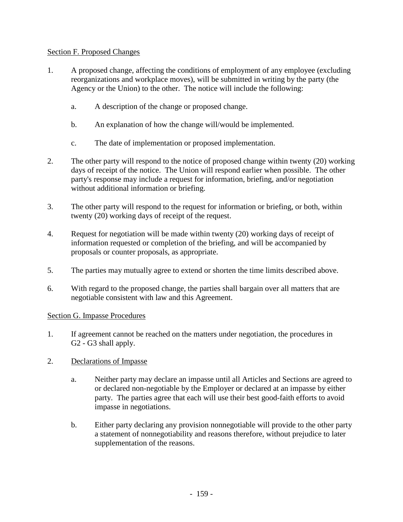## Section F. Proposed Changes

- 1. A proposed change, affecting the conditions of employment of any employee (excluding reorganizations and workplace moves), will be submitted in writing by the party (the Agency or the Union) to the other. The notice will include the following:
	- a. A description of the change or proposed change.
	- b. An explanation of how the change will/would be implemented.
	- c. The date of implementation or proposed implementation.
- 2. The other party will respond to the notice of proposed change within twenty (20) working days of receipt of the notice. The Union will respond earlier when possible. The other party's response may include a request for information, briefing, and/or negotiation without additional information or briefing.
- 3. The other party will respond to the request for information or briefing, or both, within twenty (20) working days of receipt of the request.
- 4. Request for negotiation will be made within twenty (20) working days of receipt of information requested or completion of the briefing, and will be accompanied by proposals or counter proposals, as appropriate.
- 5. The parties may mutually agree to extend or shorten the time limits described above.
- 6. With regard to the proposed change, the parties shall bargain over all matters that are negotiable consistent with law and this Agreement.

## Section G. Impasse Procedures

- 1. If agreement cannot be reached on the matters under negotiation, the procedures in G2 - G3 shall apply.
- 2. Declarations of Impasse
	- a. Neither party may declare an impasse until all Articles and Sections are agreed to or declared non-negotiable by the Employer or declared at an impasse by either party. The parties agree that each will use their best good-faith efforts to avoid impasse in negotiations.
	- b. Either party declaring any provision nonnegotiable will provide to the other party a statement of nonnegotiability and reasons therefore, without prejudice to later supplementation of the reasons.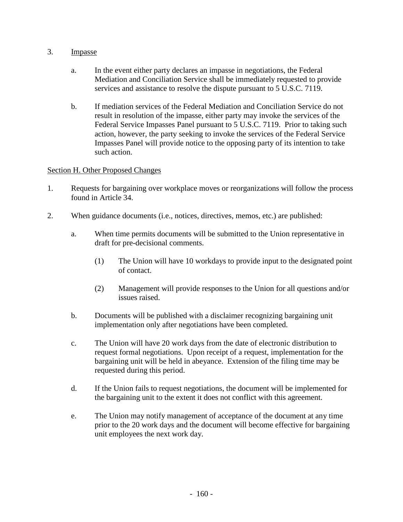## 3. Impasse

- a. In the event either party declares an impasse in negotiations, the Federal Mediation and Conciliation Service shall be immediately requested to provide services and assistance to resolve the dispute pursuant to 5 U.S.C. 7119.
- b. If mediation services of the Federal Mediation and Conciliation Service do not result in resolution of the impasse, either party may invoke the services of the Federal Service Impasses Panel pursuant to 5 U.S.C. 7119. Prior to taking such action, however, the party seeking to invoke the services of the Federal Service Impasses Panel will provide notice to the opposing party of its intention to take such action.

## Section H. Other Proposed Changes

- 1. Requests for bargaining over workplace moves or reorganizations will follow the process found in Article 34.
- 2. When guidance documents (i.e., notices, directives, memos, etc.) are published:
	- a. When time permits documents will be submitted to the Union representative in draft for pre-decisional comments.
		- (1) The Union will have 10 workdays to provide input to the designated point of contact.
		- (2) Management will provide responses to the Union for all questions and/or issues raised.
	- b. Documents will be published with a disclaimer recognizing bargaining unit implementation only after negotiations have been completed.
	- c. The Union will have 20 work days from the date of electronic distribution to request formal negotiations. Upon receipt of a request, implementation for the bargaining unit will be held in abeyance. Extension of the filing time may be requested during this period.
	- d. If the Union fails to request negotiations, the document will be implemented for the bargaining unit to the extent it does not conflict with this agreement.
	- e. The Union may notify management of acceptance of the document at any time prior to the 20 work days and the document will become effective for bargaining unit employees the next work day.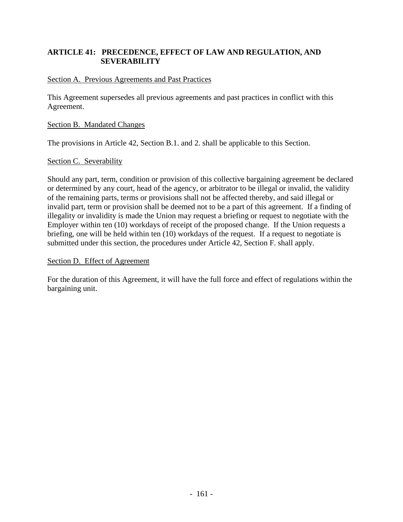## **ARTICLE 41: PRECEDENCE, EFFECT OF LAW AND REGULATION, AND SEVERABILITY**

## Section A. Previous Agreements and Past Practices

This Agreement supersedes all previous agreements and past practices in conflict with this Agreement.

#### Section B. Mandated Changes

The provisions in Article 42, Section B.1. and 2. shall be applicable to this Section.

#### Section C. Severability

Should any part, term, condition or provision of this collective bargaining agreement be declared or determined by any court, head of the agency, or arbitrator to be illegal or invalid, the validity of the remaining parts, terms or provisions shall not be affected thereby, and said illegal or invalid part, term or provision shall be deemed not to be a part of this agreement. If a finding of illegality or invalidity is made the Union may request a briefing or request to negotiate with the Employer within ten (10) workdays of receipt of the proposed change. If the Union requests a briefing, one will be held within ten (10) workdays of the request. If a request to negotiate is submitted under this section, the procedures under Article 42, Section F. shall apply.

#### Section D. Effect of Agreement

For the duration of this Agreement, it will have the full force and effect of regulations within the bargaining unit.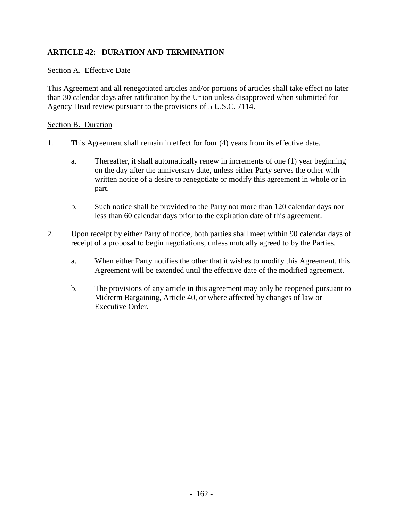# **ARTICLE 42: DURATION AND TERMINATION**

### Section A. Effective Date

This Agreement and all renegotiated articles and/or portions of articles shall take effect no later than 30 calendar days after ratification by the Union unless disapproved when submitted for Agency Head review pursuant to the provisions of 5 U.S.C. 7114.

#### Section B. Duration

- 1. This Agreement shall remain in effect for four (4) years from its effective date.
	- a. Thereafter, it shall automatically renew in increments of one (1) year beginning on the day after the anniversary date, unless either Party serves the other with written notice of a desire to renegotiate or modify this agreement in whole or in part.
	- b. Such notice shall be provided to the Party not more than 120 calendar days nor less than 60 calendar days prior to the expiration date of this agreement.
- 2. Upon receipt by either Party of notice, both parties shall meet within 90 calendar days of receipt of a proposal to begin negotiations, unless mutually agreed to by the Parties.
	- a. When either Party notifies the other that it wishes to modify this Agreement, this Agreement will be extended until the effective date of the modified agreement.
	- b. The provisions of any article in this agreement may only be reopened pursuant to Midterm Bargaining, Article 40, or where affected by changes of law or Executive Order.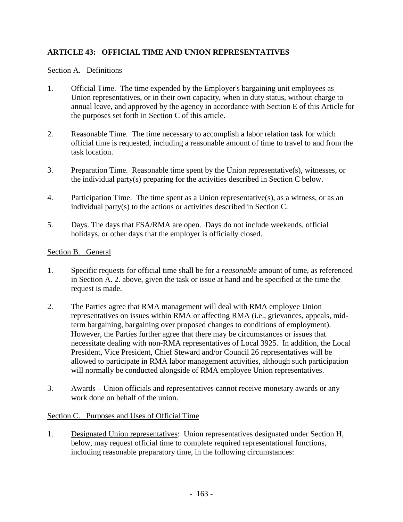# **ARTICLE 43: OFFICIAL TIME AND UNION REPRESENTATIVES**

## Section A. Definitions

- 1. Official Time. The time expended by the Employer's bargaining unit employees as Union representatives, or in their own capacity, when in duty status, without charge to annual leave, and approved by the agency in accordance with Section E of this Article for the purposes set forth in Section C of this article.
- 2. Reasonable Time. The time necessary to accomplish a labor relation task for which official time is requested, including a reasonable amount of time to travel to and from the task location.
- 3. Preparation Time. Reasonable time spent by the Union representative(s), witnesses, or the individual party(s) preparing for the activities described in Section C below.
- 4. Participation Time. The time spent as a Union representative(s), as a witness, or as an individual party(s) to the actions or activities described in Section C.
- 5. Days. The days that FSA/RMA are open. Days do not include weekends, official holidays, or other days that the employer is officially closed.

## Section B. General

- 1. Specific requests for official time shall be for a *reasonable* amount of time, as referenced in Section A. 2. above, given the task or issue at hand and be specified at the time the request is made.
- 2. The Parties agree that RMA management will deal with RMA employee Union representatives on issues within RMA or affecting RMA (i.e., grievances, appeals, midterm bargaining, bargaining over proposed changes to conditions of employment). However, the Parties further agree that there may be circumstances or issues that necessitate dealing with non-RMA representatives of Local 3925. In addition, the Local President, Vice President, Chief Steward and/or Council 26 representatives will be allowed to participate in RMA labor management activities, although such participation will normally be conducted alongside of RMA employee Union representatives.
- 3. Awards Union officials and representatives cannot receive monetary awards or any work done on behalf of the union.

### Section C. Purposes and Uses of Official Time

1. Designated Union representatives: Union representatives designated under Section H, below, may request official time to complete required representational functions, including reasonable preparatory time, in the following circumstances: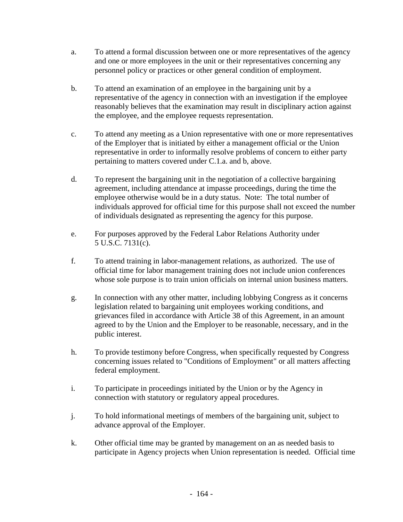- a. To attend a formal discussion between one or more representatives of the agency and one or more employees in the unit or their representatives concerning any personnel policy or practices or other general condition of employment.
- b. To attend an examination of an employee in the bargaining unit by a representative of the agency in connection with an investigation if the employee reasonably believes that the examination may result in disciplinary action against the employee, and the employee requests representation.
- c. To attend any meeting as a Union representative with one or more representatives of the Employer that is initiated by either a management official or the Union representative in order to informally resolve problems of concern to either party pertaining to matters covered under C.1.a. and b, above.
- d. To represent the bargaining unit in the negotiation of a collective bargaining agreement, including attendance at impasse proceedings, during the time the employee otherwise would be in a duty status. Note: The total number of individuals approved for official time for this purpose shall not exceed the number of individuals designated as representing the agency for this purpose.
- e. For purposes approved by the Federal Labor Relations Authority under 5 U.S.C. 7131(c).
- f. To attend training in labor-management relations, as authorized. The use of official time for labor management training does not include union conferences whose sole purpose is to train union officials on internal union business matters.
- g. In connection with any other matter, including lobbying Congress as it concerns legislation related to bargaining unit employees working conditions, and grievances filed in accordance with Article 38 of this Agreement, in an amount agreed to by the Union and the Employer to be reasonable, necessary, and in the public interest.
- h. To provide testimony before Congress, when specifically requested by Congress concerning issues related to "Conditions of Employment" or all matters affecting federal employment.
- i. To participate in proceedings initiated by the Union or by the Agency in connection with statutory or regulatory appeal procedures.
- j. To hold informational meetings of members of the bargaining unit, subject to advance approval of the Employer.
- k. Other official time may be granted by management on an as needed basis to participate in Agency projects when Union representation is needed. Official time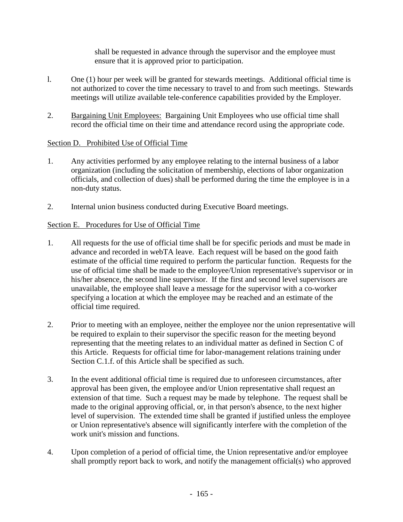shall be requested in advance through the supervisor and the employee must ensure that it is approved prior to participation.

- l. One (1) hour per week will be granted for stewards meetings. Additional official time is not authorized to cover the time necessary to travel to and from such meetings. Stewards meetings will utilize available tele-conference capabilities provided by the Employer.
- 2. Bargaining Unit Employees: Bargaining Unit Employees who use official time shall record the official time on their time and attendance record using the appropriate code.

# Section D. Prohibited Use of Official Time

- 1. Any activities performed by any employee relating to the internal business of a labor organization (including the solicitation of membership, elections of labor organization officials, and collection of dues) shall be performed during the time the employee is in a non-duty status.
- 2. Internal union business conducted during Executive Board meetings.

# Section E. Procedures for Use of Official Time

- 1. All requests for the use of official time shall be for specific periods and must be made in advance and recorded in webTA leave. Each request will be based on the good faith estimate of the official time required to perform the particular function. Requests for the use of official time shall be made to the employee/Union representative's supervisor or in his/her absence, the second line supervisor. If the first and second level supervisors are unavailable, the employee shall leave a message for the supervisor with a co-worker specifying a location at which the employee may be reached and an estimate of the official time required.
- 2. Prior to meeting with an employee, neither the employee nor the union representative will be required to explain to their supervisor the specific reason for the meeting beyond representing that the meeting relates to an individual matter as defined in Section C of this Article. Requests for official time for labor-management relations training under Section C.1.f. of this Article shall be specified as such.
- 3. In the event additional official time is required due to unforeseen circumstances, after approval has been given, the employee and/or Union representative shall request an extension of that time. Such a request may be made by telephone. The request shall be made to the original approving official, or, in that person's absence, to the next higher level of supervision. The extended time shall be granted if justified unless the employee or Union representative's absence will significantly interfere with the completion of the work unit's mission and functions.
- 4. Upon completion of a period of official time, the Union representative and/or employee shall promptly report back to work, and notify the management official(s) who approved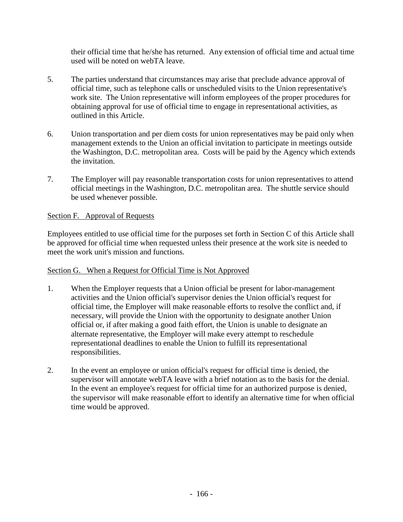their official time that he/she has returned. Any extension of official time and actual time used will be noted on webTA leave.

- 5. The parties understand that circumstances may arise that preclude advance approval of official time, such as telephone calls or unscheduled visits to the Union representative's work site. The Union representative will inform employees of the proper procedures for obtaining approval for use of official time to engage in representational activities, as outlined in this Article.
- 6. Union transportation and per diem costs for union representatives may be paid only when management extends to the Union an official invitation to participate in meetings outside the Washington, D.C. metropolitan area. Costs will be paid by the Agency which extends the invitation.
- 7. The Employer will pay reasonable transportation costs for union representatives to attend official meetings in the Washington, D.C. metropolitan area. The shuttle service should be used whenever possible.

# Section F. Approval of Requests

Employees entitled to use official time for the purposes set forth in Section C of this Article shall be approved for official time when requested unless their presence at the work site is needed to meet the work unit's mission and functions.

# Section G. When a Request for Official Time is Not Approved

- 1. When the Employer requests that a Union official be present for labor-management activities and the Union official's supervisor denies the Union official's request for official time, the Employer will make reasonable efforts to resolve the conflict and, if necessary, will provide the Union with the opportunity to designate another Union official or, if after making a good faith effort, the Union is unable to designate an alternate representative, the Employer will make every attempt to reschedule representational deadlines to enable the Union to fulfill its representational responsibilities.
- 2. In the event an employee or union official's request for official time is denied, the supervisor will annotate webTA leave with a brief notation as to the basis for the denial. In the event an employee's request for official time for an authorized purpose is denied, the supervisor will make reasonable effort to identify an alternative time for when official time would be approved.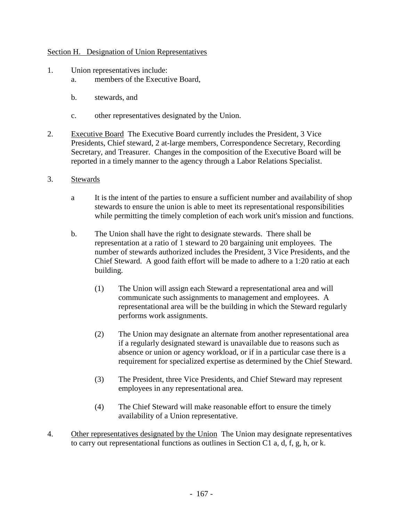## Section H. Designation of Union Representatives

- 1. Union representatives include:
	- a. members of the Executive Board,
	- b. stewards, and
	- c. other representatives designated by the Union.
- 2. Executive Board The Executive Board currently includes the President, 3 Vice Presidents, Chief steward, 2 at-large members, Correspondence Secretary, Recording Secretary, and Treasurer. Changes in the composition of the Executive Board will be reported in a timely manner to the agency through a Labor Relations Specialist.
- 3. Stewards
	- a It is the intent of the parties to ensure a sufficient number and availability of shop stewards to ensure the union is able to meet its representational responsibilities while permitting the timely completion of each work unit's mission and functions.
	- b. The Union shall have the right to designate stewards. There shall be representation at a ratio of 1 steward to 20 bargaining unit employees. The number of stewards authorized includes the President, 3 Vice Presidents, and the Chief Steward. A good faith effort will be made to adhere to a 1:20 ratio at each building.
		- (1) The Union will assign each Steward a representational area and will communicate such assignments to management and employees. A representational area will be the building in which the Steward regularly performs work assignments.
		- (2) The Union may designate an alternate from another representational area if a regularly designated steward is unavailable due to reasons such as absence or union or agency workload, or if in a particular case there is a requirement for specialized expertise as determined by the Chief Steward.
		- (3) The President, three Vice Presidents, and Chief Steward may represent employees in any representational area.
		- (4) The Chief Steward will make reasonable effort to ensure the timely availability of a Union representative.
- 4. Other representatives designated by the Union The Union may designate representatives to carry out representational functions as outlines in Section C1 a, d, f, g, h, or k.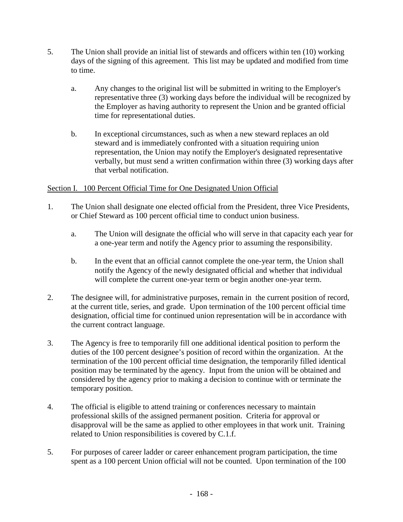- 5. The Union shall provide an initial list of stewards and officers within ten (10) working days of the signing of this agreement. This list may be updated and modified from time to time.
	- a. Any changes to the original list will be submitted in writing to the Employer's representative three (3) working days before the individual will be recognized by the Employer as having authority to represent the Union and be granted official time for representational duties.
	- b. In exceptional circumstances, such as when a new steward replaces an old steward and is immediately confronted with a situation requiring union representation, the Union may notify the Employer's designated representative verbally, but must send a written confirmation within three (3) working days after that verbal notification.

# Section I. 100 Percent Official Time for One Designated Union Official

- 1. The Union shall designate one elected official from the President, three Vice Presidents, or Chief Steward as 100 percent official time to conduct union business.
	- a. The Union will designate the official who will serve in that capacity each year for a one-year term and notify the Agency prior to assuming the responsibility.
	- b. In the event that an official cannot complete the one-year term, the Union shall notify the Agency of the newly designated official and whether that individual will complete the current one-year term or begin another one-year term.
- 2. The designee will, for administrative purposes, remain in the current position of record, at the current title, series, and grade. Upon termination of the 100 percent official time designation, official time for continued union representation will be in accordance with the current contract language.
- 3. The Agency is free to temporarily fill one additional identical position to perform the duties of the 100 percent designee's position of record within the organization. At the termination of the 100 percent official time designation, the temporarily filled identical position may be terminated by the agency. Input from the union will be obtained and considered by the agency prior to making a decision to continue with or terminate the temporary position.
- 4. The official is eligible to attend training or conferences necessary to maintain professional skills of the assigned permanent position. Criteria for approval or disapproval will be the same as applied to other employees in that work unit. Training related to Union responsibilities is covered by C.1.f.
- 5. For purposes of career ladder or career enhancement program participation, the time spent as a 100 percent Union official will not be counted. Upon termination of the 100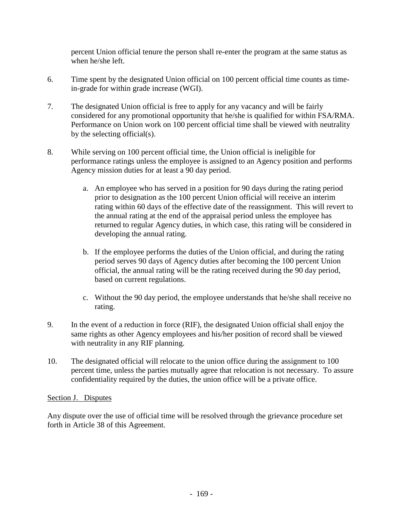percent Union official tenure the person shall re-enter the program at the same status as when he/she left.

- 6. Time spent by the designated Union official on 100 percent official time counts as timein-grade for within grade increase (WGI).
- 7. The designated Union official is free to apply for any vacancy and will be fairly considered for any promotional opportunity that he/she is qualified for within FSA/RMA. Performance on Union work on 100 percent official time shall be viewed with neutrality by the selecting official(s).
- 8. While serving on 100 percent official time, the Union official is ineligible for performance ratings unless the employee is assigned to an Agency position and performs Agency mission duties for at least a 90 day period.
	- a. An employee who has served in a position for 90 days during the rating period prior to designation as the 100 percent Union official will receive an interim rating within 60 days of the effective date of the reassignment. This will revert to the annual rating at the end of the appraisal period unless the employee has returned to regular Agency duties, in which case, this rating will be considered in developing the annual rating.
	- b. If the employee performs the duties of the Union official, and during the rating period serves 90 days of Agency duties after becoming the 100 percent Union official, the annual rating will be the rating received during the 90 day period, based on current regulations.
	- c. Without the 90 day period, the employee understands that he/she shall receive no rating.
- 9. In the event of a reduction in force (RIF), the designated Union official shall enjoy the same rights as other Agency employees and his/her position of record shall be viewed with neutrality in any RIF planning.
- 10. The designated official will relocate to the union office during the assignment to 100 percent time, unless the parties mutually agree that relocation is not necessary. To assure confidentiality required by the duties, the union office will be a private office.

# Section J. Disputes

Any dispute over the use of official time will be resolved through the grievance procedure set forth in Article 38 of this Agreement.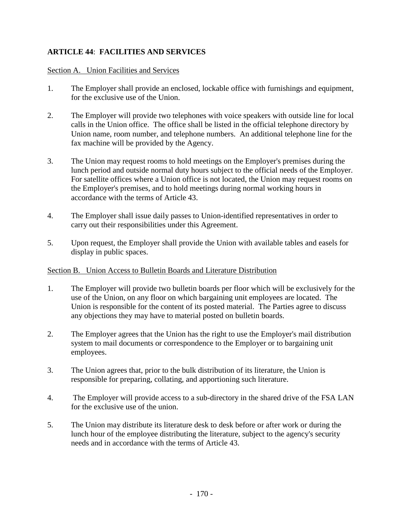# **ARTICLE 44**: **FACILITIES AND SERVICES**

## Section A. Union Facilities and Services

- 1. The Employer shall provide an enclosed, lockable office with furnishings and equipment, for the exclusive use of the Union.
- 2. The Employer will provide two telephones with voice speakers with outside line for local calls in the Union office. The office shall be listed in the official telephone directory by Union name, room number, and telephone numbers. An additional telephone line for the fax machine will be provided by the Agency.
- 3. The Union may request rooms to hold meetings on the Employer's premises during the lunch period and outside normal duty hours subject to the official needs of the Employer. For satellite offices where a Union office is not located, the Union may request rooms on the Employer's premises, and to hold meetings during normal working hours in accordance with the terms of Article 43.
- 4. The Employer shall issue daily passes to Union-identified representatives in order to carry out their responsibilities under this Agreement.
- 5. Upon request, the Employer shall provide the Union with available tables and easels for display in public spaces.

## Section B. Union Access to Bulletin Boards and Literature Distribution

- 1. The Employer will provide two bulletin boards per floor which will be exclusively for the use of the Union, on any floor on which bargaining unit employees are located. The Union is responsible for the content of its posted material. The Parties agree to discuss any objections they may have to material posted on bulletin boards.
- 2. The Employer agrees that the Union has the right to use the Employer's mail distribution system to mail documents or correspondence to the Employer or to bargaining unit employees.
- 3. The Union agrees that, prior to the bulk distribution of its literature, the Union is responsible for preparing, collating, and apportioning such literature.
- 4. The Employer will provide access to a sub-directory in the shared drive of the FSA LAN for the exclusive use of the union.
- 5. The Union may distribute its literature desk to desk before or after work or during the lunch hour of the employee distributing the literature, subject to the agency's security needs and in accordance with the terms of Article 43.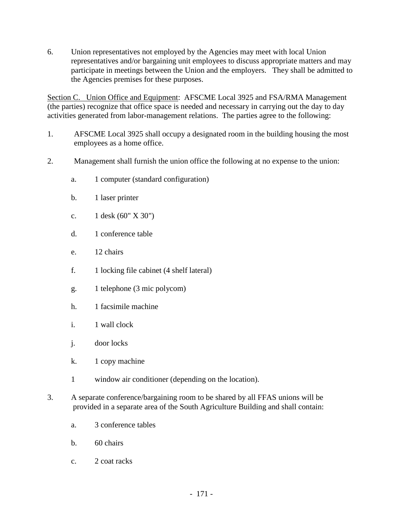6. Union representatives not employed by the Agencies may meet with local Union representatives and/or bargaining unit employees to discuss appropriate matters and may participate in meetings between the Union and the employers. They shall be admitted to the Agencies premises for these purposes.

Section C. Union Office and Equipment: AFSCME Local 3925 and FSA/RMA Management (the parties) recognize that office space is needed and necessary in carrying out the day to day activities generated from labor-management relations. The parties agree to the following:

- 1. AFSCME Local 3925 shall occupy a designated room in the building housing the most employees as a home office.
- 2. Management shall furnish the union office the following at no expense to the union:
	- a. 1 computer (standard configuration)
	- b. 1 laser printer
	- c. 1 desk (60" X 30")
	- d. 1 conference table
	- e. 12 chairs
	- f. 1 locking file cabinet (4 shelf lateral)
	- g. 1 telephone (3 mic polycom)
	- h. 1 facsimile machine
	- i. 1 wall clock
	- j. door locks
	- k. 1 copy machine
	- 1 window air conditioner (depending on the location).
- 3. A separate conference/bargaining room to be shared by all FFAS unions will be provided in a separate area of the South Agriculture Building and shall contain:
	- a. 3 conference tables
	- b. 60 chairs
	- c. 2 coat racks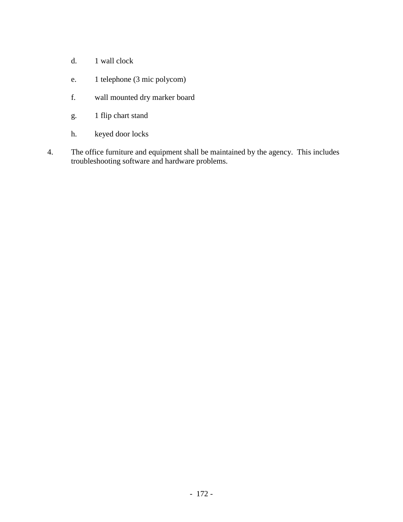- d. 1 wall clock
- e. 1 telephone (3 mic polycom)
- f. wall mounted dry marker board
- g. 1 flip chart stand
- h. keyed door locks
- 4. The office furniture and equipment shall be maintained by the agency. This includes troubleshooting software and hardware problems.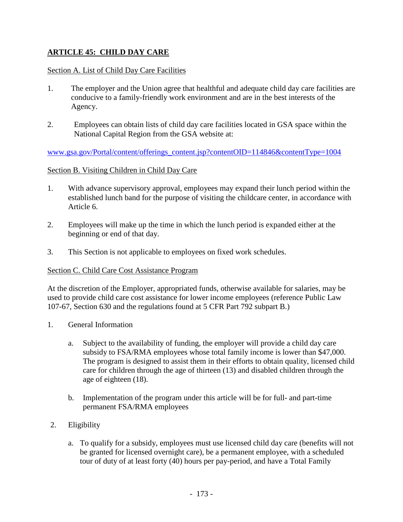# **ARTICLE 45: CHILD DAY CARE**

## Section A. List of Child Day Care Facilities

- 1. The employer and the Union agree that healthful and adequate child day care facilities are conducive to a family-friendly work environment and are in the best interests of the Agency.
- 2. Employees can obtain lists of child day care facilities located in GSA space within the National Capital Region from the GSA website at:

[www.gsa.gov/Portal/content/offerings\\_content.jsp?contentOID=114846&contentType=1004](http://www.gsa.gov/Portal/content/offerings_content.jsp?contentOID=114846&contentType=1004)

## Section B. Visiting Children in Child Day Care

- 1. With advance supervisory approval, employees may expand their lunch period within the established lunch band for the purpose of visiting the childcare center, in accordance with Article 6.
- 2. Employees will make up the time in which the lunch period is expanded either at the beginning or end of that day.
- 3. This Section is not applicable to employees on fixed work schedules.

### Section C. Child Care Cost Assistance Program

At the discretion of the Employer, appropriated funds, otherwise available for salaries, may be used to provide child care cost assistance for lower income employees (reference Public Law 107-67, Section 630 and the regulations found at 5 CFR Part 792 subpart B.)

- 1. General Information
	- a. Subject to the availability of funding, the employer will provide a child day care subsidy to FSA/RMA employees whose total family income is lower than \$47,000. The program is designed to assist them in their efforts to obtain quality, licensed child care for children through the age of thirteen (13) and disabled children through the age of eighteen (18).
	- b. Implementation of the program under this article will be for full- and part-time permanent FSA/RMA employees
- 2. Eligibility
	- a. To qualify for a subsidy, employees must use licensed child day care (benefits will not be granted for licensed overnight care), be a permanent employee, with a scheduled tour of duty of at least forty (40) hours per pay-period, and have a Total Family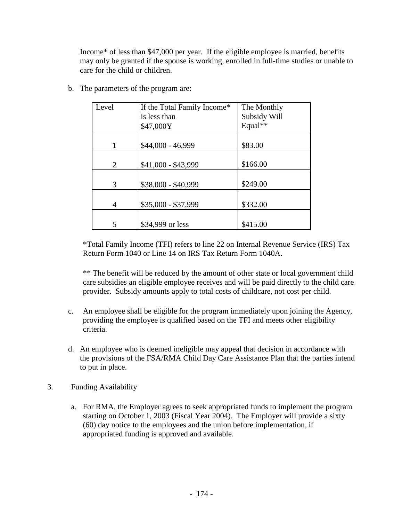Income\* of less than \$47,000 per year. If the eligible employee is married, benefits may only be granted if the spouse is working, enrolled in full-time studies or unable to care for the child or children.

| Level | If the Total Family Income*<br>is less than | The Monthly<br>Subsidy Will |
|-------|---------------------------------------------|-----------------------------|
|       | \$47,000Y                                   | Equal**                     |
|       | \$44,000 - 46,999                           | \$83.00                     |
| 2     | \$41,000 - \$43,999                         | \$166.00                    |
| 3     | \$38,000 - \$40,999                         | \$249.00                    |
| 4     | \$35,000 - \$37,999                         | \$332.00                    |
| 5     | \$34,999 or less                            | \$415.00                    |

b. The parameters of the program are:

\*Total Family Income (TFI) refers to line 22 on Internal Revenue Service (IRS) Tax Return Form 1040 or Line 14 on IRS Tax Return Form 1040A.

\*\* The benefit will be reduced by the amount of other state or local government child care subsidies an eligible employee receives and will be paid directly to the child care provider. Subsidy amounts apply to total costs of childcare, not cost per child.

- c. An employee shall be eligible for the program immediately upon joining the Agency, providing the employee is qualified based on the TFI and meets other eligibility criteria.
- d. An employee who is deemed ineligible may appeal that decision in accordance with the provisions of the FSA/RMA Child Day Care Assistance Plan that the parties intend to put in place.
- 3. Funding Availability
	- a. For RMA, the Employer agrees to seek appropriated funds to implement the program starting on October 1, 2003 (Fiscal Year 2004). The Employer will provide a sixty (60) day notice to the employees and the union before implementation, if appropriated funding is approved and available.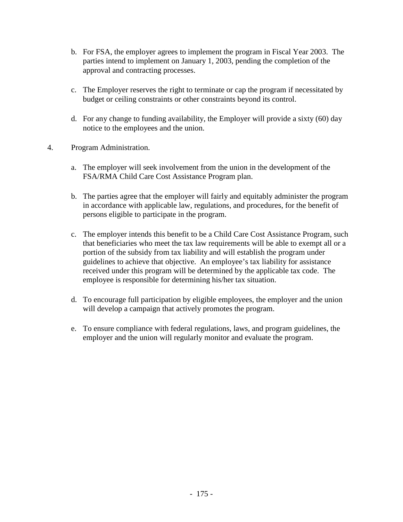- b. For FSA, the employer agrees to implement the program in Fiscal Year 2003. The parties intend to implement on January 1, 2003, pending the completion of the approval and contracting processes.
- c. The Employer reserves the right to terminate or cap the program if necessitated by budget or ceiling constraints or other constraints beyond its control.
- d. For any change to funding availability, the Employer will provide a sixty (60) day notice to the employees and the union.
- 4. Program Administration.
	- a. The employer will seek involvement from the union in the development of the FSA/RMA Child Care Cost Assistance Program plan.
	- b. The parties agree that the employer will fairly and equitably administer the program in accordance with applicable law, regulations, and procedures, for the benefit of persons eligible to participate in the program.
	- c. The employer intends this benefit to be a Child Care Cost Assistance Program, such that beneficiaries who meet the tax law requirements will be able to exempt all or a portion of the subsidy from tax liability and will establish the program under guidelines to achieve that objective. An employee's tax liability for assistance received under this program will be determined by the applicable tax code. The employee is responsible for determining his/her tax situation.
	- d. To encourage full participation by eligible employees, the employer and the union will develop a campaign that actively promotes the program.
	- e. To ensure compliance with federal regulations, laws, and program guidelines, the employer and the union will regularly monitor and evaluate the program.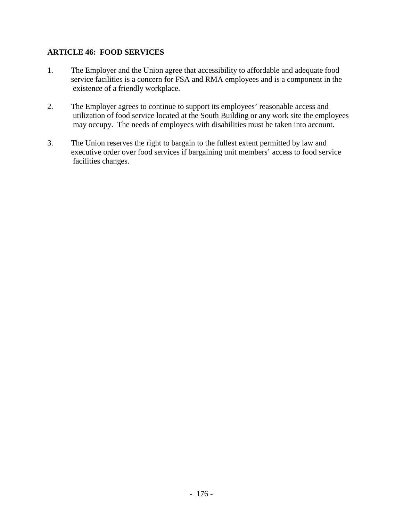## **ARTICLE 46: FOOD SERVICES**

- 1. The Employer and the Union agree that accessibility to affordable and adequate food service facilities is a concern for FSA and RMA employees and is a component in the existence of a friendly workplace.
- 2. The Employer agrees to continue to support its employees' reasonable access and utilization of food service located at the South Building or any work site the employees may occupy. The needs of employees with disabilities must be taken into account.
- 3. The Union reserves the right to bargain to the fullest extent permitted by law and executive order over food services if bargaining unit members' access to food service facilities changes.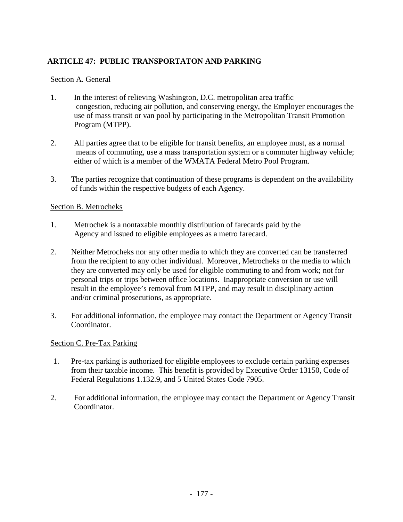# **ARTICLE 47: PUBLIC TRANSPORTATON AND PARKING**

## Section A. General

- 1. In the interest of relieving Washington, D.C. metropolitan area traffic congestion, reducing air pollution, and conserving energy, the Employer encourages the use of mass transit or van pool by participating in the Metropolitan Transit Promotion Program (MTPP).
- 2. All parties agree that to be eligible for transit benefits, an employee must, as a normal means of commuting, use a mass transportation system or a commuter highway vehicle; either of which is a member of the WMATA Federal Metro Pool Program.
- 3. The parties recognize that continuation of these programs is dependent on the availability of funds within the respective budgets of each Agency.

## Section B. Metrocheks

- 1. Metrochek is a nontaxable monthly distribution of farecards paid by the Agency and issued to eligible employees as a metro farecard.
- 2. Neither Metrocheks nor any other media to which they are converted can be transferred from the recipient to any other individual. Moreover, Metrocheks or the media to which they are converted may only be used for eligible commuting to and from work; not for personal trips or trips between office locations. Inappropriate conversion or use will result in the employee's removal from MTPP, and may result in disciplinary action and/or criminal prosecutions, as appropriate.
- 3. For additional information, the employee may contact the Department or Agency Transit Coordinator.

### Section C. Pre-Tax Parking

- 1. Pre-tax parking is authorized for eligible employees to exclude certain parking expenses from their taxable income. This benefit is provided by Executive Order 13150, Code of Federal Regulations 1.132.9, and 5 United States Code 7905.
- 2. For additional information, the employee may contact the Department or Agency Transit Coordinator.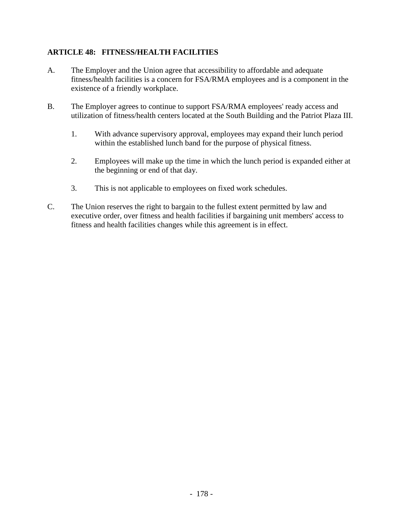# **ARTICLE 48: FITNESS/HEALTH FACILITIES**

- A. The Employer and the Union agree that accessibility to affordable and adequate fitness/health facilities is a concern for FSA/RMA employees and is a component in the existence of a friendly workplace.
- B. The Employer agrees to continue to support FSA/RMA employees' ready access and utilization of fitness/health centers located at the South Building and the Patriot Plaza III.
	- 1. With advance supervisory approval, employees may expand their lunch period within the established lunch band for the purpose of physical fitness.
	- 2. Employees will make up the time in which the lunch period is expanded either at the beginning or end of that day.
	- 3. This is not applicable to employees on fixed work schedules.
- C. The Union reserves the right to bargain to the fullest extent permitted by law and executive order, over fitness and health facilities if bargaining unit members' access to fitness and health facilities changes while this agreement is in effect.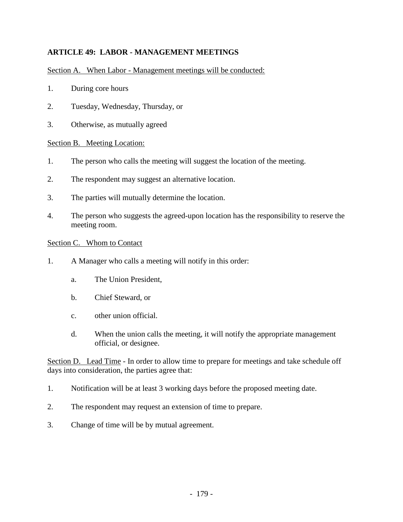# **ARTICLE 49: LABOR - MANAGEMENT MEETINGS**

## Section A. When Labor - Management meetings will be conducted:

- 1. During core hours
- 2. Tuesday, Wednesday, Thursday, or
- 3. Otherwise, as mutually agreed

### Section B. Meeting Location:

- 1. The person who calls the meeting will suggest the location of the meeting.
- 2. The respondent may suggest an alternative location.
- 3. The parties will mutually determine the location.
- 4. The person who suggests the agreed-upon location has the responsibility to reserve the meeting room.

#### Section C. Whom to Contact

- 1. A Manager who calls a meeting will notify in this order:
	- a. The Union President,
	- b. Chief Steward, or
	- c. other union official.
	- d. When the union calls the meeting, it will notify the appropriate management official, or designee.

Section D. Lead Time - In order to allow time to prepare for meetings and take schedule off days into consideration, the parties agree that:

- 1. Notification will be at least 3 working days before the proposed meeting date.
- 2. The respondent may request an extension of time to prepare.
- 3. Change of time will be by mutual agreement.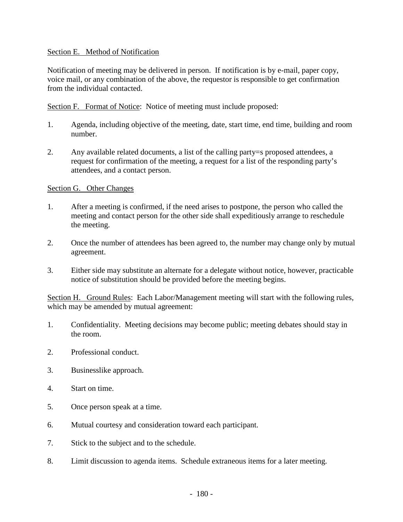### Section E. Method of Notification

Notification of meeting may be delivered in person. If notification is by e-mail, paper copy, voice mail, or any combination of the above, the requestor is responsible to get confirmation from the individual contacted.

Section F. Format of Notice: Notice of meeting must include proposed:

- 1. Agenda, including objective of the meeting, date, start time, end time, building and room number.
- 2. Any available related documents, a list of the calling party=s proposed attendees, a request for confirmation of the meeting, a request for a list of the responding party's attendees, and a contact person.

## Section G. Other Changes

- 1. After a meeting is confirmed, if the need arises to postpone, the person who called the meeting and contact person for the other side shall expeditiously arrange to reschedule the meeting.
- 2. Once the number of attendees has been agreed to, the number may change only by mutual agreement.
- 3. Either side may substitute an alternate for a delegate without notice, however, practicable notice of substitution should be provided before the meeting begins.

Section H. Ground Rules: Each Labor/Management meeting will start with the following rules, which may be amended by mutual agreement:

- 1. Confidentiality. Meeting decisions may become public; meeting debates should stay in the room.
- 2. Professional conduct.
- 3. Businesslike approach.
- 4. Start on time.
- 5. Once person speak at a time.
- 6. Mutual courtesy and consideration toward each participant.
- 7. Stick to the subject and to the schedule.
- 8. Limit discussion to agenda items. Schedule extraneous items for a later meeting.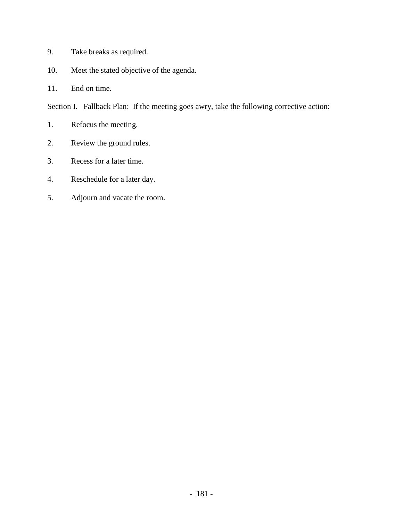- 9. Take breaks as required.
- 10. Meet the stated objective of the agenda.
- 11. End on time.

Section I. Fallback Plan: If the meeting goes awry, take the following corrective action:

- 1. Refocus the meeting.
- 2. Review the ground rules.
- 3. Recess for a later time.
- 4. Reschedule for a later day.
- 5. Adjourn and vacate the room.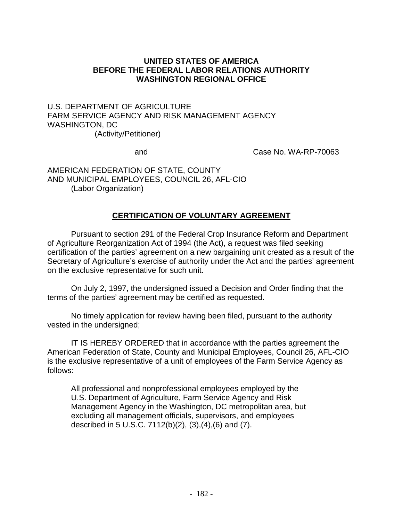## **UNITED STATES OF AMERICA BEFORE THE FEDERAL LABOR RELATIONS AUTHORITY WASHINGTON REGIONAL OFFICE**

U.S. DEPARTMENT OF AGRICULTURE FARM SERVICE AGENCY AND RISK MANAGEMENT AGENCY WASHINGTON, DC (Activity/Petitioner)

and Case No. WA-RP-70063

AMERICAN FEDERATION OF STATE, COUNTY AND MUNICIPAL EMPLOYEES, COUNCIL 26, AFL-CIO (Labor Organization)

## **CERTIFICATION OF VOLUNTARY AGREEMENT**

Pursuant to section 291 of the Federal Crop Insurance Reform and Department of Agriculture Reorganization Act of 1994 (the Act), a request was filed seeking certification of the parties' agreement on a new bargaining unit created as a result of the Secretary of Agriculture's exercise of authority under the Act and the parties' agreement on the exclusive representative for such unit.

On July 2, 1997, the undersigned issued a Decision and Order finding that the terms of the parties' agreement may be certified as requested.

No timely application for review having been filed, pursuant to the authority vested in the undersigned;

IT IS HEREBY ORDERED that in accordance with the parties agreement the American Federation of State, County and Municipal Employees, Council 26, AFL-CIO is the exclusive representative of a unit of employees of the Farm Service Agency as follows:

All professional and nonprofessional employees employed by the U.S. Department of Agriculture, Farm Service Agency and Risk Management Agency in the Washington, DC metropolitan area, but excluding all management officials, supervisors, and employees described in 5 U.S.C. 7112(b)(2), (3),(4),(6) and (7).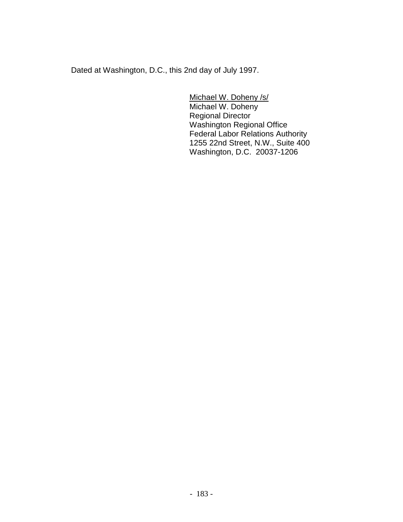Dated at Washington, D.C., this 2nd day of July 1997.

Michael W. Doheny /s/ Michael W. Doheny Regional Director Washington Regional Office Federal Labor Relations Authority 1255 22nd Street, N.W., Suite 400 Washington, D.C. 20037-1206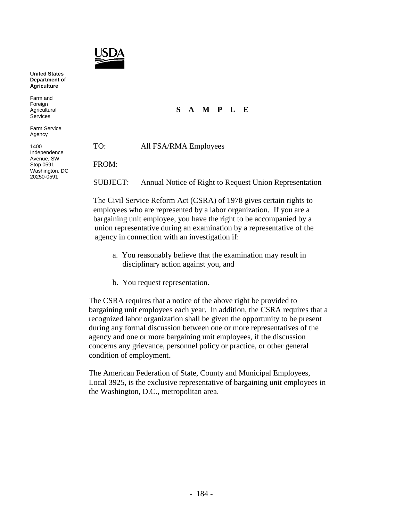

**United States Department of Agriculture**

Farm and Foreign Agricultural Services

Farm Service Agency

1400 Independence Avenue, SW Stop 0591 Washington, DC 20250-0591

## **S A M P L E**

TO: All FSA/RMA Employees

FROM:

SUBJECT: Annual Notice of Right to Request Union Representation

The Civil Service Reform Act (CSRA) of 1978 gives certain rights to employees who are represented by a labor organization. If you are a bargaining unit employee, you have the right to be accompanied by a union representative during an examination by a representative of the agency in connection with an investigation if:

- a. You reasonably believe that the examination may result in disciplinary action against you, and
- b. You request representation.

The CSRA requires that a notice of the above right be provided to bargaining unit employees each year. In addition, the CSRA requires that a recognized labor organization shall be given the opportunity to be present during any formal discussion between one or more representatives of the agency and one or more bargaining unit employees, if the discussion concerns any grievance, personnel policy or practice, or other general condition of employment.

The American Federation of State, County and Municipal Employees, Local 3925, is the exclusive representative of bargaining unit employees in the Washington, D.C., metropolitan area.